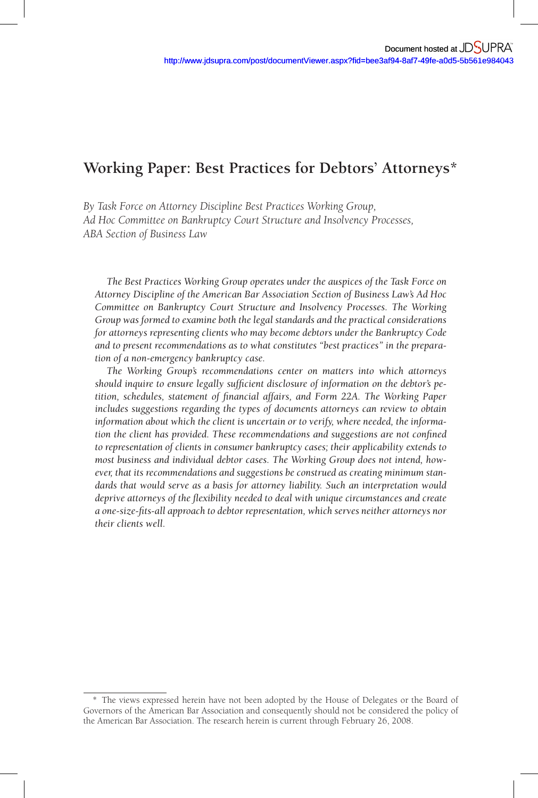*By Task Force on Attorney Discipline Best Practices Working Group, Ad Hoc Committee on Bankruptcy Court Structure and Insolvency Processes, ABA Section of Business Law* 

 *The Best Practices Working Group operates under the auspices of the Task Force on Attorney Discipline of the American Bar Association Section of Business Law's Ad Hoc Committee on Bankruptcy Court Structure and Insolvency Processes. The Working Group was formed to examine both the legal standards and the practical considerations for attorneys representing clients who may become debtors under the Bankruptcy Code and to present recommendations as to what constitutes "best practices" in the preparation of a non-emergency bankruptcy case.* 

 *The Working Group's recommendations center on matters into which attorneys*  should inquire to ensure legally sufficient disclosure of information on the debtor's petition, schedules, statement of financial affairs, and Form 22A. The Working Paper *includes suggestions regarding the types of documents attorneys can review to obtain information about which the client is uncertain or to verify, where needed, the information the client has provided. These recommendations and suggestions are not confined to representation of clients in consumer bankruptcy cases; their applicability extends to most business and individual debtor cases. The Working Group does not intend, however, that its recommendations and suggestions be construed as creating minimum standards that would serve as a basis for attorney liability. Such an interpretation would*  deprive attorneys of the flexibility needed to deal with unique circumstances and create *a one-size-fi ts-all approach to debtor representation, which serves neither attorneys nor their clients well.* 

<sup>\*</sup> The views expressed herein have not been adopted by the House of Delegates or the Board of Governors of the American Bar Association and consequently should not be considered the policy of the American Bar Association. The research herein is current through February 26, 2008.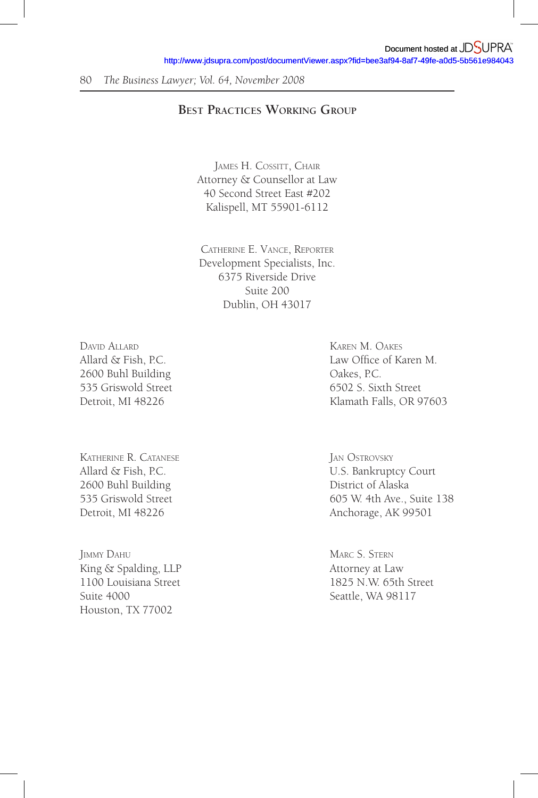# **BEST PRACTICES WORKING GROUP**

JAMES H. COSSITT, CHAIR Attorney & Counsellor at Law 40 Second Street East #202 Kalispell, MT 55901-6112

CATHERINE E. VANCE, REPORTER Development Specialists, Inc. 6375 Riverside Drive Suite 200 Dublin, OH 43017

DAVID ALLARD KAREN M. OAKES 2600 Buhl Building Qakes, P.C.

KATHERINE R. CATANESE JAN OSTROVSKY 2600 Buhl Building District of Alaska

**IMMY DAHU MARC S. STERN** King & Spalding, LLP Attorney at Law Suite 4000 Seattle, WA 98117 Houston, TX 77002

Allard & Fish, P.C. Law Office of Karen M. 535 Griswold Street 6502 S. Sixth Street Detroit, MI 48226 Klamath Falls, OR 97603

Allard & Fish, P.C. The C. Court Court Court Electronic Muscle Bankruptcy Court 535 Griswold Street 605 W. 4th Ave., Suite 138 Detroit, MI 48226 Anchorage, AK 99501

1100 Louisiana Street 1825 N.W. 65th Street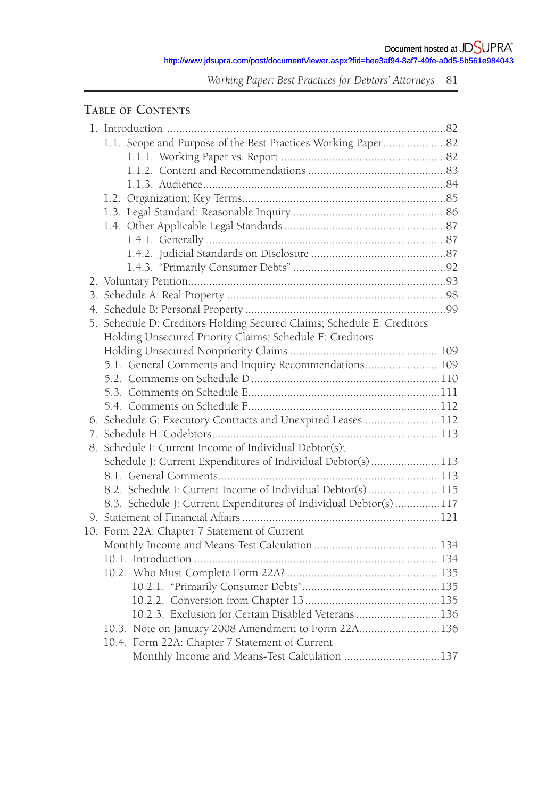http://www.jdsupra.com/post/documentViewer.aspx?fid=bee3af94-8af7-49fe-a0d5-5b561e984043

*Working Paper: Best Practices for Debtors' Attorneys* 81

# **TABLE OF CONTENTS**

| 1.1. Scope and Purpose of the Best Practices Working Paper82           |  |
|------------------------------------------------------------------------|--|
|                                                                        |  |
|                                                                        |  |
|                                                                        |  |
|                                                                        |  |
|                                                                        |  |
|                                                                        |  |
|                                                                        |  |
|                                                                        |  |
|                                                                        |  |
|                                                                        |  |
|                                                                        |  |
|                                                                        |  |
| 5. Schedule D: Creditors Holding Secured Claims; Schedule E: Creditors |  |
| Holding Unsecured Priority Claims; Schedule F: Creditors               |  |
|                                                                        |  |
| 5.1. General Comments and Inquiry Recommendations109                   |  |
|                                                                        |  |
|                                                                        |  |
|                                                                        |  |
| 6. Schedule G: Executory Contracts and Unexpired Leases112             |  |
|                                                                        |  |
| 8. Schedule I: Current Income of Individual Debtor(s);                 |  |
| Schedule J: Current Expenditures of Individual Debtor(s)113            |  |
|                                                                        |  |
| 8.2. Schedule I: Current Income of Individual Debtor(s)115             |  |
| 8.3. Schedule J: Current Expenditures of Individual Debtor(s) 117      |  |
|                                                                        |  |
| 10. Form 22A: Chapter 7 Statement of Current                           |  |
|                                                                        |  |
|                                                                        |  |
|                                                                        |  |
|                                                                        |  |
|                                                                        |  |
| 10.2.3. Exclusion for Certain Disabled Veterans 136                    |  |
| 10.3. Note on January 2008 Amendment to Form 22A136                    |  |
| 10.4. Form 22A: Chapter 7 Statement of Current                         |  |
| Monthly Income and Means-Test Calculation 137                          |  |
|                                                                        |  |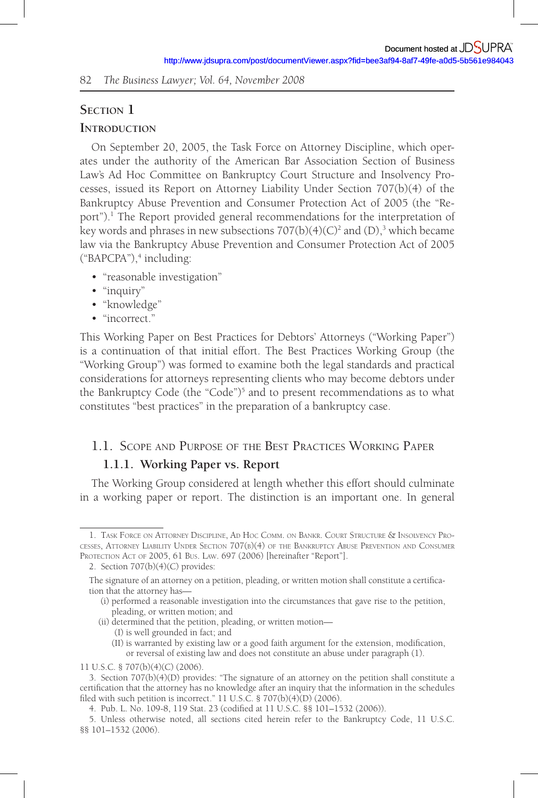# **SECTION 1**

#### **INTRODUCTION**

On September 20, 2005, the Task Force on Attorney Discipline, which operates under the authority of the American Bar Association Section of Business Law's Ad Hoc Committee on Bankruptcy Court Structure and Insolvency Processes, issued its Report on Attorney Liability Under Section 707(b)(4) of the Bankruptcy Abuse Prevention and Consumer Protection Act of 2005 (the "Report").<sup>1</sup> The Report provided general recommendations for the interpretation of key words and phrases in new subsections 707(b)(4)(C)<sup>2</sup> and (D),<sup>3</sup> which became law via the Bankruptcy Abuse Prevention and Consumer Protection Act of 2005 ("BAPCPA"),<sup>4</sup> including:

- "reasonable investigation"
- "inquiry"
- "knowledge"
- "incorrect."

This Working Paper on Best Practices for Debtors' Attorneys ("Working Paper") is a continuation of that initial effort. The Best Practices Working Group (the "Working Group") was formed to examine both the legal standards and practical considerations for attorneys representing clients who may become debtors under the Bankruptcy Code (the "Code")<sup>5</sup> and to present recommendations as to what constitutes "best practices" in the preparation of a bankruptcy case.

# 1.1. SCOPE AND PURPOSE OF THE BEST PRACTICES WORKING PAPER

#### **1.1.1. Working Paper vs. Report**

The Working Group considered at length whether this effort should culminate in a working paper or report. The distinction is an important one. In general

(II) is warranted by existing law or a good faith argument for the extension, modification, or reversal of existing law and does not constitute an abuse under paragraph (1).

<sup>1.</sup> TASK FORCE ON ATTORNEY DISCIPLINE, AD HOC COMM. ON BANKR. COURT STRUCTURE & INSOLVENCY PRO-CESSES, ATTORNEY LIABILITY UNDER SECTION 707(B)(4) OF THE BANKRUPTCY ABUSE PREVENTION AND CONSUMER PROTECTION ACT OF 2005, 61 BUS. LAW. 697 (2006) [hereinafter "Report"].

<sup>2.</sup> Section 707(b)(4)(C) provides:

The signature of an attorney on a petition, pleading, or written motion shall constitute a certification that the attorney has—

<sup>(</sup>i) performed a reasonable investigation into the circumstances that gave rise to the petition, pleading, or written motion; and

<sup>(</sup>ii) determined that the petition, pleading, or written motion—

<sup>(</sup>I) is well grounded in fact; and

<sup>11</sup> U.S.C. § 707(b)(4)(C) (2006).

<sup>3.</sup> Section 707(b)(4)(D) provides: "The signature of an attorney on the petition shall constitute a certification that the attorney has no knowledge after an inquiry that the information in the schedules filed with such petition is incorrect."  $11$  U.S.C. § 707(b)(4)(D) (2006).

<sup>4.</sup> Pub. L. No. 109-8, 119 Stat. 23 (codified at 11 U.S.C. §§ 101-1532 (2006)).

<sup>5.</sup> Unless otherwise noted, all sections cited herein refer to the Bankruptcy Code, 11 U.S.C. §§ 101–1532 (2006).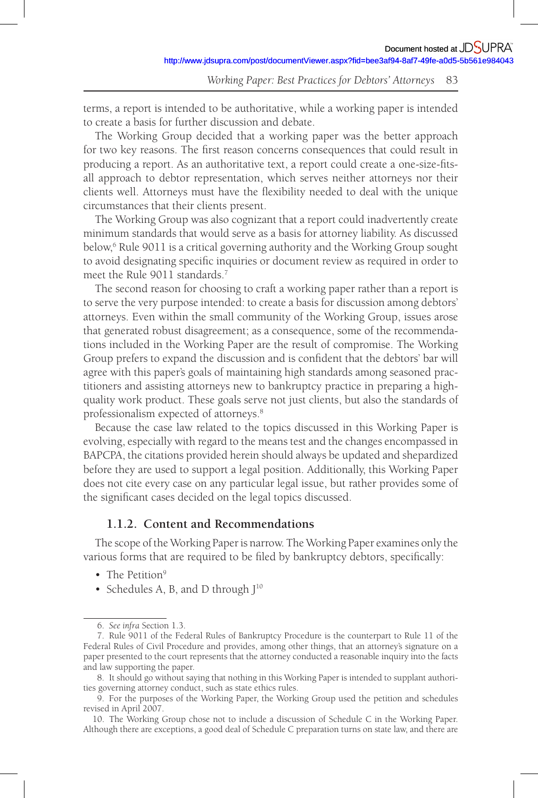terms, a report is intended to be authoritative, while a working paper is intended to create a basis for further discussion and debate.

The Working Group decided that a working paper was the better approach for two key reasons. The first reason concerns consequences that could result in producing a report. As an authoritative text, a report could create a one-size-fitsall approach to debtor representation, which serves neither attorneys nor their clients well. Attorneys must have the flexibility needed to deal with the unique circumstances that their clients present.

The Working Group was also cognizant that a report could inadvertently create minimum standards that would serve as a basis for attorney liability. As discussed below,<sup>6</sup> Rule 9011 is a critical governing authority and the Working Group sought to avoid designating specific inquiries or document review as required in order to meet the Rule 9011 standards.<sup>7</sup>

The second reason for choosing to craft a working paper rather than a report is to serve the very purpose intended: to create a basis for discussion among debtors' attorneys. Even within the small community of the Working Group, issues arose that generated robust disagreement; as a consequence, some of the recommendations included in the Working Paper are the result of compromise. The Working Group prefers to expand the discussion and is confident that the debtors' bar will agree with this paper's goals of maintaining high standards among seasoned practitioners and assisting attorneys new to bankruptcy practice in preparing a highquality work product. These goals serve not just clients, but also the standards of professionalism expected of attorneys. 8

Because the case law related to the topics discussed in this Working Paper is evolving, especially with regard to the means test and the changes encompassed in BAPCPA, the citations provided herein should always be updated and shepardized before they are used to support a legal position. Additionally, this Working Paper does not cite every case on any particular legal issue, but rather provides some of the significant cases decided on the legal topics discussed.

# **1.1.2. Content and Recommendations**

The scope of the Working Paper is narrow. The Working Paper examines only the various forms that are required to be filed by bankruptcy debtors, specifically:

- The Petition<sup>9</sup>
- Schedules A, B, and D through  $I^{10}$

 <sup>6.</sup> *See infra* Section 1.3.

 <sup>7.</sup> Rule 9011 of the Federal Rules of Bankruptcy Procedure is the counterpart to Rule 11 of the Federal Rules of Civil Procedure and provides, among other things, that an attorney's signature on a paper presented to the court represents that the attorney conducted a reasonable inquiry into the facts and law supporting the paper.

 <sup>8.</sup> It should go without saying that nothing in this Working Paper is intended to supplant authorities governing attorney conduct, such as state ethics rules.

 <sup>9.</sup> For the purposes of the Working Paper, the Working Group used the petition and schedules revised in April 2007.

<sup>10.</sup> The Working Group chose not to include a discussion of Schedule C in the Working Paper. Although there are exceptions, a good deal of Schedule C preparation turns on state law, and there are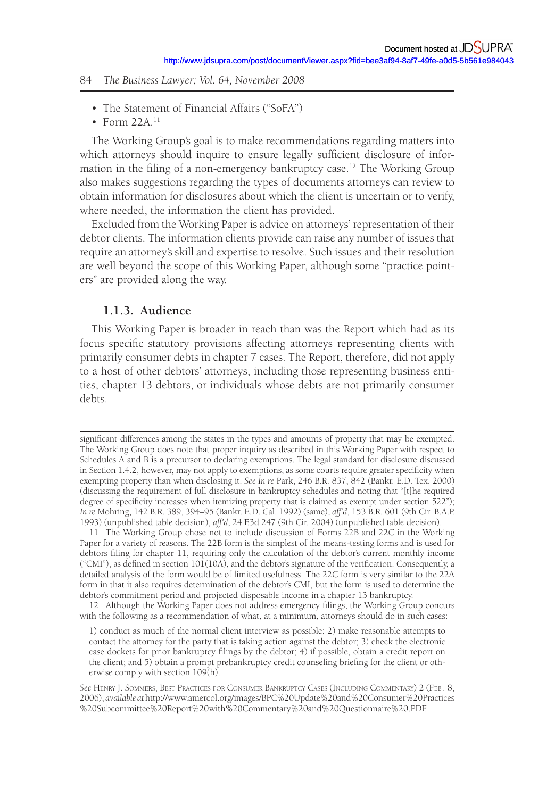- The Statement of Financial Affairs ("SoFA")
- Form  $22A$ <sup>11</sup>

The Working Group's goal is to make recommendations regarding matters into which attorneys should inquire to ensure legally sufficient disclosure of information in the filing of a non-emergency bankruptcy case.<sup>12</sup> The Working Group also makes suggestions regarding the types of documents attorneys can review to obtain information for disclosures about which the client is uncertain or to verify, where needed, the information the client has provided.

Excluded from the Working Paper is advice on attorneys' representation of their debtor clients. The information clients provide can raise any number of issues that require an attorney's skill and expertise to resolve. Such issues and their resolution are well beyond the scope of this Working Paper, although some "practice pointers" are provided along the way.

## **1.1.3. Audience**

This Working Paper is broader in reach than was the Report which had as its focus specific statutory provisions affecting attorneys representing clients with primarily consumer debts in chapter 7 cases. The Report, therefore, did not apply to a host of other debtors' attorneys, including those representing business entities, chapter 13 debtors, or individuals whose debts are not primarily consumer debts.

12. Although the Working Paper does not address emergency filings, the Working Group concurs with the following as a recommendation of what, at a minimum, attorneys should do in such cases:

1) conduct as much of the normal client interview as possible; 2) make reasonable attempts to contact the attorney for the party that is taking action against the debtor; 3) check the electronic case dockets for prior bankruptcy filings by the debtor; 4) if possible, obtain a credit report on the client; and 5) obtain a prompt prebankruptcy credit counseling briefing for the client or otherwise comply with section 109(h).

*See* HENRY J. SOMMERS, BEST PRACTICES FOR CONSUMER BANKRUPTCY CASES (INCLUDING COMMENTARY) 2 (FEB . 8, 2006), *available at* http://www.amercol.org/images/BPC%20Update%20and%20Consumer%20Practices %20Subcommittee%20Report%20with%20Commentary%20and%20Questionnaire%20.PDF.

significant differences among the states in the types and amounts of property that may be exempted. The Working Group does note that proper inquiry as described in this Working Paper with respect to Schedules A and B is a precursor to declaring exemptions. The legal standard for disclosure discussed in Section 1.4.2, however, may not apply to exemptions, as some courts require greater specificity when exempting property than when disclosing it. *See In re* Park, 246 B.R. 837, 842 (Bankr. E.D. Tex. 2000) (discussing the requirement of full disclosure in bankruptcy schedules and noting that "[t]he required degree of specificity increases when itemizing property that is claimed as exempt under section 522"); *In re* Mohring, 142 B.R. 389, 394–95 (Bankr. E.D. Cal. 1992) (same), *aff'd*, 153 B.R. 601 (9th Cir. B.A.P. 1993) (unpublished table decision), *aff'd*, 24 F.3d 247 (9th Cir. 2004) (unpublished table decision).

<sup>11.</sup> The Working Group chose not to include discussion of Forms 22B and 22C in the Working Paper for a variety of reasons. The 22B form is the simplest of the means-testing forms and is used for debtors filing for chapter 11, requiring only the calculation of the debtor's current monthly income ("CMI"), as defined in section  $101(10A)$ , and the debtor's signature of the verification. Consequently, a detailed analysis of the form would be of limited usefulness. The 22C form is very similar to the 22A form in that it also requires determination of the debtor's CMI, but the form is used to determine the debtor's commitment period and projected disposable income in a chapter 13 bankruptcy.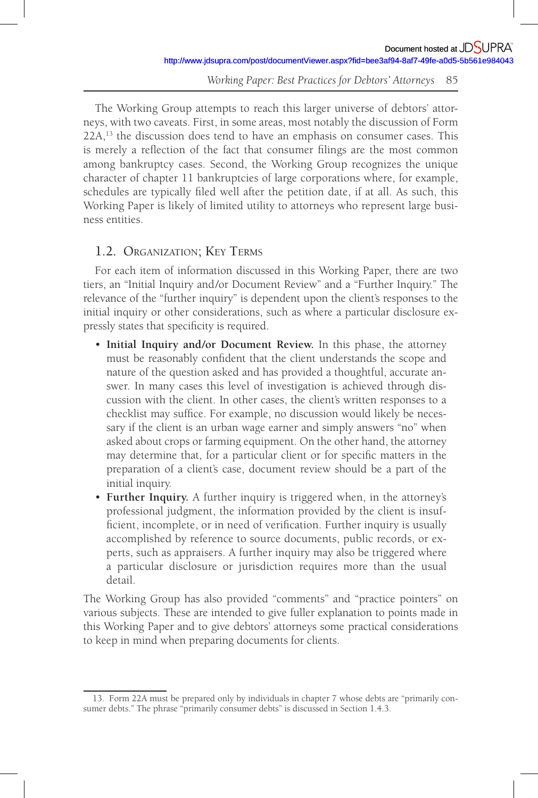The Working Group attempts to reach this larger universe of debtors' attorneys, with two caveats. First, in some areas, most notably the discussion of Form 22A,<sup>13</sup> the discussion does tend to have an emphasis on consumer cases. This is merely a reflection of the fact that consumer filings are the most common among bankruptcy cases. Second, the Working Group recognizes the unique character of chapter 11 bankruptcies of large corporations where, for example, schedules are typically filed well after the petition date, if at all. As such, this Working Paper is likely of limited utility to attorneys who represent large business entities.

# 1.2. ORGANIZATION; KEY TERMS

For each item of information discussed in this Working Paper, there are two tiers, an "Initial Inquiry and /or Document Review" and a "Further Inquiry." The relevance of the "further inquiry" is dependent upon the client's responses to the initial inquiry or other considerations, such as where a particular disclosure expressly states that specificity is required.

- **Initial Inquiry and /or Document Review.** In this phase, the attorney must be reasonably confident that the client understands the scope and nature of the question asked and has provided a thoughtful, accurate answer. In many cases this level of investigation is achieved through discussion with the client. In other cases, the client's written responses to a checklist may suffice. For example, no discussion would likely be necessary if the client is an urban wage earner and simply answers "no" when asked about crops or farming equipment. On the other hand, the attorney may determine that, for a particular client or for specific matters in the preparation of a client's case, document review should be a part of the initial inquiry.
- **Further Inquiry.** A further inquiry is triggered when, in the attorney's professional judgment, the information provided by the client is insufficient, incomplete, or in need of verification. Further inquiry is usually accomplished by reference to source documents, public records, or experts, such as appraisers. A further inquiry may also be triggered where a particular disclosure or jurisdiction requires more than the usual detail.

The Working Group has also provided "comments" and "practice pointers" on various subjects. These are intended to give fuller explanation to points made in this Working Paper and to give debtors' attorneys some practical considerations to keep in mind when preparing documents for clients.

<sup>13.</sup> Form 22A must be prepared only by individuals in chapter 7 whose debts are "primarily consumer debts." The phrase "primarily consumer debts" is discussed in Section 1.4.3.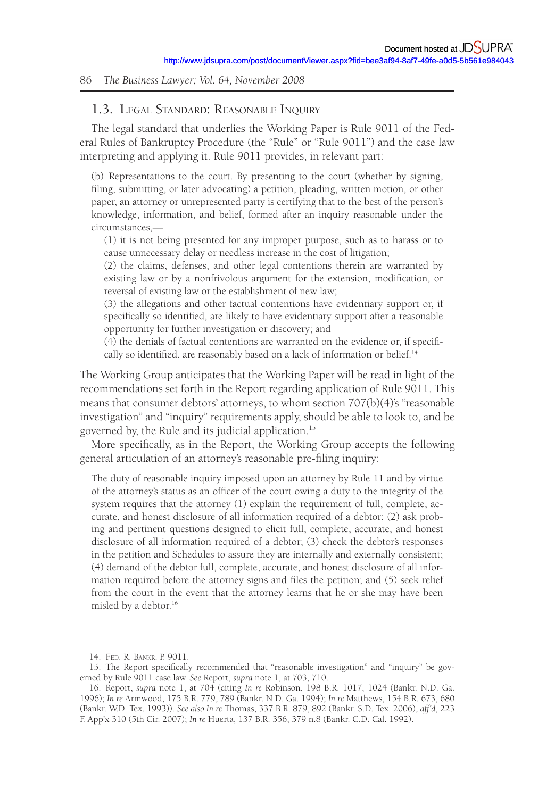## 1.3. LEGAL STANDARD: REASONABLE INQUIRY

The legal standard that underlies the Working Paper is Rule 9011 of the Federal Rules of Bankruptcy Procedure (the "Rule" or "Rule 9011") and the case law interpreting and applying it. Rule 9011 provides, in relevant part:

(b) Representations to the court. By presenting to the court (whether by signing, filing, submitting, or later advocating) a petition, pleading, written motion, or other paper, an attorney or unrepresented party is certifying that to the best of the person's knowledge, information, and belief, formed after an inquiry reasonable under the circumstances,—

(1) it is not being presented for any improper purpose, such as to harass or to cause unnecessary delay or needless increase in the cost of litigation;

(2) the claims, defenses, and other legal contentions therein are warranted by existing law or by a nonfrivolous argument for the extension, modification, or reversal of existing law or the establishment of new law;

(3) the allegations and other factual contentions have evidentiary support or, if specifically so identified, are likely to have evidentiary support after a reasonable opportunity for further investigation or discovery; and

(4) the denials of factual contentions are warranted on the evidence or, if specifi cally so identified, are reasonably based on a lack of information or belief.<sup>14</sup>

The Working Group anticipates that the Working Paper will be read in light of the recommendations set forth in the Report regarding application of Rule 9011. This means that consumer debtors' attorneys, to whom section  $707(b)(4)$ 's "reasonable investigation" and "inquiry" requirements apply, should be able to look to, and be governed by, the Rule and its judicial application. 15

More specifically, as in the Report, the Working Group accepts the following general articulation of an attorney's reasonable pre-filing inquiry:

The duty of reasonable inquiry imposed upon an attorney by Rule 11 and by virtue of the attorney's status as an officer of the court owing a duty to the integrity of the system requires that the attorney (1) explain the requirement of full, complete, accurate, and honest disclosure of all information required of a debtor; (2) ask probing and pertinent questions designed to elicit full, complete, accurate, and honest disclosure of all information required of a debtor; (3) check the debtor's responses in the petition and Schedules to assure they are internally and externally consistent; (4) demand of the debtor full, complete, accurate, and honest disclosure of all information required before the attorney signs and files the petition; and (5) seek relief from the court in the event that the attorney learns that he or she may have been misled by a debtor. 16

<sup>14.</sup> FED. R. BANKR. P. 9011.

<sup>15.</sup> The Report specifically recommended that "reasonable investigation" and "inquiry" be governed by Rule 9011 case law. *See* Report, *supra* note 1, at 703, 710.

<sup>16.</sup> Report, *supra* note 1, at 704 (citing *In re* Robinson, 198 B.R. 1017, 1024 (Bankr. N.D. Ga. 1996); *In re* Armwood, 175 B.R. 779, 789 (Bankr. N.D. Ga. 1994); *In re* Matthews, 154 B.R. 673, 680 (Bankr. W.D. Tex. 1993)). *See also In re* Thomas, 337 B.R. 879, 892 (Bankr. S.D. Tex. 2006), *aff'd*, 223 F. App'x 310 (5th Cir. 2007); *In re* Huerta, 137 B.R. 356, 379 n.8 (Bankr. C.D. Cal. 1992).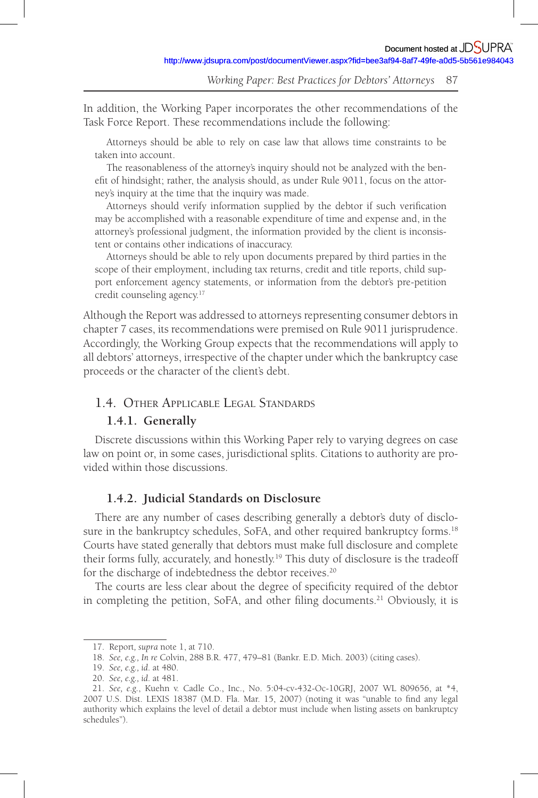In addition, the Working Paper incorporates the other recommendations of the Task Force Report. These recommendations include the following:

Attorneys should be able to rely on case law that allows time constraints to be taken into account.

The reasonableness of the attorney's inquiry should not be analyzed with the benefit of hindsight; rather, the analysis should, as under Rule 9011, focus on the attorney's inquiry at the time that the inquiry was made.

Attorneys should verify information supplied by the debtor if such verification may be accomplished with a reasonable expenditure of time and expense and, in the attorney's professional judgment, the information provided by the client is inconsistent or contains other indications of inaccuracy.

Attorneys should be able to rely upon documents prepared by third parties in the scope of their employment, including tax returns, credit and title reports, child support enforcement agency statements, or information from the debtor's pre-petition credit counseling agency.<sup>17</sup>

Although the Report was addressed to attorneys representing consumer debtors in chapter 7 cases, its recommendations were premised on Rule 9011 jurisprudence. Accordingly, the Working Group expects that the recommendations will apply to all debtors' attorneys, irrespective of the chapter under which the bankruptcy case proceeds or the character of the client's debt.

## 1.4. OTHER APPLICABLE LEGAL STANDARDS

## **1.4.1. Generally**

Discrete discussions within this Working Paper rely to varying degrees on case law on point or, in some cases, jurisdictional splits. Citations to authority are provided within those discussions.

# **1.4.2. Judicial Standards on Disclosure**

There are any number of cases describing generally a debtor's duty of disclosure in the bankruptcy schedules, SoFA, and other required bankruptcy forms.<sup>18</sup> Courts have stated generally that debtors must make full disclosure and complete their forms fully, accurately, and honestly.<sup>19</sup> This duty of disclosure is the tradeoff for the discharge of indebtedness the debtor receives. 20

The courts are less clear about the degree of specificity required of the debtor in completing the petition, SoFA, and other filing documents.<sup>21</sup> Obviously, it is

<sup>17.</sup> Report*, supra* note 1, at 710.

<sup>18.</sup> *See, e.g., In re* Colvin, 288 B.R. 477, 479–81 (Bankr. E.D. Mich. 2003) (citing cases).

<sup>19.</sup> *See, e.g., id*. at 480.

<sup>20.</sup> *See, e.g., id*. at 481.

<sup>21.</sup> *See, e.g.*, Kuehn v. Cadle Co., Inc., No. 5:04-cv-432-Oc-10GRJ, 2007 WL 809656, at \*4, 2007 U.S. Dist. LEXIS 18387 (M.D. Fla. Mar. 15, 2007) (noting it was "unable to find any legal authority which explains the level of detail a debtor must include when listing assets on bankruptcy schedules").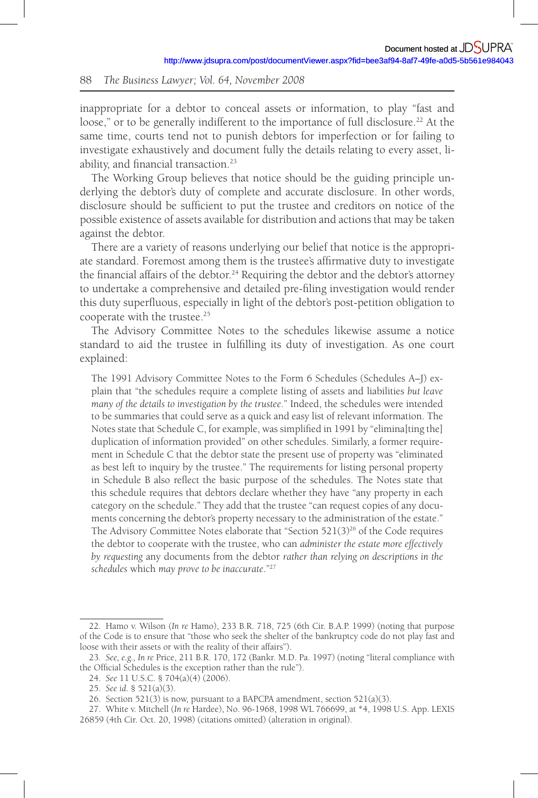inappropriate for a debtor to conceal assets or information, to play "fast and loose," or to be generally indifferent to the importance of full disclosure.<sup>22</sup> At the same time, courts tend not to punish debtors for imperfection or for failing to investigate exhaustively and document fully the details relating to every asset, liability, and financial transaction.<sup>23</sup>

The Working Group believes that notice should be the guiding principle underlying the debtor's duty of complete and accurate disclosure. In other words, disclosure should be sufficient to put the trustee and creditors on notice of the possible existence of assets available for distribution and actions that may be taken against the debtor.

There are a variety of reasons underlying our belief that notice is the appropriate standard. Foremost among them is the trustee's affirmative duty to investigate the financial affairs of the debtor.<sup>24</sup> Requiring the debtor and the debtor's attorney to undertake a comprehensive and detailed pre-filing investigation would render this duty superfluous, especially in light of the debtor's post-petition obligation to cooperate with the trustee.<sup>25</sup>

The Advisory Committee Notes to the schedules likewise assume a notice standard to aid the trustee in fulfilling its duty of investigation. As one court explained:

The 1991 Advisory Committee Notes to the Form 6 Schedules (Schedules A–J) explain that "the schedules require a complete listing of assets and liabilities *but leave many of the details to investigation by the trustee*." Indeed, the schedules were intended to be summaries that could serve as a quick and easy list of relevant information. The Notes state that Schedule C, for example, was simplified in 1991 by "elimina[ting the] duplication of information provided" on other schedules. Similarly, a former requirement in Schedule C that the debtor state the present use of property was "eliminated as best left to inquiry by the trustee." The requirements for listing personal property in Schedule B also reflect the basic purpose of the schedules. The Notes state that this schedule requires that debtors declare whether they have "any property in each category on the schedule." They add that the trustee "can request copies of any documents concerning the debtor's property necessary to the administration of the estate." The Advisory Committee Notes elaborate that "Section  $521(3)^{26}$  of the Code requires the debtor to cooperate with the trustee, who can *administer the estate more effectively by requesting* any documents from the debtor *rather than relying on descriptions in the schedules* which *may prove to be inaccurate*."<sup>27</sup>

<sup>22.</sup> Hamo v. Wilson (*In re* Hamo), 233 B.R. 718, 725 (6th Cir. B.A.P. 1999) (noting that purpose of the Code is to ensure that "those who seek the shelter of the bankruptcy code do not play fast and loose with their assets or with the reality of their affairs").

<sup>23.</sup> *See, e.g., In re* Price, 211 B.R. 170, 172 (Bankr. M.D. Pa. 1997) (noting "literal compliance with the Official Schedules is the exception rather than the rule").

<sup>24.</sup> *See* 11 U.S.C. § 704(a)(4) (2006).

<sup>25.</sup> *See id*. § 521(a)(3).

<sup>26.</sup> Section 521(3) is now, pursuant to a BAPCPA amendment, section 521(a)(3).

<sup>27.</sup> White v. Mitchell (*In re* Hardee), No. 96-1968, 1998 WL 766699, at \*4, 1998 U.S. App. LEXIS 26859 (4th Cir. Oct. 20, 1998) (citations omitted) (alteration in original).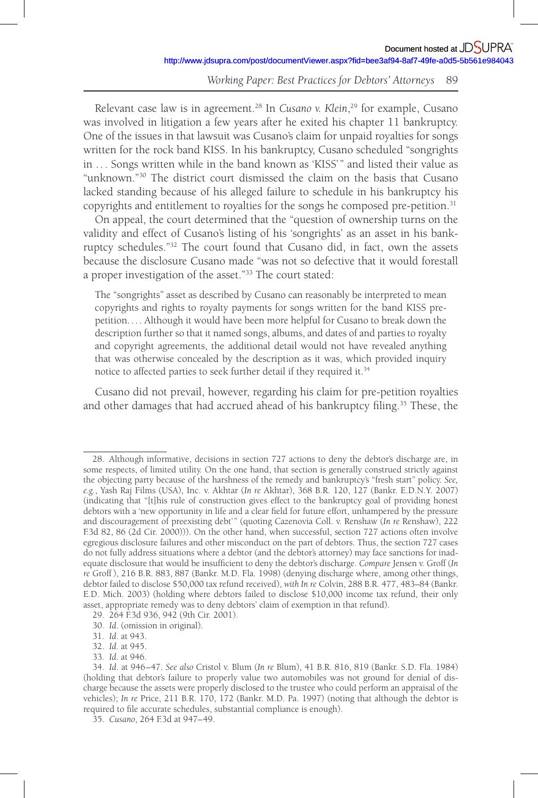Relevant case law is in agreement.<sup>28</sup> In *Cusano v. Klein*,<sup>29</sup> for example, Cusano was involved in litigation a few years after he exited his chapter 11 bankruptcy. One of the issues in that lawsuit was Cusano's claim for unpaid royalties for songs written for the rock band KISS. In his bankruptcy, Cusano scheduled "songrights in . . . Songs written while in the band known as 'KISS' " and listed their value as "unknown."<sup>30</sup> The district court dismissed the claim on the basis that Cusano lacked standing because of his alleged failure to schedule in his bankruptcy his copyrights and entitlement to royalties for the songs he composed pre-petition. 31

On appeal, the court determined that the "question of ownership turns on the validity and effect of Cusano's listing of his 'songrights' as an asset in his bankruptcy schedules."<sup>32</sup> The court found that Cusano did, in fact, own the assets because the disclosure Cusano made "was not so defective that it would forestall a proper investigation of the asset."<sup>33</sup> The court stated:

The "songrights" asset as described by Cusano can reasonably be interpreted to mean copyrights and rights to royalty payments for songs written for the band KISS prepetition. . . . Although it would have been more helpful for Cusano to break down the description further so that it named songs, albums, and dates of and parties to royalty and copyright agreements, the additional detail would not have revealed anything that was otherwise concealed by the description as it was, which provided inquiry notice to affected parties to seek further detail if they required it. 34

Cusano did not prevail, however, regarding his claim for pre-petition royalties and other damages that had accrued ahead of his bankruptcy filing.<sup>35</sup> These, the

<sup>28.</sup> Although informative, decisions in section 727 actions to deny the debtor's discharge are, in some respects, of limited utility. On the one hand, that section is generally construed strictly against the objecting party because of the harshness of the remedy and bankruptcy's "fresh start" policy. *See, e.g.*, Yash Raj Films (USA), Inc. v. Akhtar (*In re* Akhtar), 368 B.R. 120, 127 (Bankr. E.D.N.Y. 2007) (indicating that "[t]his rule of construction gives effect to the bankruptcy goal of providing honest debtors with a 'new opportunity in life and a clear field for future effort, unhampered by the pressure and discouragement of preexisting debt'" (quoting Cazenovia Coll. v. Renshaw (In re Renshaw), 222 F.3d 82, 86 (2d Cir. 2000))). On the other hand, when successful, section 727 actions often involve egregious disclosure failures and other misconduct on the part of debtors. Thus, the section 727 cases do not fully address situations where a debtor (and the debtor's attorney) may face sanctions for inadequate disclosure that would be insufficient to deny the debtor's discharge. *Compare* Jensen v. Groff (In *re* Groff ), 216 B.R. 883, 887 (Bankr. M.D. Fla. 1998) (denying discharge where, among other things, debtor failed to disclose \$50,000 tax refund received), *with In re* Colvin, 288 B.R. 477, 483–84 (Bankr. E.D. Mich. 2003) (holding where debtors failed to disclose \$10,000 income tax refund, their only asset, appropriate remedy was to deny debtors' claim of exemption in that refund).

<sup>29. 264</sup> F.3d 936, 942 (9th Cir. 2001).

<sup>30.</sup> *Id*. (omission in original).

<sup>31.</sup> *Id*. at 943.

<sup>32.</sup> *Id*. at 945.

<sup>33.</sup> *Id*. at 946.

<sup>34.</sup> *Id*. at 946 – 47. *See also* Cristol v. Blum (*In re* Blum), 41 B.R. 816, 819 (Bankr. S.D. Fla. 1984) (holding that debtor's failure to properly value two automobiles was not ground for denial of discharge because the assets were properly disclosed to the trustee who could perform an appraisal of the vehicles); *In re* Price, 211 B.R. 170, 172 (Bankr. M.D. Pa. 1997) (noting that although the debtor is required to file accurate schedules, substantial compliance is enough).

<sup>35.</sup> *Cusano*, 264 F.3d at 947– 49.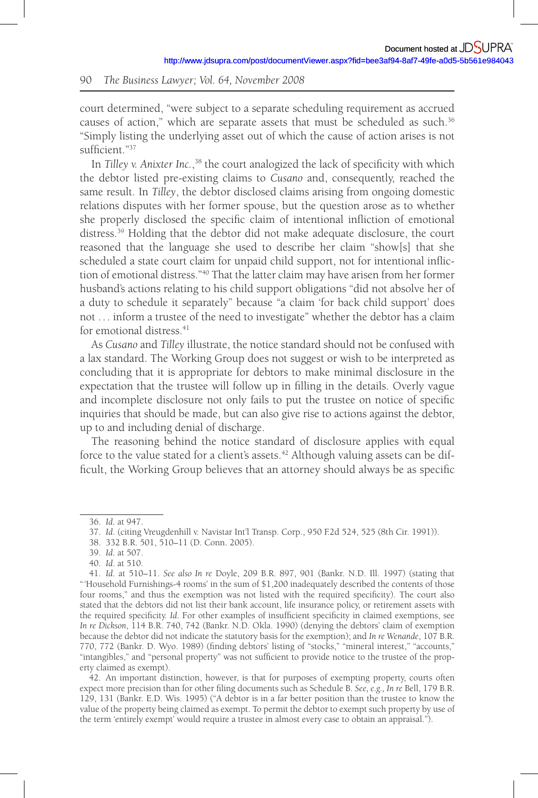court determined, "were subject to a separate scheduling requirement as accrued causes of action," which are separate assets that must be scheduled as such. 36 "Simply listing the underlying asset out of which the cause of action arises is not sufficient."37

In Tilley v. Anixter Inc.,<sup>38</sup> the court analogized the lack of specificity with which the debtor listed pre-existing claims to *Cusano* and, consequently, reached the same result. In *Tilley*, the debtor disclosed claims arising from ongoing domestic relations disputes with her former spouse, but the question arose as to whether she properly disclosed the specific claim of intentional infliction of emotional distress. 39 Holding that the debtor did not make adequate disclosure, the court reasoned that the language she used to describe her claim "show[s] that she scheduled a state court claim for unpaid child support, not for intentional infliction of emotional distress." 40 That the latter claim may have arisen from her former husband's actions relating to his child support obligations "did not absolve her of a duty to schedule it separately" because "a claim 'for back child support' does not . . . inform a trustee of the need to investigate" whether the debtor has a claim for emotional distress. 41

As *Cusano* and *Tilley* illustrate, the notice standard should not be confused with a lax standard. The Working Group does not suggest or wish to be interpreted as concluding that it is appropriate for debtors to make minimal disclosure in the expectation that the trustee will follow up in filling in the details. Overly vague and incomplete disclosure not only fails to put the trustee on notice of specific inquiries that should be made, but can also give rise to actions against the debtor, up to and including denial of discharge.

The reasoning behind the notice standard of disclosure applies with equal force to the value stated for a client's assets.<sup>42</sup> Although valuing assets can be difficult, the Working Group believes that an attorney should always be as specific

<sup>36.</sup> *Id*. at 947.

<sup>37.</sup> *Id*. (citing Vreugdenhill v. Navistar Int'l Transp. Corp., 950 F.2d 524, 525 (8th Cir. 1991)).

<sup>38. 332</sup> B.R. 501, 510–11 (D. Conn. 2005).

<sup>39.</sup> *Id*. at 507.

<sup>40.</sup> *Id*. at 510.

<sup>41.</sup> *Id*. at 510–11. *See also In re* Doyle, 209 B.R. 897, 901 (Bankr. N.D. Ill. 1997) (stating that " 'Household Furnishings-4 rooms' in the sum of \$1,200 inadequately described the contents of those four rooms," and thus the exemption was not listed with the required specificity). The court also stated that the debtors did not list their bank account, life insurance policy, or retirement assets with the required specificity. *Id*. For other examples of insufficient specificity in claimed exemptions, see *In re Dickson*, 114 B.R. 740, 742 (Bankr. N.D. Okla. 1990) (denying the debtors' claim of exemption because the debtor did not indicate the statutory basis for the exemption); and *In re Wenande*, 107 B.R. 770, 772 (Bankr. D. Wyo. 1989) (finding debtors' listing of "stocks," "mineral interest," "accounts," "intangibles," and "personal property" was not sufficient to provide notice to the trustee of the property claimed as exempt).

<sup>42.</sup> An important distinction, however, is that for purposes of exempting property, courts often expect more precision than for other filing documents such as Schedule B. *See, e.g., In re* Bell, 179 B.R. 129, 131 (Bankr. E.D. Wis. 1995) ("A debtor is in a far better position than the trustee to know the value of the property being claimed as exempt. To permit the debtor to exempt such property by use of the term 'entirely exempt' would require a trustee in almost every case to obtain an appraisal.").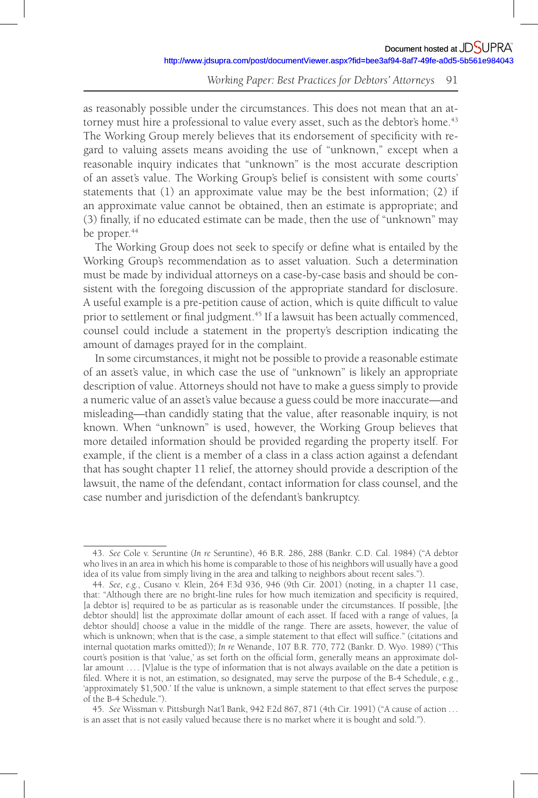as reasonably possible under the circumstances. This does not mean that an attorney must hire a professional to value every asset, such as the debtor's home.<sup>43</sup> The Working Group merely believes that its endorsement of specificity with regard to valuing assets means avoiding the use of "unknown," except when a reasonable inquiry indicates that "unknown" is the most accurate description of an asset's value. The Working Group's belief is consistent with some courts' statements that (1) an approximate value may be the best information; (2) if an approximate value cannot be obtained, then an estimate is appropriate; and (3) finally, if no educated estimate can be made, then the use of "unknown" may be proper.<sup>44</sup>

The Working Group does not seek to specify or define what is entailed by the Working Group's recommendation as to asset valuation. Such a determination must be made by individual attorneys on a case-by-case basis and should be consistent with the foregoing discussion of the appropriate standard for disclosure. A useful example is a pre-petition cause of action, which is quite difficult to value prior to settlement or final judgment.<sup>45</sup> If a lawsuit has been actually commenced, counsel could include a statement in the property's description indicating the amount of damages prayed for in the complaint.

In some circumstances, it might not be possible to provide a reasonable estimate of an asset's value, in which case the use of "unknown" is likely an appropriate description of value. Attorneys should not have to make a guess simply to provide a numeric value of an asset's value because a guess could be more inaccurate—and misleading—than candidly stating that the value, after reasonable inquiry, is not known. When "unknown" is used, however, the Working Group believes that more detailed information should be provided regarding the property itself. For example, if the client is a member of a class in a class action against a defendant that has sought chapter 11 relief, the attorney should provide a description of the lawsuit, the name of the defendant, contact information for class counsel, and the case number and jurisdiction of the defendant's bankruptcy.

<sup>43.</sup> *See* Cole v. Seruntine (*In re* Seruntine), 46 B.R. 286, 288 (Bankr. C.D. Cal. 1984) ("A debtor who lives in an area in which his home is comparable to those of his neighbors will usually have a good idea of its value from simply living in the area and talking to neighbors about recent sales.").

<sup>44.</sup> *See, e.g.*, Cusano v. Klein, 264 F.3d 936, 946 (9th Cir. 2001) (noting, in a chapter 11 case, that: "Although there are no bright-line rules for how much itemization and specificity is required, [a debtor is] required to be as particular as is reasonable under the circumstances. If possible, [the debtor should] list the approximate dollar amount of each asset. If faced with a range of values, [a debtor should] choose a value in the middle of the range. There are assets, however, the value of which is unknown; when that is the case, a simple statement to that effect will suffice." (citations and internal quotation marks omitted)); *In re* Wenande, 107 B.R. 770, 772 (Bankr. D. Wyo. 1989) ("This court's position is that 'value,' as set forth on the official form, generally means an approximate dollar amount .... [V]alue is the type of information that is not always available on the date a petition is filed. Where it is not, an estimation, so designated, may serve the purpose of the B-4 Schedule, e.g., 'approximately \$1,500.' If the value is unknown, a simple statement to that effect serves the purpose of the B-4 Schedule.").

<sup>45.</sup> *See* Wissman v. Pittsburgh Nat'l Bank, 942 F.2d 867, 871 (4th Cir. 1991) ("A cause of action . . . is an asset that is not easily valued because there is no market where it is bought and sold.").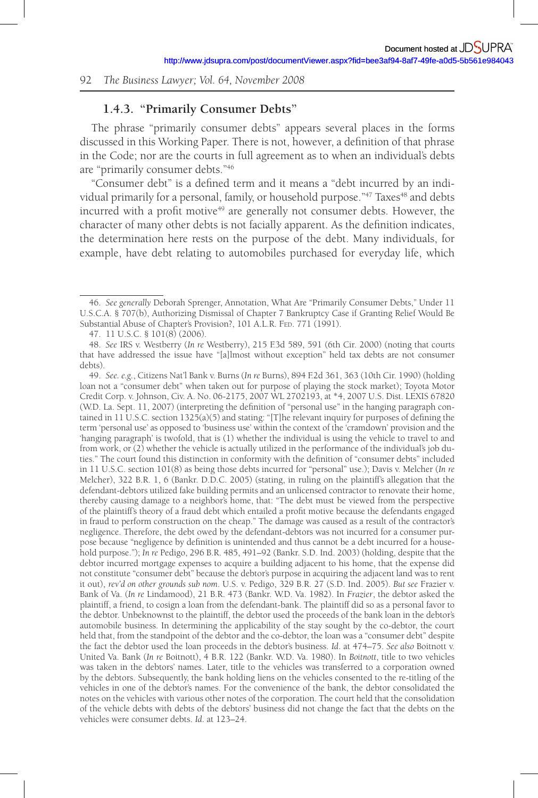## **1.4.3. "Primarily Consumer Debts"**

The phrase "primarily consumer debts" appears several places in the forms discussed in this Working Paper. There is not, however, a definition of that phrase in the Code; nor are the courts in full agreement as to when an individual's debts are "primarily consumer debts."<sup>46</sup>

"Consumer debt" is a defined term and it means a "debt incurred by an individual primarily for a personal, family, or household purpose."<sup>47</sup> Taxes<sup>48</sup> and debts incurred with a profit motive<sup>49</sup> are generally not consumer debts. However, the character of many other debts is not facially apparent. As the definition indicates, the determination here rests on the purpose of the debt. Many individuals, for example, have debt relating to automobiles purchased for everyday life, which

<sup>46.</sup> *See generally* Deborah Sprenger, Annotation, What Are "Primarily Consumer Debts," Under 11 U.S.C.A. § 707(b), Authorizing Dismissal of Chapter 7 Bankruptcy Case if Granting Relief Would Be Substantial Abuse of Chapter's Provision?, 101 A.L.R. FED. 771 (1991).

<sup>47. 11</sup> U.S.C. § 101(8) (2006).

<sup>48.</sup> *See* IRS v. Westberry (*In re* Westberry), 215 F.3d 589, 591 (6th Cir. 2000) (noting that courts that have addressed the issue have "[a]lmost without exception" held tax debts are not consumer debts).

<sup>49.</sup> *See. e.g.*, Citizens Nat'l Bank v. Burns (*In re* Burns), 894 F.2d 361, 363 (10th Cir. 1990) (holding loan not a "consumer debt" when taken out for purpose of playing the stock market); Toyota Motor Credit Corp. v. Johnson, Civ. A. No. 06-2175, 2007 WL 2702193, at \*4, 2007 U.S. Dist. LEXIS 67820 (W.D. La. Sept. 11, 2007) (interpreting the definition of "personal use" in the hanging paragraph contained in 11 U.S.C. section  $1325(a)(5)$  and stating: "[T]he relevant inquiry for purposes of defining the term 'personal use' as opposed to 'business use' within the context of the 'cramdown' provision and the 'hanging paragraph' is twofold, that is (1) whether the individual is using the vehicle to travel to and from work, or (2) whether the vehicle is actually utilized in the performance of the individual's job duties." The court found this distinction in conformity with the definition of "consumer debts" included in 11 U.S.C. section 101(8) as being those debts incurred for "personal" use.); Davis v. Melcher (*In re* Melcher), 322 B.R. 1, 6 (Bankr. D.D.C. 2005) (stating, in ruling on the plaintiff's allegation that the defendant-debtors utilized fake building permits and an unlicensed contractor to renovate their home, thereby causing damage to a neighbor's home, that: "The debt must be viewed from the perspective of the plaintiff's theory of a fraud debt which entailed a profi t motive because the defendants engaged in fraud to perform construction on the cheap." The damage was caused as a result of the contractor's negligence. Therefore, the debt owed by the defendant-debtors was not incurred for a consumer purpose because "negligence by definition is unintended and thus cannot be a debt incurred for a household purpose."); *In re* Pedigo, 296 B.R. 485, 491–92 (Bankr. S.D. Ind. 2003) (holding, despite that the debtor incurred mortgage expenses to acquire a building adjacent to his home, that the expense did not constitute "consumer debt" because the debtor's purpose in acquiring the adjacent land was to rent it out), *rev'd on other grounds sub nom*. U.S. v. Pedigo, 329 B.R. 27 (S.D. Ind. 2005). *But see* Frazier v. Bank of Va. (*In re* Lindamood), 21 B.R. 473 (Bankr. W.D. Va. 1982). In *Frazier*, the debtor asked the plaintiff, a friend, to cosign a loan from the defendant-bank. The plaintiff did so as a personal favor to the debtor. Unbeknownst to the plaintiff, the debtor used the proceeds of the bank loan in the debtor's automobile business. In determining the applicability of the stay sought by the co-debtor, the court held that, from the standpoint of the debtor and the co-debtor, the loan was a "consumer debt" despite the fact the debtor used the loan proceeds in the debtor's business. *Id*. at 474–75. *See also* Boitnott v. United Va. Bank (*In re* Boitnott), 4 B.R. 122 (Bankr. W.D. Va. 1980). In *Boitnott*, title to two vehicles was taken in the debtors' names. Later, title to the vehicles was transferred to a corporation owned by the debtors. Subsequently, the bank holding liens on the vehicles consented to the re-titling of the vehicles in one of the debtor's names. For the convenience of the bank, the debtor consolidated the notes on the vehicles with various other notes of the corporation. The court held that the consolidation of the vehicle debts with debts of the debtors' business did not change the fact that the debts on the vehicles were consumer debts. *Id*. at 123–24.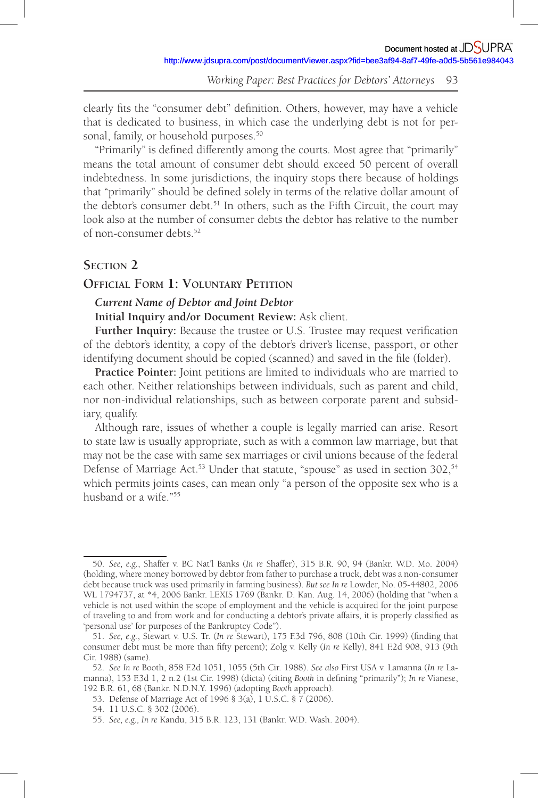clearly fits the "consumer debt" definition. Others, however, may have a vehicle that is dedicated to business, in which case the underlying debt is not for personal, family, or household purposes.<sup>50</sup>

"Primarily" is defined differently among the courts. Most agree that "primarily" means the total amount of consumer debt should exceed 50 percent of overall indebtedness. In some jurisdictions, the inquiry stops there because of holdings that "primarily" should be defined solely in terms of the relative dollar amount of the debtor's consumer debt.<sup>51</sup> In others, such as the Fifth Circuit, the court may look also at the number of consumer debts the debtor has relative to the number of non-consumer debts. 52

# **SECTION 2**

## **OFFICIAL FORM 1: VOLUNTARY PETITION**

#### *Current Name of Debtor and Joint Debtor*

**Initial Inquiry and /or Document Review:** Ask client.

Further Inquiry: Because the trustee or U.S. Trustee may request verification of the debtor's identity, a copy of the debtor's driver's license, passport, or other identifying document should be copied (scanned) and saved in the file (folder).

**Practice Pointer:** Joint petitions are limited to individuals who are married to each other. Neither relationships between individuals, such as parent and child, nor non-individual relationships, such as between corporate parent and subsidiary, qualify.

Although rare, issues of whether a couple is legally married can arise. Resort to state law is usually appropriate, such as with a common law marriage, but that may not be the case with same sex marriages or civil unions because of the federal Defense of Marriage Act.<sup>53</sup> Under that statute, "spouse" as used in section 302,<sup>54</sup> which permits joints cases, can mean only "a person of the opposite sex who is a husband or a wife."<sup>55</sup>

<sup>50.</sup> *See, e.g.*, Shaffer v. BC Nat'l Banks (*In re* Shaffer), 315 B.R. 90, 94 (Bankr. W.D. Mo. 2004) (holding, where money borrowed by debtor from father to purchase a truck, debt was a non-consumer debt because truck was used primarily in farming business). *But see In re* Lowder, No. 05-44802, 2006 WL 1794737, at \*4, 2006 Bankr. LEXIS 1769 (Bankr. D. Kan. Aug. 14, 2006) (holding that "when a vehicle is not used within the scope of employment and the vehicle is acquired for the joint purpose of traveling to and from work and for conducting a debtor's private affairs, it is properly classified as 'personal use' for purposes of the Bankruptcy Code").

<sup>51.</sup> *See, e.g.*, Stewart v. U.S. Tr. (In re Stewart), 175 F.3d 796, 808 (10th Cir. 1999) (finding that consumer debt must be more than fifty percent); Zolg v. Kelly (*In re* Kelly), 841 F.2d 908, 913 (9th Cir. 1988) (same).

<sup>52.</sup> *See In re* Booth, 858 F.2d 1051, 1055 (5th Cir. 1988). *See also* First USA v. Lamanna (*In re* Lamanna), 153 F.3d 1, 2 n.2 (1st Cir. 1998) (dicta) (citing *Booth* in defining "primarily"); *In re* Vianese, 192 B.R. 61, 68 (Bankr. N.D.N.Y. 1996) (adopting *Booth* approach).

<sup>53.</sup> Defense of Marriage Act of 1996 § 3(a), 1 U.S.C. § 7 (2006).

<sup>54. 11</sup> U.S.C. § 302 (2006).

<sup>55.</sup> *See, e.g., In re* Kandu, 315 B.R. 123, 131 (Bankr. W.D. Wash. 2004).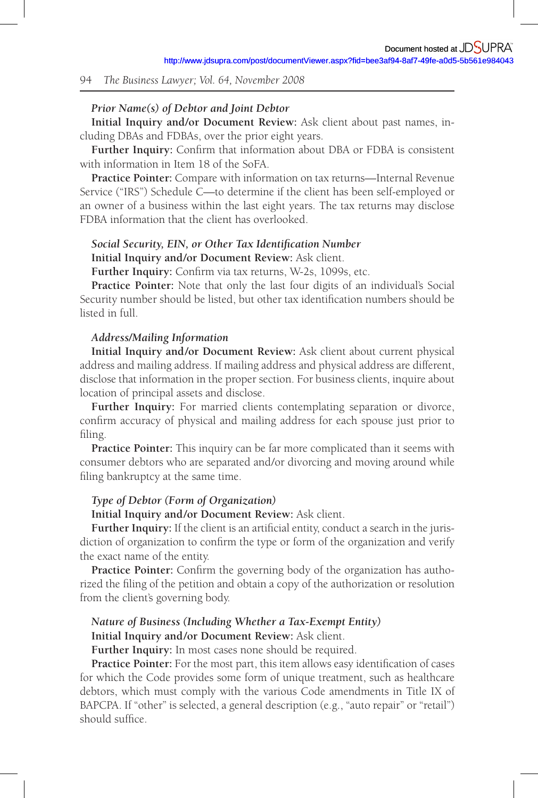#### *Prior Name(s) of Debtor and Joint Debtor*

**Initial Inquiry and /or Document Review:** Ask client about past names, including DBAs and FDBAs, over the prior eight years.

Further Inquiry: Confirm that information about DBA or FDBA is consistent with information in Item 18 of the SoFA.

**Practice Pointer:** Compare with information on tax returns—Internal Revenue Service ("IRS") Schedule C—to determine if the client has been self-employed or an owner of a business within the last eight years. The tax returns may disclose FDBA information that the client has overlooked.

## Social Security, EIN, or Other Tax Identification Number **Initial Inquiry and /or Document Review:** Ask client.

Further Inquiry: Confirm via tax returns, W-2s, 1099s, etc.

**Practice Pointer:** Note that only the last four digits of an individual's Social Security number should be listed, but other tax identification numbers should be listed in full.

#### *Address/Mailing Information*

**Initial Inquiry and /or Document Review:** Ask client about current physical address and mailing address. If mailing address and physical address are different, disclose that information in the proper section. For business clients, inquire about location of principal assets and disclose.

**Further Inquiry:** For married clients contemplating separation or divorce, confirm accuracy of physical and mailing address for each spouse just prior to filing.

**Practice Pointer:** This inquiry can be far more complicated than it seems with consumer debtors who are separated and /or divorcing and moving around while filing bankruptcy at the same time.

#### *Type of Debtor (Form of Organization)*

**Initial Inquiry and /or Document Review:** Ask client.

Further Inquiry: If the client is an artificial entity, conduct a search in the jurisdiction of organization to confirm the type or form of the organization and verify the exact name of the entity.

Practice Pointer: Confirm the governing body of the organization has authorized the filing of the petition and obtain a copy of the authorization or resolution from the client's governing body.

# *Nature of Business (Including Whether a Tax-Exempt Entity)*

# **Initial Inquiry and /or Document Review:** Ask client.

**Further Inquiry:** In most cases none should be required.

Practice Pointer: For the most part, this item allows easy identification of cases for which the Code provides some form of unique treatment, such as healthcare debtors, which must comply with the various Code amendments in Title IX of BAPCPA. If "other" is selected, a general description (e.g., "auto repair" or "retail")  $should$  suffice.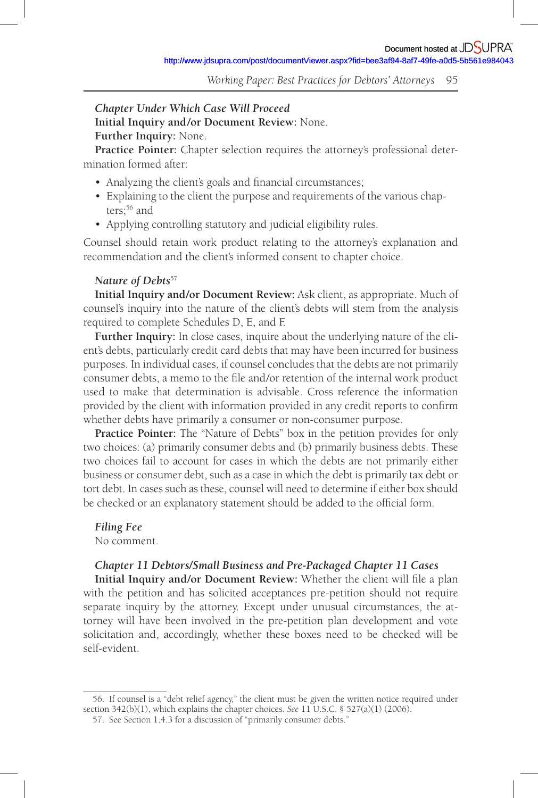*Chapter Under Which Case Will Proceed* **Initial Inquiry and /or Document Review:** None. **Further Inquiry:** None.

**Practice Pointer:** Chapter selection requires the attorney's professional determination formed after:

- Analyzing the client's goals and financial circumstances;
- Explaining to the client the purpose and requirements of the various chapters;<sup>56</sup> and
- Applying controlling statutory and judicial eligibility rules.

Counsel should retain work product relating to the attorney's explanation and recommendation and the client's informed consent to chapter choice.

#### *Nature of Debts*<sup>57</sup>

**Initial Inquiry and /or Document Review:** Ask client, as appropriate. Much of counsel's inquiry into the nature of the client's debts will stem from the analysis required to complete Schedules D, E, and F.

**Further Inquiry:** In close cases, inquire about the underlying nature of the client's debts, particularly credit card debts that may have been incurred for business purposes. In individual cases, if counsel concludes that the debts are not primarily consumer debts, a memo to the file and/or retention of the internal work product used to make that determination is advisable. Cross reference the information provided by the client with information provided in any credit reports to confirm whether debts have primarily a consumer or non-consumer purpose.

**Practice Pointer:** The "Nature of Debts" box in the petition provides for only two choices: (a) primarily consumer debts and (b) primarily business debts. These two choices fail to account for cases in which the debts are not primarily either business or consumer debt, such as a case in which the debt is primarily tax debt or tort debt. In cases such as these, counsel will need to determine if either box should be checked or an explanatory statement should be added to the official form.

#### *Filing Fee*

No comment.

#### *Chapter 11 Debtors/Small Business and Pre-Packaged Chapter 11 Cases*

**Initial Inquiry and/or Document Review:** Whether the client will file a plan with the petition and has solicited acceptances pre-petition should not require separate inquiry by the attorney. Except under unusual circumstances, the attorney will have been involved in the pre-petition plan development and vote solicitation and, accordingly, whether these boxes need to be checked will be self-evident.

<sup>56.</sup> If counsel is a "debt relief agency," the client must be given the written notice required under section 342(b)(1), which explains the chapter choices. *See* 11 U.S.C. § 527(a)(1) (2006).

<sup>57.</sup> See Section 1.4.3 for a discussion of "primarily consumer debts."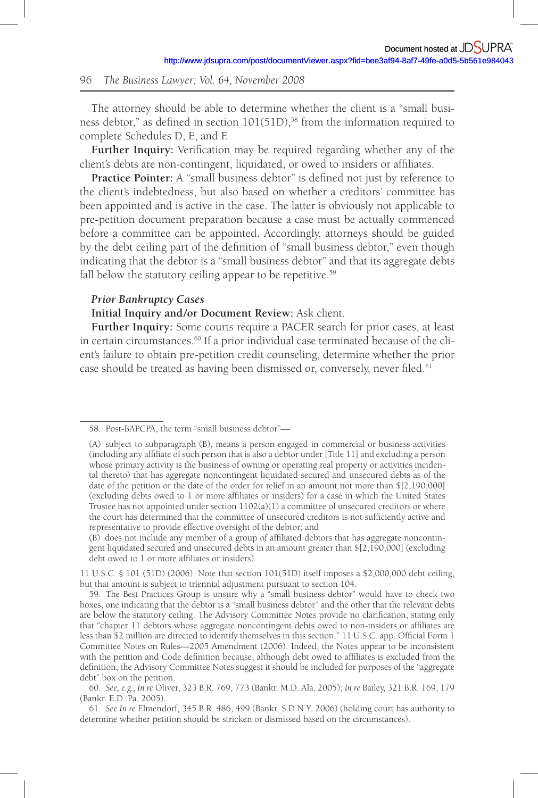The attorney should be able to determine whether the client is a "small business debtor," as defined in section  $101(51D)$ ,<sup>58</sup> from the information required to complete Schedules D, E, and F.

**Further Inquiry:** Verification may be required regarding whether any of the client's debts are non-contingent, liquidated, or owed to insiders or affiliates.

**Practice Pointer:** A "small business debtor" is defined not just by reference to the client's indebtedness, but also based on whether a creditors' committee has been appointed and is active in the case. The latter is obviously not applicable to pre-petition document preparation because a case must be actually commenced before a committee can be appointed. Accordingly, attorneys should be guided by the debt ceiling part of the definition of "small business debtor," even though indicating that the debtor is a "small business debtor" and that its aggregate debts fall below the statutory ceiling appear to be repetitive.<sup>59</sup>

#### *Prior Bankruptcy Cases*

**Initial Inquiry and /or Document Review:** Ask client.

**Further Inquiry:** Some courts require a PACER search for prior cases, at least in certain circumstances. 60 If a prior individual case terminated because of the client's failure to obtain pre-petition credit counseling, determine whether the prior case should be treated as having been dismissed or, conversely, never filed.<sup>61</sup>

 $(B)$  does not include any member of a group of affiliated debtors that has aggregate noncontingent liquidated secured and unsecured debts in an amount greater than \$[2,190,000] (excluding debt owed to 1 or more affiliates or insiders).

<sup>58.</sup> Post-BAPCPA, the term "small business debtor"—

<sup>(</sup>A) subject to subparagraph (B), means a person engaged in commercial or business activities (including any affiliate of such person that is also a debtor under [Title 11] and excluding a person whose primary activity is the business of owning or operating real property or activities incidental thereto) that has aggregate noncontingent liquidated secured and unsecured debts as of the date of the petition or the date of the order for relief in an amount not more than \$[2,190,000] (excluding debts owed to 1 or more affiliates or insiders) for a case in which the United States Trustee has not appointed under section 1102(a)(1) a committee of unsecured creditors or where the court has determined that the committee of unsecured creditors is not sufficiently active and representative to provide effective oversight of the debtor; and

<sup>11</sup> U.S.C. § 101 (51D) (2006). Note that section 101(51D) itself imposes a \$2,000,000 debt ceiling, but that amount is subject to triennial adjustment pursuant to section 104.

<sup>59.</sup> The Best Practices Group is unsure why a "small business debtor" would have to check two boxes, one indicating that the debtor is a "small business debtor" and the other that the relevant debts are below the statutory ceiling. The Advisory Committee Notes provide no clarification, stating only that "chapter 11 debtors whose aggregate noncontingent debts owed to non-insiders or affiliates are less than \$2 million are directed to identify themselves in this section." 11 U.S.C. app. Official Form 1 Committee Notes on Rules—2005 Amendment (2006). Indeed, the Notes appear to be inconsistent with the petition and Code definition because, although debt owed to affiliates is excluded from the definition, the Advisory Committee Notes suggest it should be included for purposes of the "aggregate debt" box on the petition.

<sup>60.</sup> *See, e.g., In re* Oliver, 323 B.R. 769, 773 (Bankr. M.D. Ala. 2005); *In re* Bailey, 321 B.R. 169, 179 (Bankr. E.D. Pa. 2005).

<sup>61.</sup> *See In re* Elmendorf, 345 B.R. 486, 499 (Bankr. S.D.N.Y. 2006) (holding court has authority to determine whether petition should be stricken or dismissed based on the circumstances).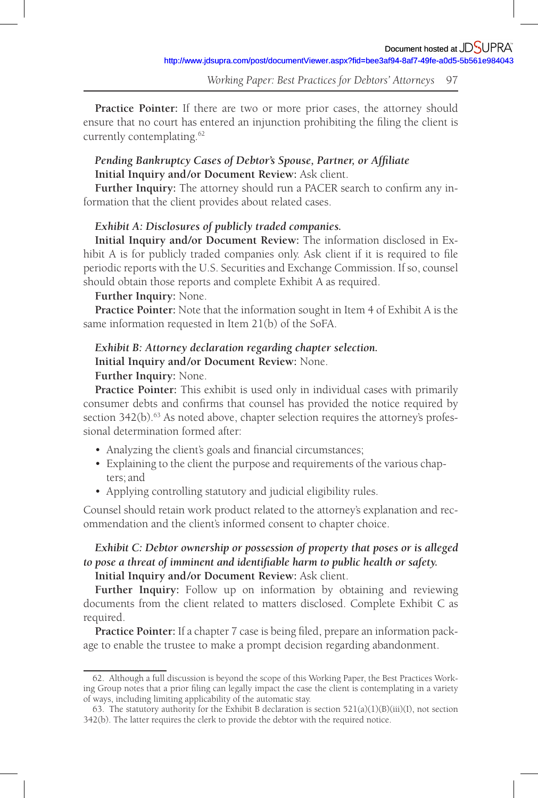**Practice Pointer:** If there are two or more prior cases, the attorney should ensure that no court has entered an injunction prohibiting the filing the client is currently contemplating. 62

# *Pending Bankruptcy Cases of Debtor's Spouse, Partner, or Affiliate* **Initial Inquiry and /or Document Review:** Ask client.

Further Inquiry: The attorney should run a PACER search to confirm any information that the client provides about related cases.

#### *Exhibit A: Disclosures of publicly traded companies.*

**Initial Inquiry and /or Document Review:** The information disclosed in Exhibit A is for publicly traded companies only. Ask client if it is required to file periodic reports with the U.S. Securities and Exchange Commission. If so, counsel should obtain those reports and complete Exhibit A as required.

#### **Further Inquiry:** None.

**Practice Pointer:** Note that the information sought in Item 4 of Exhibit A is the same information requested in Item 21(b) of the SoFA.

## *Exhibit B: Attorney declaration regarding chapter selection.* **Initial Inquiry and /or Document Review:** None.

#### **Further Inquiry:** None.

**Practice Pointer:** This exhibit is used only in individual cases with primarily consumer debts and confirms that counsel has provided the notice required by section  $342(b)$ .<sup>63</sup> As noted above, chapter selection requires the attorney's professional determination formed after:

- Analyzing the client's goals and financial circumstances;
- Explaining to the client the purpose and requirements of the various chapters; and
- Applying controlling statutory and judicial eligibility rules.

Counsel should retain work product related to the attorney's explanation and recommendation and the client's informed consent to chapter choice.

# *Exhibit C: Debtor ownership or possession of property that poses or is alleged to pose a threat of imminent and identifiable harm to public health or safety.* **Initial Inquiry and /or Document Review:** Ask client.

**Further Inquiry:** Follow up on information by obtaining and reviewing documents from the client related to matters disclosed. Complete Exhibit C as required.

Practice Pointer: If a chapter 7 case is being filed, prepare an information package to enable the trustee to make a prompt decision regarding abandonment.

<sup>62.</sup> Although a full discussion is beyond the scope of this Working Paper, the Best Practices Working Group notes that a prior filing can legally impact the case the client is contemplating in a variety of ways, including limiting applicability of the automatic stay.

<sup>63.</sup> The statutory authority for the Exhibit B declaration is section 521(a)(1)(B)(iii)(I), not section 342(b). The latter requires the clerk to provide the debtor with the required notice.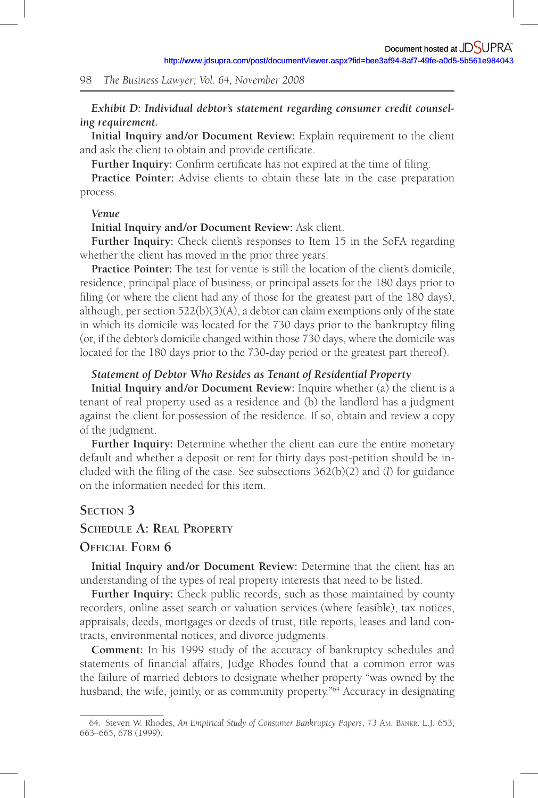## *Exhibit D: Individual debtor's statement regarding consumer credit counseling requirement.*

**Initial Inquiry and /or Document Review:** Explain requirement to the client and ask the client to obtain and provide certificate.

**Further Inquiry:** Confirm certificate has not expired at the time of filing.

**Practice Pointer:** Advise clients to obtain these late in the case preparation process.

#### *Venue*

**Initial Inquiry and /or Document Review:** Ask client.

**Further Inquiry:** Check client's responses to Item 15 in the SoFA regarding whether the client has moved in the prior three years.

**Practice Pointer:** The test for venue is still the location of the client's domicile, residence, principal place of business, or principal assets for the 180 days prior to filing (or where the client had any of those for the greatest part of the 180 days), although, per section  $522(b)(3)(A)$ , a debtor can claim exemptions only of the state in which its domicile was located for the 730 days prior to the bankruptcy filing (or, if the debtor's domicile changed within those 730 days, where the domicile was located for the 180 days prior to the 730-day period or the greatest part thereof).

#### *Statement of Debtor Who Resides as Tenant of Residential Property*

**Initial Inquiry and /or Document Review:** Inquire whether (a) the client is a tenant of real property used as a residence and (b) the landlord has a judgment against the client for possession of the residence. If so, obtain and review a copy of the judgment.

**Further Inquiry:** Determine whether the client can cure the entire monetary default and whether a deposit or rent for thirty days post-petition should be included with the filing of the case. See subsections  $362(b)(2)$  and (*l*) for guidance on the information needed for this item.

# **SECTION 3**

## **SCHEDULE A: REAL PROPERTY**

## **OFFICIAL FORM 6**

**Initial Inquiry and /or Document Review:** Determine that the client has an understanding of the types of real property interests that need to be listed.

**Further Inquiry:** Check public records, such as those maintained by county recorders, online asset search or valuation services (where feasible), tax notices, appraisals, deeds, mortgages or deeds of trust, title reports, leases and land contracts, environmental notices, and divorce judgments.

**Comment:** In his 1999 study of the accuracy of bankruptcy schedules and statements of financial affairs, Judge Rhodes found that a common error was the failure of married debtors to designate whether property "was owned by the husband, the wife, jointly, or as community property."<sup>64</sup> Accuracy in designating

<sup>64.</sup> Steven W. Rhodes, *An Empirical Study of Consumer Bankruptcy Papers*, 73 AM. BANKR. L.J. 653, 663–665, 678 (1999).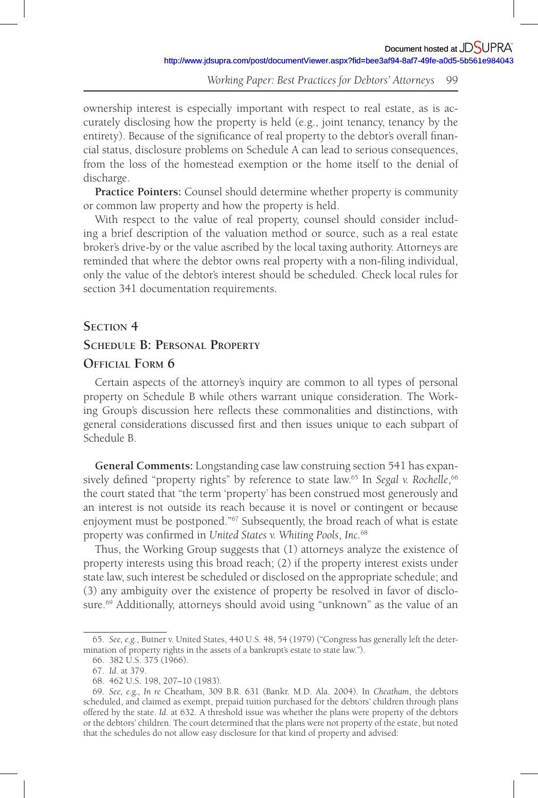ownership interest is especially important with respect to real estate, as is accurately disclosing how the property is held (e.g., joint tenancy, tenancy by the entirety). Because of the significance of real property to the debtor's overall financial status, disclosure problems on Schedule A can lead to serious consequences, from the loss of the homestead exemption or the home itself to the denial of discharge.

**Practice Pointers:** Counsel should determine whether property is community or common law property and how the property is held.

With respect to the value of real property, counsel should consider including a brief description of the valuation method or source, such as a real estate broker's drive-by or the value ascribed by the local taxing authority. Attorneys are reminded that where the debtor owns real property with a non-filing individual, only the value of the debtor's interest should be scheduled. Check local rules for section 341 documentation requirements.

#### **SECTION 4**

# **SCHEDULE B: PERSONAL PROPERTY**

## **OFFICIAL FORM 6**

Certain aspects of the attorney's inquiry are common to all types of personal property on Schedule B while others warrant unique consideration. The Working Group's discussion here reflects these commonalities and distinctions, with general considerations discussed first and then issues unique to each subpart of Schedule B.

**General Comments:** Longstanding case law construing section 541 has expansively defined "property rights" by reference to state law.<sup>65</sup> In *Segal v. Rochelle*,<sup>66</sup> the court stated that "the term 'property' has been construed most generously and an interest is not outside its reach because it is novel or contingent or because enjoyment must be postponed."<sup>67</sup> Subsequently, the broad reach of what is estate property was confirmed in *United States v. Whiting Pools*, *Inc.*<sup>68</sup>

Thus, the Working Group suggests that (1) attorneys analyze the existence of property interests using this broad reach; (2) if the property interest exists under state law, such interest be scheduled or disclosed on the appropriate schedule; and (3) any ambiguity over the existence of property be resolved in favor of disclosure.<sup>69</sup> Additionally, attorneys should avoid using "unknown" as the value of an

<sup>65.</sup> *See, e.g.*, Butner v. United States, 440 U.S. 48, 54 (1979) ("Congress has generally left the determination of property rights in the assets of a bankrupt's estate to state law.").

<sup>66. 382</sup> U.S. 375 (1966).

<sup>67.</sup> *Id*. at 379.

<sup>68. 462</sup> U.S. 198, 207–10 (1983).

<sup>69.</sup> *See, e.g., In re* Cheatham, 309 B.R. 631 (Bankr. M.D. Ala. 2004). In *Cheatham*, the debtors scheduled, and claimed as exempt, prepaid tuition purchased for the debtors' children through plans offered by the state. *Id*. at 632. A threshold issue was whether the plans were property of the debtors or the debtors' children. The court determined that the plans were not property of the estate, but noted that the schedules do not allow easy disclosure for that kind of property and advised: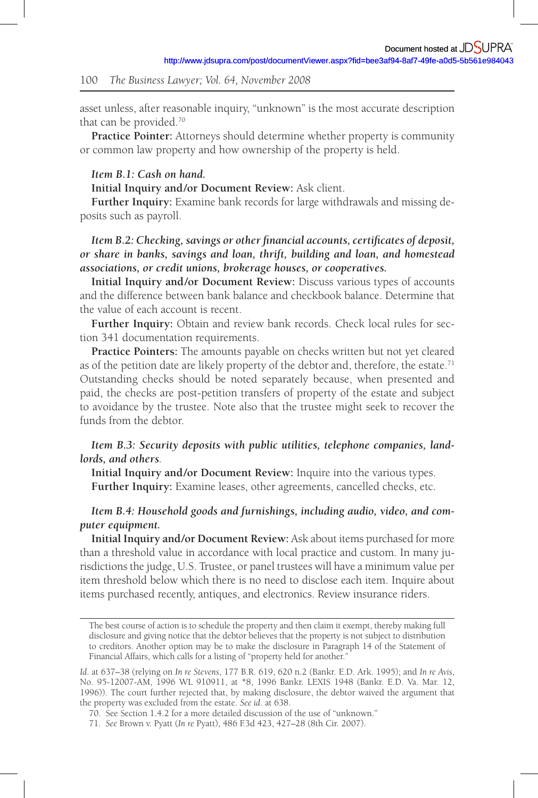asset unless, after reasonable inquiry, "unknown" is the most accurate description that can be provided.<sup>70</sup>

**Practice Pointer:** Attorneys should determine whether property is community or common law property and how ownership of the property is held.

## *Item B.1: Cash on hand.*

**Initial Inquiry and /or Document Review:** Ask client.

**Further Inquiry:** Examine bank records for large withdrawals and missing deposits such as payroll.

# *Item B.2: Checking, savings or other financial accounts, certificates of deposit, or share in banks, savings and loan, thrift, building and loan, and homestead associations, or credit unions, brokerage houses, or cooperatives.*

**Initial Inquiry and /or Document Review:** Discuss various types of accounts and the difference between bank balance and checkbook balance. Determine that the value of each account is recent.

**Further Inquiry:** Obtain and review bank records. Check local rules for section 341 documentation requirements.

**Practice Pointers:** The amounts payable on checks written but not yet cleared as of the petition date are likely property of the debtor and, therefore, the estate.<sup>71</sup> Outstanding checks should be noted separately because, when presented and paid, the checks are post-petition transfers of property of the estate and subject to avoidance by the trustee. Note also that the trustee might seek to recover the funds from the debtor.

# *Item B.3: Security deposits with public utilities, telephone companies, landlords, and others.*

**Initial Inquiry and /or Document Review:** Inquire into the various types. **Further Inquiry:** Examine leases, other agreements, cancelled checks, etc.

## *Item B.4: Household goods and furnishings, including audio, video, and computer equipment.*

**Initial Inquiry and /or Document Review:** Ask about items purchased for more than a threshold value in accordance with local practice and custom. In many jurisdictions the judge, U.S. Trustee, or panel trustees will have a minimum value per item threshold below which there is no need to disclose each item. Inquire about items purchased recently, antiques, and electronics. Review insurance riders.

The best course of action is to schedule the property and then claim it exempt, thereby making full disclosure and giving notice that the debtor believes that the property is not subject to distribution to creditors. Another option may be to make the disclosure in Paragraph 14 of the Statement of Financial Affairs, which calls for a listing of "property held for another."

*Id*. at 637–38 (relying on *In re Stevens*, 177 B.R. 619, 620 n.2 (Bankr. E.D. Ark. 1995); and *In re Avis*, No. 95-12007-AM, 1996 WL 910911, at \*8, 1996 Bankr. LEXIS 1948 (Bankr. E.D. Va. Mar. 12, 1996)). The court further rejected that, by making disclosure, the debtor waived the argument that the property was excluded from the estate. *See id*. at 638.

<sup>70.</sup> See Section 1.4.2 for a more detailed discussion of the use of "unknown."

<sup>71.</sup> *See* Brown v. Pyatt (*In re* Pyatt), 486 F.3d 423, 427–28 (8th Cir. 2007).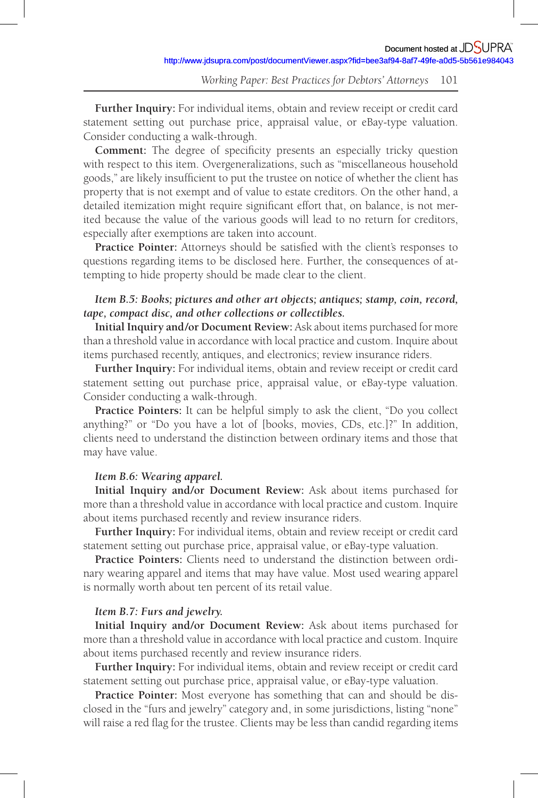**Further Inquiry:** For individual items, obtain and review receipt or credit card statement setting out purchase price, appraisal value, or eBay-type valuation. Consider conducting a walk-through.

**Comment:** The degree of specificity presents an especially tricky question with respect to this item. Overgeneralizations, such as "miscellaneous household goods," are likely insufficient to put the trustee on notice of whether the client has property that is not exempt and of value to estate creditors. On the other hand, a detailed itemization might require significant effort that, on balance, is not merited because the value of the various goods will lead to no return for creditors, especially after exemptions are taken into account.

Practice Pointer: Attorneys should be satisfied with the client's responses to questions regarding items to be disclosed here. Further, the consequences of attempting to hide property should be made clear to the client.

## *Item B.5: Books; pictures and other art objects; antiques; stamp, coin, record, tape, compact disc, and other collections or collectibles.*

**Initial Inquiry and /or Document Review:** Ask about items purchased for more than a threshold value in accordance with local practice and custom. Inquire about items purchased recently, antiques, and electronics; review insurance riders.

**Further Inquiry:** For individual items, obtain and review receipt or credit card statement setting out purchase price, appraisal value, or eBay-type valuation. Consider conducting a walk-through.

**Practice Pointers:** It can be helpful simply to ask the client, "Do you collect anything?" or "Do you have a lot of [books, movies, CDs, etc.]?" In addition, clients need to understand the distinction between ordinary items and those that may have value.

#### *Item B.6: Wearing apparel.*

**Initial Inquiry and /or Document Review:** Ask about items purchased for more than a threshold value in accordance with local practice and custom. Inquire about items purchased recently and review insurance riders.

**Further Inquiry:** For individual items, obtain and review receipt or credit card statement setting out purchase price, appraisal value, or eBay-type valuation.

**Practice Pointers:** Clients need to understand the distinction between ordinary wearing apparel and items that may have value. Most used wearing apparel is normally worth about ten percent of its retail value.

#### *Item B.7: Furs and jewelry.*

**Initial Inquiry and /or Document Review:** Ask about items purchased for more than a threshold value in accordance with local practice and custom. Inquire about items purchased recently and review insurance riders.

**Further Inquiry:** For individual items, obtain and review receipt or credit card statement setting out purchase price, appraisal value, or eBay-type valuation.

**Practice Pointer:** Most everyone has something that can and should be disclosed in the "furs and jewelry" category and, in some jurisdictions, listing "none" will raise a red flag for the trustee. Clients may be less than candid regarding items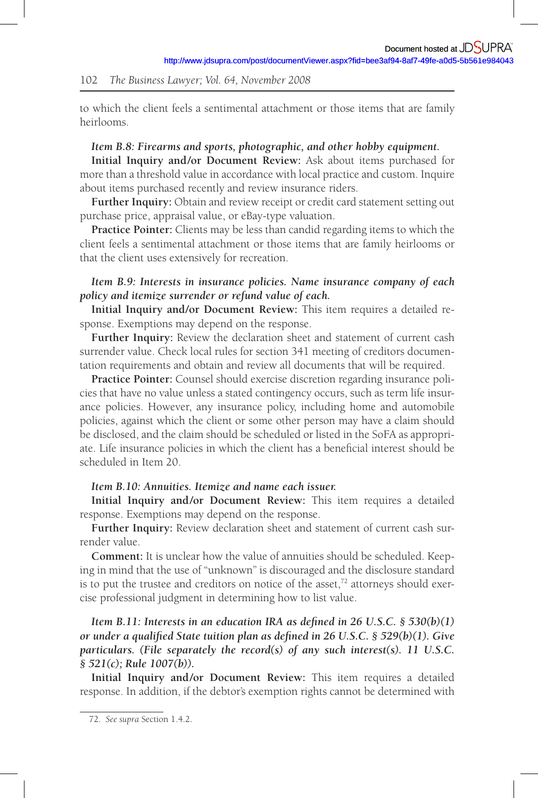to which the client feels a sentimental attachment or those items that are family heirlooms.

#### *Item B.8: Firearms and sports, photographic, and other hobby equipment.*

**Initial Inquiry and /or Document Review:** Ask about items purchased for more than a threshold value in accordance with local practice and custom. Inquire about items purchased recently and review insurance riders.

**Further Inquiry:** Obtain and review receipt or credit card statement setting out purchase price, appraisal value, or eBay-type valuation.

**Practice Pointer:** Clients may be less than candid regarding items to which the client feels a sentimental attachment or those items that are family heirlooms or that the client uses extensively for recreation.

## *Item B.9: Interests in insurance policies. Name insurance company of each policy and itemize surrender or refund value of each.*

**Initial Inquiry and /or Document Review:** This item requires a detailed response. Exemptions may depend on the response.

**Further Inquiry:** Review the declaration sheet and statement of current cash surrender value. Check local rules for section 341 meeting of creditors documentation requirements and obtain and review all documents that will be required.

**Practice Pointer:** Counsel should exercise discretion regarding insurance policies that have no value unless a stated contingency occurs, such as term life insurance policies. However, any insurance policy, including home and automobile policies, against which the client or some other person may have a claim should be disclosed, and the claim should be scheduled or listed in the SoFA as appropriate. Life insurance policies in which the client has a beneficial interest should be scheduled in Item 20.

#### *Item B.10: Annuities. Itemize and name each issuer.*

**Initial Inquiry and /or Document Review:** This item requires a detailed response. Exemptions may depend on the response.

**Further Inquiry:** Review declaration sheet and statement of current cash surrender value.

**Comment:** It is unclear how the value of annuities should be scheduled. Keeping in mind that the use of "unknown" is discouraged and the disclosure standard is to put the trustee and creditors on notice of the asset, $72$  attorneys should exercise professional judgment in determining how to list value.

*Item B.11: Interests in an education IRA as defined in 26 U.S.C. § 530(b)(1) or under a qualified State tuition plan as defined in 26 U.S.C. § 529(b)(1). Give particulars. (File separately the record(s) of any such interest(s). 11 U.S.C. § 521(c); Rule 1007(b)).* 

**Initial Inquiry and /or Document Review:** This item requires a detailed response. In addition, if the debtor's exemption rights cannot be determined with

<sup>72.</sup> *See supra* Section 1.4.2.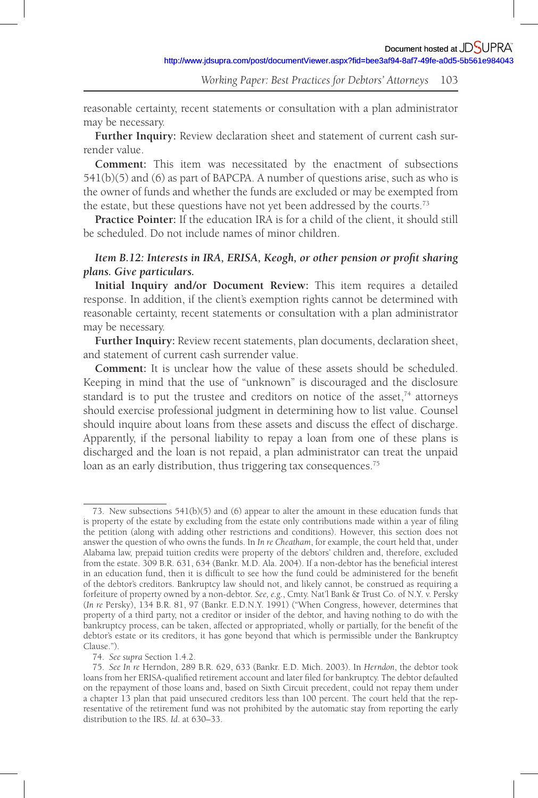reasonable certainty, recent statements or consultation with a plan administrator may be necessary.

**Further Inquiry:** Review declaration sheet and statement of current cash surrender value.

**Comment:** This item was necessitated by the enactment of subsections 541(b)(5) and (6) as part of BAPCPA. A number of questions arise, such as who is the owner of funds and whether the funds are excluded or may be exempted from the estate, but these questions have not yet been addressed by the courts.<sup>73</sup>

**Practice Pointer:** If the education IRA is for a child of the client, it should still be scheduled. Do not include names of minor children.

### *Item B.12: Interests in IRA, ERISA, Keogh, or other pension or profit sharing plans. Give particulars.*

**Initial Inquiry and /or Document Review:** This item requires a detailed response. In addition, if the client's exemption rights cannot be determined with reasonable certainty, recent statements or consultation with a plan administrator may be necessary.

**Further Inquiry:** Review recent statements, plan documents, declaration sheet, and statement of current cash surrender value.

**Comment:** It is unclear how the value of these assets should be scheduled. Keeping in mind that the use of "unknown" is discouraged and the disclosure standard is to put the trustee and creditors on notice of the asset, $74$  attorneys should exercise professional judgment in determining how to list value. Counsel should inquire about loans from these assets and discuss the effect of discharge. Apparently, if the personal liability to repay a loan from one of these plans is discharged and the loan is not repaid, a plan administrator can treat the unpaid loan as an early distribution, thus triggering tax consequences.<sup>75</sup>

<sup>73.</sup> New subsections 541(b)(5) and (6) appear to alter the amount in these education funds that is property of the estate by excluding from the estate only contributions made within a year of filing the petition (along with adding other restrictions and conditions). However, this section does not answer the question of who owns the funds. In *In re Cheatham*, for example, the court held that, under Alabama law, prepaid tuition credits were property of the debtors' children and, therefore, excluded from the estate. 309 B.R. 631, 634 (Bankr. M.D. Ala. 2004). If a non-debtor has the beneficial interest in an education fund, then it is difficult to see how the fund could be administered for the benefit of the debtor's creditors. Bankruptcy law should not, and likely cannot, be construed as requiring a forfeiture of property owned by a non-debtor. *See, e.g.*, Cmty. Nat'l Bank & Trust Co. of N.Y. v. Persky (*In re* Persky), 134 B.R. 81, 97 (Bankr. E.D.N.Y. 1991) ("When Congress, however, determines that property of a third party, not a creditor or insider of the debtor, and having nothing to do with the bankruptcy process, can be taken, affected or appropriated, wholly or partially, for the benefi t of the debtor's estate or its creditors, it has gone beyond that which is permissible under the Bankruptcy Clause.").

<sup>74.</sup> *See supra* Section 1.4.2.

<sup>75.</sup> *See In re* Herndon, 289 B.R. 629, 633 (Bankr. E.D. Mich. 2003). In *Herndon*, the debtor took loans from her ERISA-qualified retirement account and later filed for bankruptcy. The debtor defaulted on the repayment of those loans and, based on Sixth Circuit precedent, could not repay them under a chapter 13 plan that paid unsecured creditors less than 100 percent. The court held that the representative of the retirement fund was not prohibited by the automatic stay from reporting the early distribution to the IRS. *Id*. at 630–33.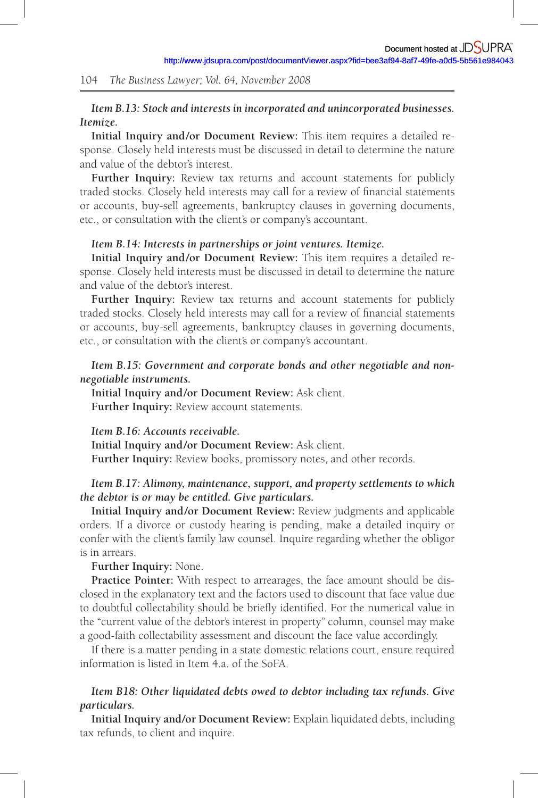## *Item B.13: Stock and interests in incorporated and unincorporated businesses. Itemize.*

**Initial Inquiry and /or Document Review:** This item requires a detailed response. Closely held interests must be discussed in detail to determine the nature and value of the debtor's interest.

**Further Inquiry:** Review tax returns and account statements for publicly traded stocks. Closely held interests may call for a review of financial statements or accounts, buy-sell agreements, bankruptcy clauses in governing documents, etc., or consultation with the client's or company's accountant.

#### *Item B.14: Interests in partnerships or joint ventures. Itemize.*

**Initial Inquiry and /or Document Review:** This item requires a detailed response. Closely held interests must be discussed in detail to determine the nature and value of the debtor's interest.

**Further Inquiry:** Review tax returns and account statements for publicly traded stocks. Closely held interests may call for a review of financial statements or accounts, buy-sell agreements, bankruptcy clauses in governing documents, etc., or consultation with the client's or company's accountant.

## *Item B.15: Government and corporate bonds and other negotiable and nonnegotiable instruments.*

**Initial Inquiry and /or Document Review:** Ask client. **Further Inquiry:** Review account statements.

*Item B.16: Accounts receivable.*  **Initial Inquiry and /or Document Review:** Ask client. **Further Inquiry:** Review books, promissory notes, and other records.

#### *Item B.17: Alimony, maintenance, support, and property settlements to which the debtor is or may be entitled. Give particulars.*

**Initial Inquiry and /or Document Review:** Review judgments and applicable orders. If a divorce or custody hearing is pending, make a detailed inquiry or confer with the client's family law counsel. Inquire regarding whether the obligor is in arrears.

**Further Inquiry:** None.

**Practice Pointer:** With respect to arrearages, the face amount should be disclosed in the explanatory text and the factors used to discount that face value due to doubtful collectability should be briefly identified. For the numerical value in the "current value of the debtor's interest in property" column, counsel may make a good-faith collectability assessment and discount the face value accordingly.

If there is a matter pending in a state domestic relations court, ensure required information is listed in Item 4.a. of the SoFA.

# *Item B18: Other liquidated debts owed to debtor including tax refunds. Give particulars.*

**Initial Inquiry and /or Document Review:** Explain liquidated debts, including tax refunds, to client and inquire.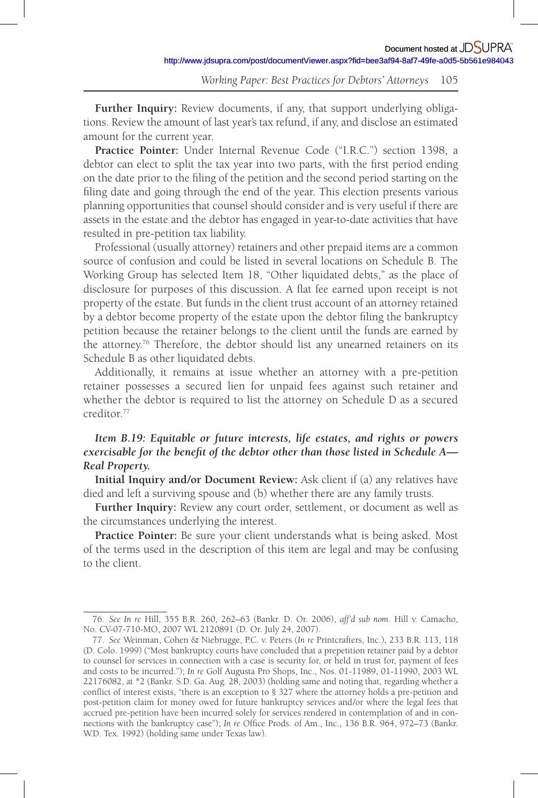**Further Inquiry:** Review documents, if any, that support underlying obligations. Review the amount of last year's tax refund, if any, and disclose an estimated amount for the current year.

**Practice Pointer:** Under Internal Revenue Code ("I.R.C.") section 1398, a debtor can elect to split the tax year into two parts, with the first period ending on the date prior to the filing of the petition and the second period starting on the filing date and going through the end of the year. This election presents various planning opportunities that counsel should consider and is very useful if there are assets in the estate and the debtor has engaged in year-to-date activities that have resulted in pre-petition tax liability.

Professional (usually attorney) retainers and other prepaid items are a common source of confusion and could be listed in several locations on Schedule B. The Working Group has selected Item 18, "Other liquidated debts," as the place of disclosure for purposes of this discussion. A flat fee earned upon receipt is not property of the estate. But funds in the client trust account of an attorney retained by a debtor become property of the estate upon the debtor filing the bankruptcy petition because the retainer belongs to the client until the funds are earned by the attorney.<sup>76</sup> Therefore, the debtor should list any unearned retainers on its Schedule B as other liquidated debts.

Additionally, it remains at issue whether an attorney with a pre-petition retainer possesses a secured lien for unpaid fees against such retainer and whether the debtor is required to list the attorney on Schedule D as a secured creditor. 77

# *Item B.19: Equitable or future interests, life estates, and rights or powers exercisable for the benefit of the debtor other than those listed in Schedule A*— *Real Property.*

**Initial Inquiry and /or Document Review:** Ask client if (a) any relatives have died and left a surviving spouse and (b) whether there are any family trusts.

**Further Inquiry:** Review any court order, settlement, or document as well as the circumstances underlying the interest.

**Practice Pointer:** Be sure your client understands what is being asked. Most of the terms used in the description of this item are legal and may be confusing to the client.

<sup>76.</sup> *See In re* Hill, 355 B.R. 260, 262–63 (Bankr. D. Or. 2006), *aff'd sub nom*. Hill v. Camacho, No. CV-07-710-MO, 2007 WL 2120891 (D. Or. July 24, 2007).

<sup>77.</sup> *See* Weinman, Cohen & Niebrugge, P.C. v. Peters (*In re* Printcrafters, Inc.), 233 B.R. 113, 118 (D. Colo. 1999) ("Most bankruptcy courts have concluded that a prepetition retainer paid by a debtor to counsel for services in connection with a case is security for, or held in trust for, payment of fees and costs to be incurred."); *In re* Golf Augusta Pro Shops, Inc., Nos. 01-11989, 01-11990, 2003 WL 22176082, at \*2 (Bankr. S.D. Ga. Aug. 28, 2003) (holding same and noting that, regarding whether a conflict of interest exists, "there is an exception to § 327 where the attorney holds a pre-petition and post-petition claim for money owed for future bankruptcy services and /or where the legal fees that accrued pre-petition have been incurred solely for services rendered in contemplation of and in connections with the bankruptcy case"); *In re* Office Prods. of Am., Inc., 136 B.R. 964, 972–73 (Bankr. W.D. Tex. 1992) (holding same under Texas law).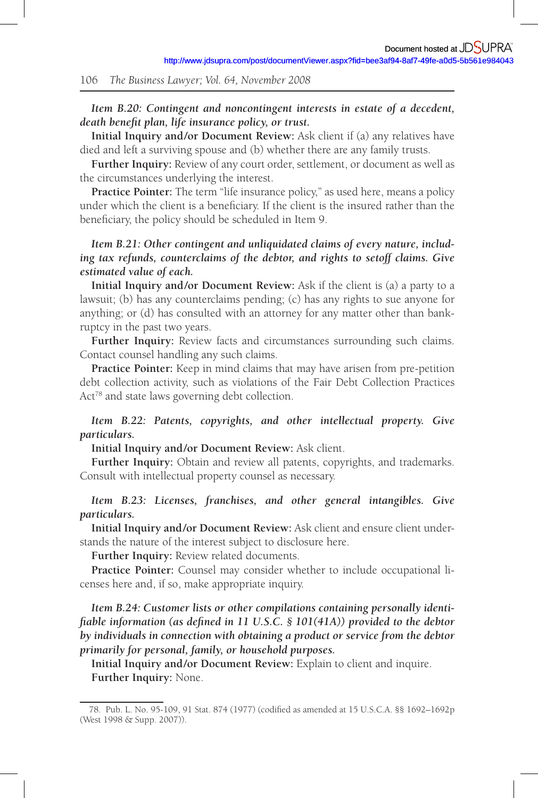### *Item B.20: Contingent and noncontingent interests in estate of a decedent, death benefit plan, life insurance policy, or trust.*

**Initial Inquiry and /or Document Review:** Ask client if (a) any relatives have died and left a surviving spouse and (b) whether there are any family trusts.

**Further Inquiry:** Review of any court order, settlement, or document as well as the circumstances underlying the interest.

**Practice Pointer:** The term "life insurance policy," as used here, means a policy under which the client is a beneficiary. If the client is the insured rather than the beneficiary, the policy should be scheduled in Item 9.

## *Item B.21: Other contingent and unliquidated claims of every nature, including tax refunds, counterclaims of the debtor, and rights to setoff claims. Give estimated value of each.*

**Initial Inquiry and /or Document Review:** Ask if the client is (a) a party to a lawsuit; (b) has any counterclaims pending; (c) has any rights to sue anyone for anything; or (d) has consulted with an attorney for any matter other than bankruptcy in the past two years.

**Further Inquiry:** Review facts and circumstances surrounding such claims. Contact counsel handling any such claims.

**Practice Pointer:** Keep in mind claims that may have arisen from pre-petition debt collection activity, such as violations of the Fair Debt Collection Practices Act<sup>78</sup> and state laws governing debt collection.

# *Item B.22: Patents, copyrights, and other intellectual property. Give particulars.*

#### **Initial Inquiry and /or Document Review:** Ask client.

**Further Inquiry:** Obtain and review all patents, copyrights, and trademarks. Consult with intellectual property counsel as necessary.

## *Item B.23: Licenses, franchises, and other general intangibles. Give particulars.*

**Initial Inquiry and /or Document Review:** Ask client and ensure client understands the nature of the interest subject to disclosure here.

**Further Inquiry:** Review related documents.

**Practice Pointer:** Counsel may consider whether to include occupational licenses here and, if so, make appropriate inquiry.

*Item B.24: Customer lists or other compilations containing personally identifiable information (as defined in 11 U.S.C. § 101(41A)) provided to the debtor by individuals in connection with obtaining a product or service from the debtor primarily for personal, family, or household purposes.* 

**Initial Inquiry and /or Document Review:** Explain to client and inquire. **Further Inquiry:** None.

<sup>78.</sup> Pub. L. No. 95-109, 91 Stat. 874 (1977) (codified as amended at 15 U.S.C.A. §§ 1692-1692p (West 1998 & Supp. 2007)).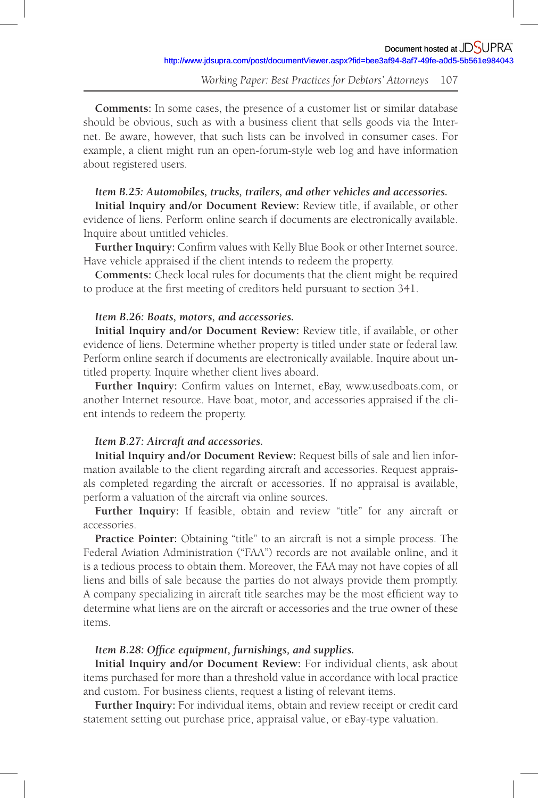**Comments:** In some cases, the presence of a customer list or similar database should be obvious, such as with a business client that sells goods via the Internet. Be aware, however, that such lists can be involved in consumer cases. For example, a client might run an open-forum-style web log and have information about registered users.

#### *Item B.25: Automobiles, trucks, trailers, and other vehicles and accessories.*

**Initial Inquiry and /or Document Review:** Review title, if available, or other evidence of liens. Perform online search if documents are electronically available. Inquire about untitled vehicles.

Further Inquiry: Confirm values with Kelly Blue Book or other Internet source. Have vehicle appraised if the client intends to redeem the property.

**Comments:** Check local rules for documents that the client might be required to produce at the first meeting of creditors held pursuant to section 341.

#### *Item B.26: Boats, motors, and accessories.*

**Initial Inquiry and /or Document Review:** Review title, if available, or other evidence of liens. Determine whether property is titled under state or federal law. Perform online search if documents are electronically available. Inquire about untitled property. Inquire whether client lives aboard.

Further Inquiry: Confirm values on Internet, eBay, www.usedboats.com, or another Internet resource. Have boat, motor, and accessories appraised if the client intends to redeem the property.

#### *Item B.27: Aircraft and accessories.*

**Initial Inquiry and /or Document Review:** Request bills of sale and lien information available to the client regarding aircraft and accessories. Request appraisals completed regarding the aircraft or accessories. If no appraisal is available, perform a valuation of the aircraft via online sources.

Further Inquiry: If feasible, obtain and review "title" for any aircraft or accessories.

**Practice Pointer:** Obtaining "title" to an aircraft is not a simple process. The Federal Aviation Administration ("FAA") records are not available online, and it is a tedious process to obtain them. Moreover, the FAA may not have copies of all liens and bills of sale because the parties do not always provide them promptly. A company specializing in aircraft title searches may be the most efficient way to determine what liens are on the aircraft or accessories and the true owner of these items.

#### Item B.28: Office equipment, furnishings, and supplies.

**Initial Inquiry and /or Document Review:** For individual clients, ask about items purchased for more than a threshold value in accordance with local practice and custom. For business clients, request a listing of relevant items.

**Further Inquiry:** For individual items, obtain and review receipt or credit card statement setting out purchase price, appraisal value, or eBay-type valuation.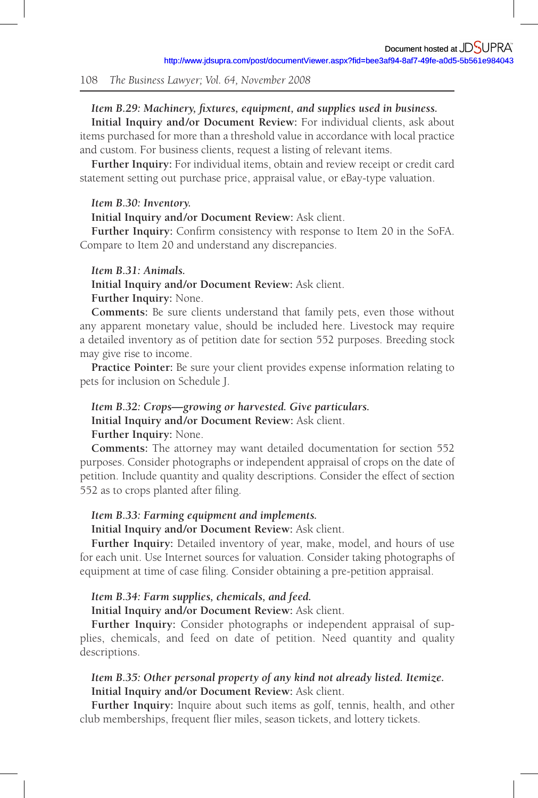#### *Item B.29: Machinery, fixtures, equipment, and supplies used in business.*

**Initial Inquiry and /or Document Review:** For individual clients, ask about items purchased for more than a threshold value in accordance with local practice and custom. For business clients, request a listing of relevant items.

**Further Inquiry:** For individual items, obtain and review receipt or credit card statement setting out purchase price, appraisal value, or eBay-type valuation.

#### *Item B.30: Inventory.*

#### **Initial Inquiry and /or Document Review:** Ask client.

**Further Inquiry:** Confirm consistency with response to Item 20 in the SoFA. Compare to Item 20 and understand any discrepancies.

#### *Item B.31: Animals.*

**Initial Inquiry and /or Document Review:** Ask client.

# **Further Inquiry:** None.

**Comments:** Be sure clients understand that family pets, even those without any apparent monetary value, should be included here. Livestock may require a detailed inventory as of petition date for section 552 purposes. Breeding stock may give rise to income.

**Practice Pointer:** Be sure your client provides expense information relating to pets for inclusion on Schedule J.

#### *Item B.32: Crops—growing or harvested. Give particulars.*

**Initial Inquiry and /or Document Review:** Ask client.

**Further Inquiry:** None.

**Comments:** The attorney may want detailed documentation for section 552 purposes. Consider photographs or independent appraisal of crops on the date of petition. Include quantity and quality descriptions. Consider the effect of section 552 as to crops planted after filing.

#### *Item B.33: Farming equipment and implements.*

### **Initial Inquiry and /or Document Review:** Ask client.

**Further Inquiry:** Detailed inventory of year, make, model, and hours of use for each unit. Use Internet sources for valuation. Consider taking photographs of equipment at time of case filing. Consider obtaining a pre-petition appraisal.

#### *Item B.34: Farm supplies, chemicals, and feed.*

**Initial Inquiry and /or Document Review:** Ask client.

**Further Inquiry:** Consider photographs or independent appraisal of supplies, chemicals, and feed on date of petition. Need quantity and quality descriptions.

## *Item B.35: Other personal property of any kind not already listed. Itemize.*  **Initial Inquiry and /or Document Review:** Ask client.

**Further Inquiry:** Inquire about such items as golf, tennis, health, and other club memberships, frequent flier miles, season tickets, and lottery tickets.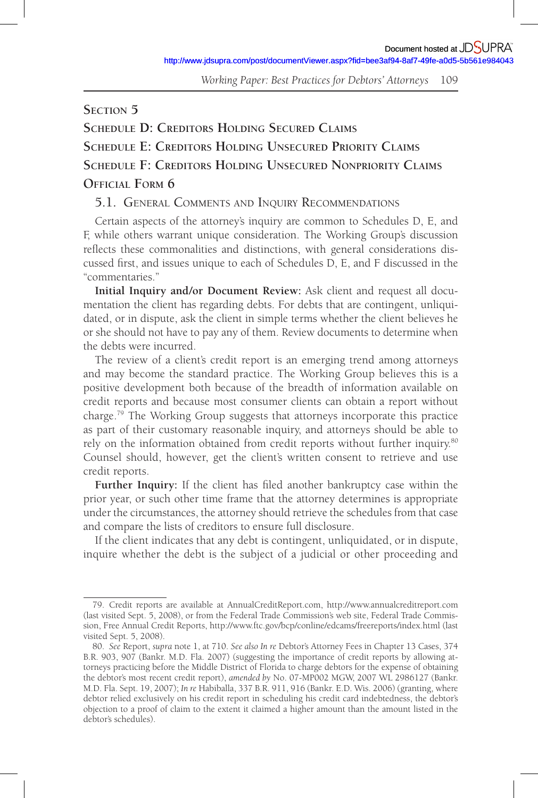## **SECTION 5**

**SCHEDULE D: CREDITORS HOLDING SECURED CLAIMS SCHEDULE E: CREDITORS HOLDING UNSECURED PRIORITY CLAIMS SCHEDULE F: CREDITORS HOLDING UNSECURED NONPRIORITY CLAIMS OFFICIAL FORM 6** 

# 5.1. GENERAL COMMENTS AND INQUIRY RECOMMENDATIONS

Certain aspects of the attorney's inquiry are common to Schedules D, E, and F, while others warrant unique consideration. The Working Group's discussion reflects these commonalities and distinctions, with general considerations discussed first, and issues unique to each of Schedules D, E, and F discussed in the "commentaries."

**Initial Inquiry and /or Document Review:** Ask client and request all documentation the client has regarding debts. For debts that are contingent, unliquidated, or in dispute, ask the client in simple terms whether the client believes he or she should not have to pay any of them. Review documents to determine when the debts were incurred.

The review of a client's credit report is an emerging trend among attorneys and may become the standard practice. The Working Group believes this is a positive development both because of the breadth of information available on credit reports and because most consumer clients can obtain a report without charge. 79 The Working Group suggests that attorneys incorporate this practice as part of their customary reasonable inquiry, and attorneys should be able to rely on the information obtained from credit reports without further inquiry.<sup>80</sup> Counsel should, however, get the client's written consent to retrieve and use credit reports.

Further Inquiry: If the client has filed another bankruptcy case within the prior year, or such other time frame that the attorney determines is appropriate under the circumstances, the attorney should retrieve the schedules from that case and compare the lists of creditors to ensure full disclosure.

If the client indicates that any debt is contingent, unliquidated, or in dispute, inquire whether the debt is the subject of a judicial or other proceeding and

<sup>79.</sup> Credit reports are available at AnnualCreditReport.com, http://www.annualcreditreport.com (last visited Sept. 5, 2008), or from the Federal Trade Commission's web site, Federal Trade Commission, Free Annual Credit Reports, http://www.ftc.gov/bcp/conline/edcams/freereports/index.html (last visited Sept. 5, 2008).

<sup>80.</sup> *See* Report, *supra* note 1, at 710. *See also In re* Debtor's Attorney Fees in Chapter 13 Cases, 374 B.R. 903, 907 (Bankr. M.D. Fla. 2007) (suggesting the importance of credit reports by allowing attorneys practicing before the Middle District of Florida to charge debtors for the expense of obtaining the debtor's most recent credit report), *amended by* No. 07-MP002 MGW, 2007 WL 2986127 (Bankr. M.D. Fla. Sept. 19, 2007); *In re* Habiballa, 337 B.R. 911, 916 (Bankr. E.D. Wis. 2006) (granting, where debtor relied exclusively on his credit report in scheduling his credit card indebtedness, the debtor's objection to a proof of claim to the extent it claimed a higher amount than the amount listed in the debtor's schedules).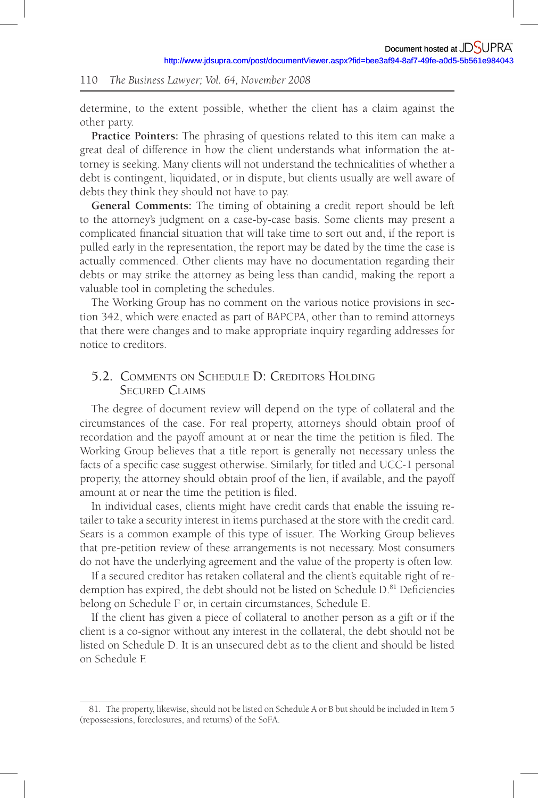determine, to the extent possible, whether the client has a claim against the other party.

**Practice Pointers:** The phrasing of questions related to this item can make a great deal of difference in how the client understands what information the attorney is seeking. Many clients will not understand the technicalities of whether a debt is contingent, liquidated, or in dispute, but clients usually are well aware of debts they think they should not have to pay.

**General Comments:** The timing of obtaining a credit report should be left to the attorney's judgment on a case-by-case basis. Some clients may present a complicated financial situation that will take time to sort out and, if the report is pulled early in the representation, the report may be dated by the time the case is actually commenced. Other clients may have no documentation regarding their debts or may strike the attorney as being less than candid, making the report a valuable tool in completing the schedules.

The Working Group has no comment on the various notice provisions in section 342, which were enacted as part of BAPCPA, other than to remind attorneys that there were changes and to make appropriate inquiry regarding addresses for notice to creditors.

# 5.2. COMMENTS ON SCHEDULE D: CREDITORS HOLDING SECURED CLAIMS

The degree of document review will depend on the type of collateral and the circumstances of the case. For real property, attorneys should obtain proof of recordation and the payoff amount at or near the time the petition is filed. The Working Group believes that a title report is generally not necessary unless the facts of a specific case suggest otherwise. Similarly, for titled and UCC-1 personal property, the attorney should obtain proof of the lien, if available, and the payoff amount at or near the time the petition is filed.

In individual cases, clients might have credit cards that enable the issuing retailer to take a security interest in items purchased at the store with the credit card. Sears is a common example of this type of issuer. The Working Group believes that pre-petition review of these arrangements is not necessary. Most consumers do not have the underlying agreement and the value of the property is often low.

If a secured creditor has retaken collateral and the client's equitable right of redemption has expired, the debt should not be listed on Schedule D.<sup>81</sup> Deficiencies belong on Schedule F or, in certain circumstances, Schedule E.

If the client has given a piece of collateral to another person as a gift or if the client is a co-signor without any interest in the collateral, the debt should not be listed on Schedule D. It is an unsecured debt as to the client and should be listed on Schedule F.

<sup>81.</sup> The property, likewise, should not be listed on Schedule A or B but should be included in Item 5 (repossessions, foreclosures, and returns) of the SoFA.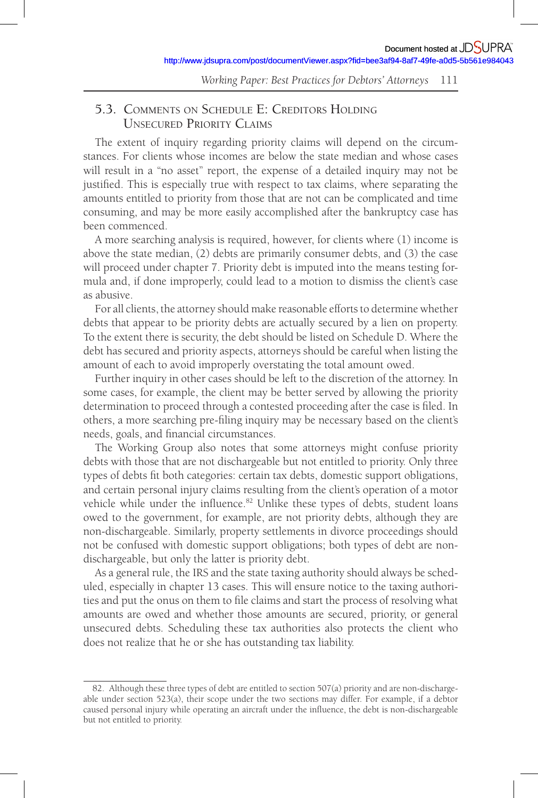# 5.3. COMMENTS ON SCHEDULE E: CREDITORS HOLDING UNSECURED PRIORITY CLAIMS

The extent of inquiry regarding priority claims will depend on the circumstances. For clients whose incomes are below the state median and whose cases will result in a "no asset" report, the expense of a detailed inquiry may not be justified. This is especially true with respect to tax claims, where separating the amounts entitled to priority from those that are not can be complicated and time consuming, and may be more easily accomplished after the bankruptcy case has been commenced.

A more searching analysis is required, however, for clients where (1) income is above the state median, (2) debts are primarily consumer debts, and (3) the case will proceed under chapter 7. Priority debt is imputed into the means testing formula and, if done improperly, could lead to a motion to dismiss the client's case as abusive.

For all clients, the attorney should make reasonable efforts to determine whether debts that appear to be priority debts are actually secured by a lien on property. To the extent there is security, the debt should be listed on Schedule D. Where the debt has secured and priority aspects, attorneys should be careful when listing the amount of each to avoid improperly overstating the total amount owed.

Further inquiry in other cases should be left to the discretion of the attorney. In some cases, for example, the client may be better served by allowing the priority determination to proceed through a contested proceeding after the case is filed. In others, a more searching pre-filing inquiry may be necessary based on the client's needs, goals, and financial circumstances.

The Working Group also notes that some attorneys might confuse priority debts with those that are not dischargeable but not entitled to priority. Only three types of debts fit both categories: certain tax debts, domestic support obligations, and certain personal injury claims resulting from the client's operation of a motor vehicle while under the influence. $82$  Unlike these types of debts, student loans owed to the government, for example, are not priority debts, although they are non-dischargeable. Similarly, property settlements in divorce proceedings should not be confused with domestic support obligations; both types of debt are nondischargeable, but only the latter is priority debt.

As a general rule, the IRS and the state taxing authority should always be scheduled, especially in chapter 13 cases. This will ensure notice to the taxing authorities and put the onus on them to file claims and start the process of resolving what amounts are owed and whether those amounts are secured, priority, or general unsecured debts. Scheduling these tax authorities also protects the client who does not realize that he or she has outstanding tax liability.

<sup>82.</sup> Although these three types of debt are entitled to section 507(a) priority and are non-dischargeable under section 523(a), their scope under the two sections may differ. For example, if a debtor caused personal injury while operating an aircraft under the influence, the debt is non-dischargeable but not entitled to priority.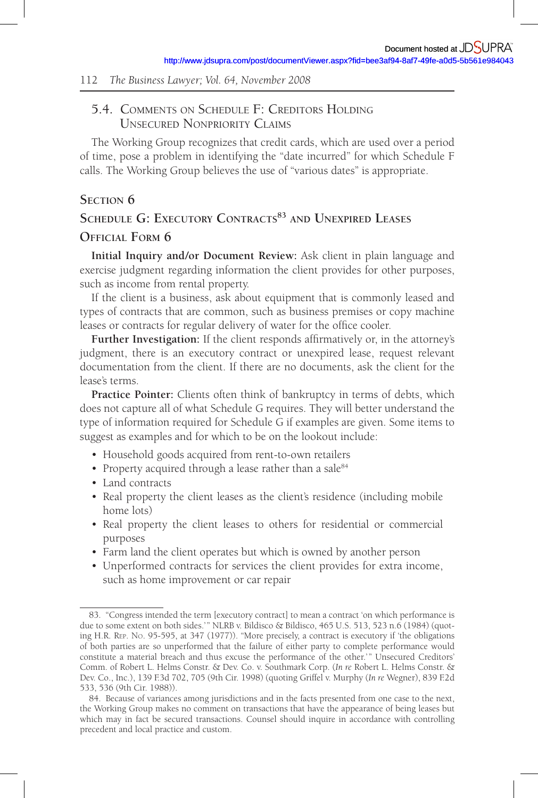# 5.4. COMMENTS ON SCHEDULE F: CREDITORS HOLDING UNSECURED NONPRIORITY CLAIMS

The Working Group recognizes that credit cards, which are used over a period of time, pose a problem in identifying the "date incurred" for which Schedule F calls. The Working Group believes the use of "various dates" is appropriate.

### **SECTION 6**

# SCHEDULE G: EXECUTORY CONTRACTS<sup>83</sup> AND UNEXPIRED LEASES **OFFICIAL FORM 6**

**Initial Inquiry and /or Document Review:** Ask client in plain language and exercise judgment regarding information the client provides for other purposes, such as income from rental property.

If the client is a business, ask about equipment that is commonly leased and types of contracts that are common, such as business premises or copy machine leases or contracts for regular delivery of water for the office cooler.

Further Investigation: If the client responds affirmatively or, in the attorney's judgment, there is an executory contract or unexpired lease, request relevant documentation from the client. If there are no documents, ask the client for the lease's terms.

**Practice Pointer:** Clients often think of bankruptcy in terms of debts, which does not capture all of what Schedule G requires. They will better understand the type of information required for Schedule G if examples are given. Some items to suggest as examples and for which to be on the lookout include:

- Household goods acquired from rent-to-own retailers
- Property acquired through a lease rather than a sale<sup>84</sup>
- Land contracts
- Real property the client leases as the client's residence (including mobile home lots)
- Real property the client leases to others for residential or commercial purposes
- Farm land the client operates but which is owned by another person
- Unperformed contracts for services the client provides for extra income, such as home improvement or car repair

<sup>83. &</sup>quot;Congress intended the term [executory contract] to mean a contract 'on which performance is due to some extent on both sides.'" NLRB v. Bildisco & Bildisco, 465 U.S. 513, 523 n.6 (1984) (quoting H.R. REP. NO. 95-595, at 347 (1977)). "More precisely, a contract is executory if 'the obligations of both parties are so unperformed that the failure of either party to complete performance would constitute a material breach and thus excuse the performance of the other.' " Unsecured Creditors' Comm. of Robert L. Helms Constr. & Dev. Co. v. Southmark Corp. (*In re* Robert L. Helms Constr. & Dev. Co., Inc.), 139 F.3d 702, 705 (9th Cir. 1998) (quoting Griffel v. Murphy (*In re* Wegner), 839 F.2d 533, 536 (9th Cir. 1988)).

<sup>84.</sup> Because of variances among jurisdictions and in the facts presented from one case to the next, the Working Group makes no comment on transactions that have the appearance of being leases but which may in fact be secured transactions. Counsel should inquire in accordance with controlling precedent and local practice and custom.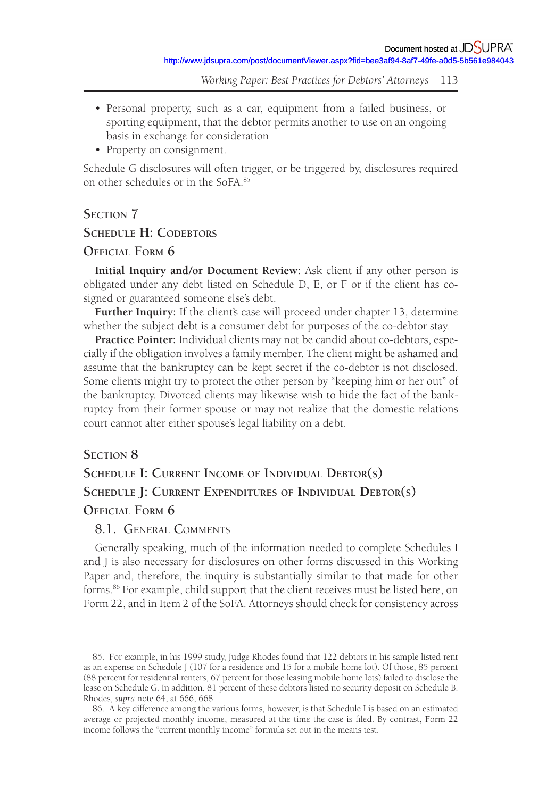- Personal property, such as a car, equipment from a failed business, or sporting equipment, that the debtor permits another to use on an ongoing basis in exchange for consideration
- Property on consignment.

Schedule G disclosures will often trigger, or be triggered by, disclosures required on other schedules or in the SoFA. 85

# **SECTION 7**

# **SCHEDULE H: CODEBTORS**

## **OFFICIAL FORM 6**

**Initial Inquiry and /or Document Review:** Ask client if any other person is obligated under any debt listed on Schedule D, E, or F or if the client has cosigned or guaranteed someone else's debt.

Further Inquiry: If the client's case will proceed under chapter 13, determine whether the subject debt is a consumer debt for purposes of the co-debtor stay.

**Practice Pointer:** Individual clients may not be candid about co-debtors, especially if the obligation involves a family member. The client might be ashamed and assume that the bankruptcy can be kept secret if the co-debtor is not disclosed. Some clients might try to protect the other person by "keeping him or her out" of the bankruptcy. Divorced clients may likewise wish to hide the fact of the bankruptcy from their former spouse or may not realize that the domestic relations court cannot alter either spouse's legal liability on a debt.

# **SECTION 8**

# **SCHEDULE I: CURRENT INCOME OF INDIVIDUAL DEBTOR(S) SCHEDULE J: CURRENT EXPENDITURES OF INDIVIDUAL DEBTOR(S) OFFICIAL FORM 6**

## 8.1. GENERAL COMMENTS

Generally speaking, much of the information needed to complete Schedules I and J is also necessary for disclosures on other forms discussed in this Working Paper and, therefore, the inquiry is substantially similar to that made for other forms. 86 For example, child support that the client receives must be listed here, on Form 22, and in Item 2 of the SoFA. Attorneys should check for consistency across

<sup>85.</sup> For example, in his 1999 study, Judge Rhodes found that 122 debtors in his sample listed rent as an expense on Schedule J (107 for a residence and 15 for a mobile home lot). Of those, 85 percent (88 percent for residential renters, 67 percent for those leasing mobile home lots) failed to disclose the lease on Schedule G. In addition, 81 percent of these debtors listed no security deposit on Schedule B. Rhodes, *supra* note 64, at 666, 668.

<sup>86.</sup> A key difference among the various forms, however, is that Schedule I is based on an estimated average or projected monthly income, measured at the time the case is filed. By contrast, Form 22 income follows the "current monthly income" formula set out in the means test.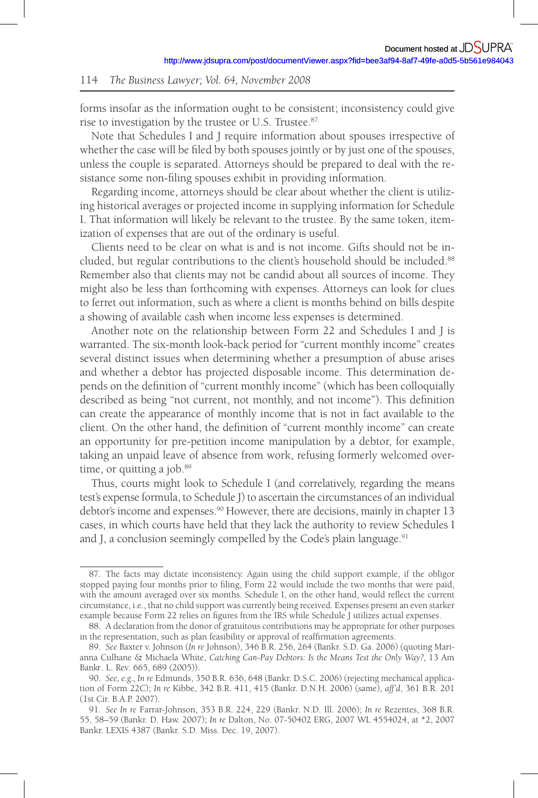forms insofar as the information ought to be consistent; inconsistency could give rise to investigation by the trustee or U.S. Trustee. 87

Note that Schedules I and J require information about spouses irrespective of whether the case will be filed by both spouses jointly or by just one of the spouses, unless the couple is separated. Attorneys should be prepared to deal with the resistance some non-filing spouses exhibit in providing information.

Regarding income, attorneys should be clear about whether the client is utilizing historical averages or projected income in supplying information for Schedule I. That information will likely be relevant to the trustee. By the same token, itemization of expenses that are out of the ordinary is useful.

Clients need to be clear on what is and is not income. Gifts should not be included, but regular contributions to the client's household should be included.<sup>88</sup> Remember also that clients may not be candid about all sources of income. They might also be less than forthcoming with expenses. Attorneys can look for clues to ferret out information, such as where a client is months behind on bills despite a showing of available cash when income less expenses is determined.

Another note on the relationship between Form 22 and Schedules I and J is warranted. The six-month look-back period for "current monthly income" creates several distinct issues when determining whether a presumption of abuse arises and whether a debtor has projected disposable income. This determination depends on the definition of "current monthly income" (which has been colloquially described as being "not current, not monthly, and not income"). This definition can create the appearance of monthly income that is not in fact available to the client. On the other hand, the definition of "current monthly income" can create an opportunity for pre-petition income manipulation by a debtor, for example, taking an unpaid leave of absence from work, refusing formerly welcomed overtime, or quitting a job.<sup>89</sup>

Thus, courts might look to Schedule I (and correlatively, regarding the means test's expense formula, to Schedule J) to ascertain the circumstances of an individual debtor's income and expenses.<sup>90</sup> However, there are decisions, mainly in chapter 13 cases, in which courts have held that they lack the authority to review Schedules I and J, a conclusion seemingly compelled by the Code's plain language.<sup>91</sup>

<sup>87 .</sup> The facts may dictate inconsistency. Again using the child support example, if the obligor stopped paying four months prior to filing, Form 22 would include the two months that were paid, with the amount averaged over six months. Schedule I, on the other hand, would reflect the current circumstance, i.e., that no child support was currently being received. Expenses present an even starker example because Form 22 relies on figures from the IRS while Schedule J utilizes actual expenses.

<sup>88.</sup> A declaration from the donor of gratuitous contributions may be appropriate for other purposes in the representation, such as plan feasibility or approval of reaffirmation agreements.

<sup>89 .</sup> *See* Baxter v. Johnson ( *In re* Johnson), 346 B.R. 256, 264 (Bankr. S.D. Ga. 2006) (quoting Marianna Culhane & Michaela White, *Catching Can-Pay Debtors: Is the Means Test the Only Way?*, 13 Am. Bankr. L. Rev.665, 689 (2005)).

<sup>90 .</sup> *See, e.g., In re* Edmunds, 350 B.R. 636, 648 (Bankr. D.S.C. 2006) (rejecting mechanical application of Form 22C); *In re* Kibbe, 342 B.R. 411, 415 (Bankr. D.N.H. 2006) (same), *aff'd*, 361 B.R. 201 (1st Cir. B.A.P. 2007).

<sup>91 .</sup> *See In re* Farrar-Johnson, 353 B.R. 224, 229 (Bankr. N.D. Ill. 2006); *In re* Rezentes, 368 B.R. 55, 58–59 (Bankr. D. Haw. 2007); *In re* Dalton, No. 07-50402 ERG, 2007 WL 4554024, at \*2, 2007 Bankr. LEXIS 4387 (Bankr. S.D. Miss. Dec. 19, 2007).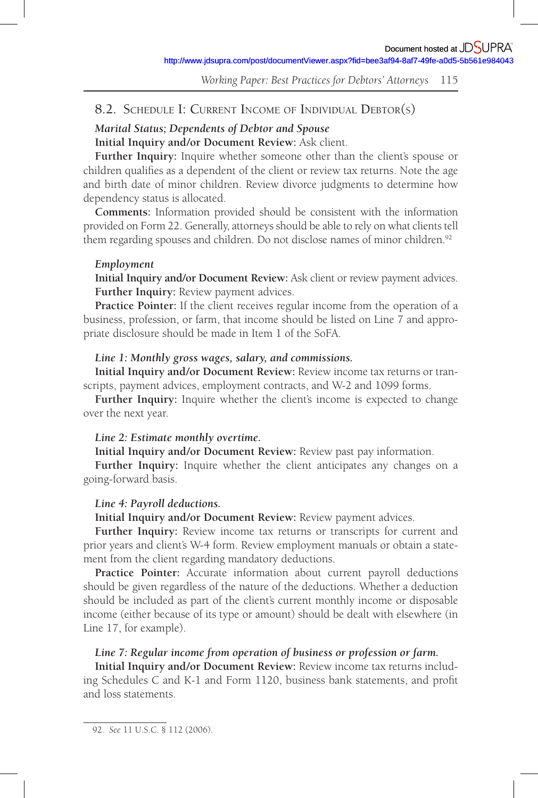# 8.2. SCHEDULE I: CURRENT INCOME OF INDIVIDUAL DEBTOR(S)

# *Marital Status; Dependents of Debtor and Spouse*

**Initial Inquiry and /or Document Review:** Ask client.

**Further Inquiry:** Inquire whether someone other than the client's spouse or children qualifies as a dependent of the client or review tax returns. Note the age and birth date of minor children. Review divorce judgments to determine how dependency status is allocated.

**Comments:** Information provided should be consistent with the information provided on Form 22. Generally, attorneys should be able to rely on what clients tell them regarding spouses and children. Do not disclose names of minor children.<sup>92</sup>

### *Employment*

**Initial Inquiry and /or Document Review:** Ask client or review payment advices. **Further Inquiry:** Review payment advices.

**Practice Pointer:** If the client receives regular income from the operation of a business, profession, or farm, that income should be listed on Line 7 and appropriate disclosure should be made in Item 1 of the SoFA.

### *Line 1: Monthly gross wages, salary, and commissions.*

**Initial Inquiry and /or Document Review:** Review income tax returns or transcripts, payment advices, employment contracts, and W-2 and 1099 forms.

**Further Inquiry:** Inquire whether the client's income is expected to change over the next year.

### *Line 2: Estimate monthly overtime.*

**Initial Inquiry and /or Document Review:** Review past pay information.

**Further Inquiry:** Inquire whether the client anticipates any changes on a going-forward basis.

### *Line 4: Payroll deductions.*

**Initial Inquiry and /or Document Review:** Review payment advices.

**Further Inquiry:** Review income tax returns or transcripts for current and prior years and client's W-4 form. Review employment manuals or obtain a statement from the client regarding mandatory deductions.

**Practice Pointer:** Accurate information about current payroll deductions should be given regardless of the nature of the deductions. Whether a deduction should be included as part of the client's current monthly income or disposable income (either because of its type or amount) should be dealt with elsewhere (in Line 17, for example).

### *Line 7: Regular income from operation of business or profession or farm.*

**Initial Inquiry and /or Document Review:** Review income tax returns including Schedules C and K-1 and Form 1120, business bank statements, and profit and loss statements.

<sup>92.</sup> *See* 11 U.S.C. § 112 (2006).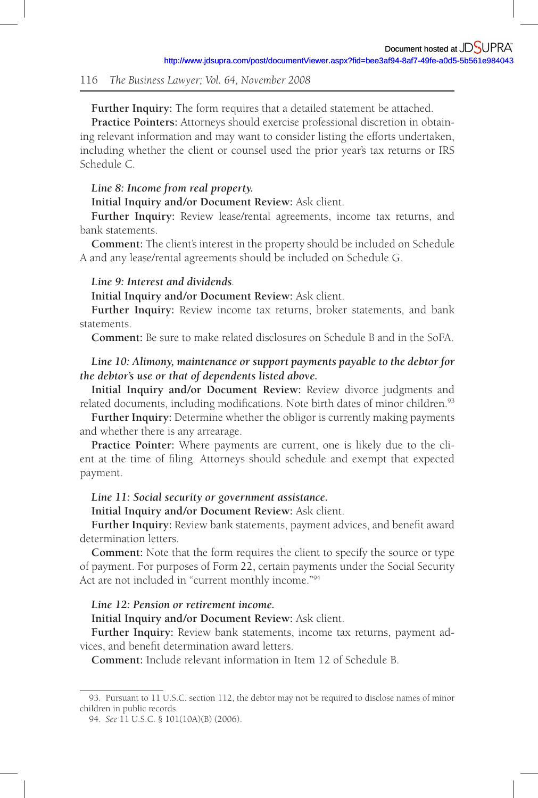**Further Inquiry:** The form requires that a detailed statement be attached.

**Practice Pointers:** Attorneys should exercise professional discretion in obtaining relevant information and may want to consider listing the efforts undertaken, including whether the client or counsel used the prior year's tax returns or IRS Schedule C.

### *Line 8: Income from real property.*

**Initial Inquiry and /or Document Review:** Ask client.

**Further Inquiry:** Review lease/rental agreements, income tax returns, and bank statements.

**Comment:** The client's interest in the property should be included on Schedule A and any lease/rental agreements should be included on Schedule G.

# *Line 9: Interest and dividends.*

**Initial Inquiry and /or Document Review:** Ask client.

**Further Inquiry:** Review income tax returns, broker statements, and bank statements.

**Comment:** Be sure to make related disclosures on Schedule B and in the SoFA.

# *Line 10: Alimony, maintenance or support payments payable to the debtor for the debtor's use or that of dependents listed above.*

Initial Inquiry and/or Document Review: Review divorce judgments and related documents, including modifications. Note birth dates of minor children.<sup>93</sup>

**Further Inquiry:** Determine whether the obligor is currently making payments and whether there is any arrearage.

**Practice Pointer:** Where payments are current, one is likely due to the client at the time of filing. Attorneys should schedule and exempt that expected payment.

### *Line 11: Social security or government assistance.*

**Initial Inquiry and /or Document Review:** Ask client.

Further Inquiry: Review bank statements, payment advices, and benefit award determination letters.

**Comment:** Note that the form requires the client to specify the source or type of payment. For purposes of Form 22, certain payments under the Social Security Act are not included in "current monthly income."<sup>94</sup>

# *Line 12: Pension or retirement income.*

**Initial Inquiry and /or Document Review:** Ask client.

**Further Inquiry:** Review bank statements, income tax returns, payment advices, and benefit determination award letters.

**Comment:** Include relevant information in Item 12 of Schedule B.

<sup>93.</sup> Pursuant to 11 U.S.C. section 112, the debtor may not be required to disclose names of minor children in public records.

<sup>94 .</sup> *See* 11 U.S.C. § 101(10A)(B) (2006).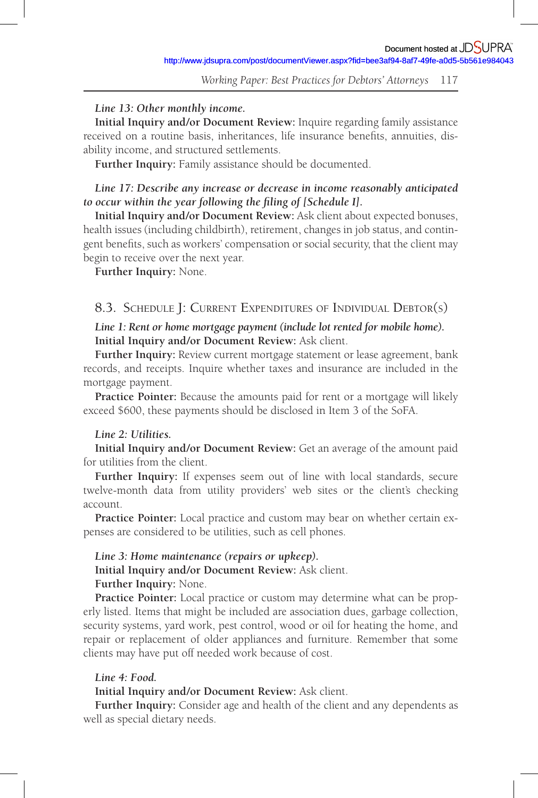# *Line 13: Other monthly income.*

**Initial Inquiry and /or Document Review:** Inquire regarding family assistance received on a routine basis, inheritances, life insurance benefits, annuities, disability income, and structured settlements.

**Further Inquiry:** Family assistance should be documented.

# *Line 17: Describe any increase or decrease in income reasonably anticipated to occur within the year following the filing of [Schedule I].*

**Initial Inquiry and /or Document Review:** Ask client about expected bonuses, health issues (including childbirth), retirement, changes in job status, and contingent benefits, such as workers' compensation or social security, that the client may begin to receive over the next year.

**Further Inquiry:** None.

# 8.3. SCHEDULE J: CURRENT EXPENDITURES OF INDIVIDUAL DEBTOR(S)

# *Line 1: Rent or home mortgage payment (include lot rented for mobile home).*  **Initial Inquiry and /or Document Review:** Ask client.

**Further Inquiry:** Review current mortgage statement or lease agreement, bank records, and receipts. Inquire whether taxes and insurance are included in the mortgage payment.

**Practice Pointer:** Because the amounts paid for rent or a mortgage will likely exceed \$600, these payments should be disclosed in Item 3 of the SoFA.

# *Line 2: Utilities.*

**Initial Inquiry and /or Document Review:** Get an average of the amount paid for utilities from the client.

**Further Inquiry:** If expenses seem out of line with local standards, secure twelve-month data from utility providers' web sites or the client's checking account.

**Practice Pointer:** Local practice and custom may bear on whether certain expenses are considered to be utilities, such as cell phones.

# *Line 3: Home maintenance (repairs or upkeep).*

**Initial Inquiry and /or Document Review:** Ask client.

# **Further Inquiry:** None.

**Practice Pointer:** Local practice or custom may determine what can be properly listed. Items that might be included are association dues, garbage collection, security systems, yard work, pest control, wood or oil for heating the home, and repair or replacement of older appliances and furniture. Remember that some clients may have put off needed work because of cost.

### *Line 4: Food.*

### **Initial Inquiry and /or Document Review:** Ask client.

**Further Inquiry:** Consider age and health of the client and any dependents as well as special dietary needs.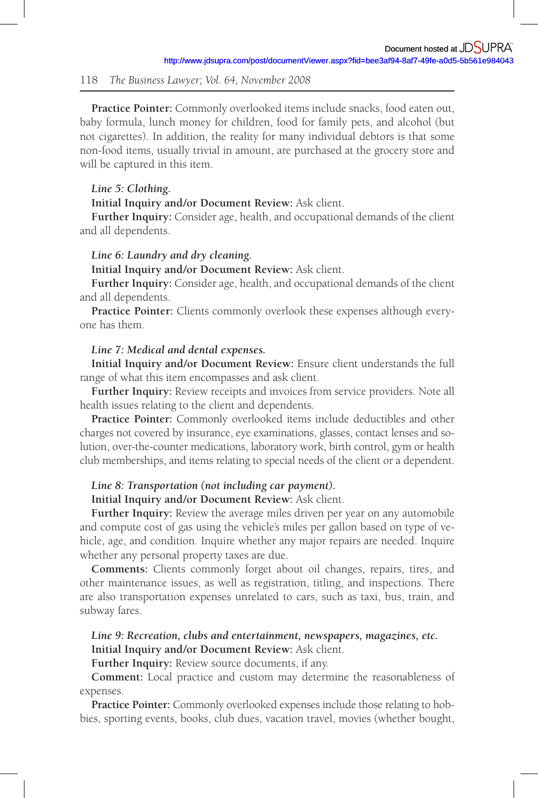**Practice Pointer:** Commonly overlooked items include snacks, food eaten out, baby formula, lunch money for children, food for family pets, and alcohol (but not cigarettes). In addition, the reality for many individual debtors is that some non-food items, usually trivial in amount, are purchased at the grocery store and will be captured in this item.

### *Line 5: Clothing.*

**Initial Inquiry and /or Document Review:** Ask client.

**Further Inquiry:** Consider age, health, and occupational demands of the client and all dependents.

### *Line 6: Laundry and dry cleaning.*

**Initial Inquiry and /or Document Review:** Ask client.

**Further Inquiry:** Consider age, health, and occupational demands of the client and all dependents.

**Practice Pointer:** Clients commonly overlook these expenses although everyone has them.

### *Line 7: Medical and dental expenses.*

**Initial Inquiry and /or Document Review:** Ensure client understands the full range of what this item encompasses and ask client.

**Further Inquiry:** Review receipts and invoices from service providers. Note all health issues relating to the client and dependents.

**Practice Pointer:** Commonly overlooked items include deductibles and other charges not covered by insurance, eye examinations, glasses, contact lenses and solution, over-the-counter medications, laboratory work, birth control, gym or health club memberships, and items relating to special needs of the client or a dependent.

# *Line 8: Transportation (not including car payment).*

**Initial Inquiry and /or Document Review:** Ask client.

**Further Inquiry:** Review the average miles driven per year on any automobile and compute cost of gas using the vehicle's miles per gallon based on type of vehicle, age, and condition. Inquire whether any major repairs are needed. Inquire whether any personal property taxes are due.

**Comments:** Clients commonly forget about oil changes, repairs, tires, and other maintenance issues, as well as registration, titling, and inspections. There are also transportation expenses unrelated to cars, such as taxi, bus, train, and subway fares.

## *Line 9: Recreation, clubs and entertainment, newspapers, magazines, etc.*  **Initial Inquiry and /or Document Review:** Ask client.

**Further Inquiry:** Review source documents, if any.

**Comment:** Local practice and custom may determine the reasonableness of expenses.

**Practice Pointer:** Commonly overlooked expenses include those relating to hobbies, sporting events, books, club dues, vacation travel, movies (whether bought,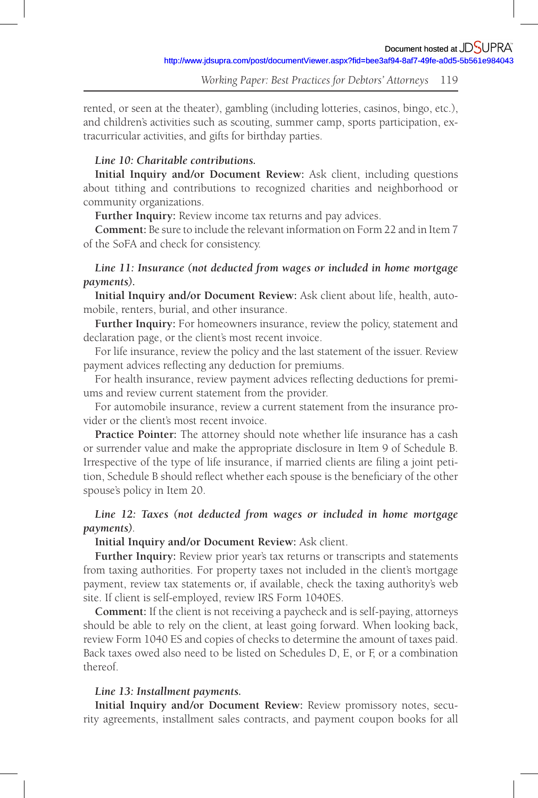rented, or seen at the theater), gambling (including lotteries, casinos, bingo, etc.), and children's activities such as scouting, summer camp, sports participation, extracurricular activities, and gifts for birthday parties.

### *Line 10: Charitable contributions.*

**Initial Inquiry and /or Document Review:** Ask client, including questions about tithing and contributions to recognized charities and neighborhood or community organizations.

**Further Inquiry:** Review income tax returns and pay advices.

**Comment:** Be sure to include the relevant information on Form 22 and in Item 7 of the SoFA and check for consistency.

# *Line 11: Insurance (not deducted from wages or included in home mortgage payments).*

**Initial Inquiry and /or Document Review:** Ask client about life, health, automobile, renters, burial, and other insurance.

**Further Inquiry:** For homeowners insurance, review the policy, statement and declaration page, or the client's most recent invoice.

For life insurance, review the policy and the last statement of the issuer. Review payment advices reflecting any deduction for premiums.

For health insurance, review payment advices reflecting deductions for premiums and review current statement from the provider.

For automobile insurance, review a current statement from the insurance provider or the client's most recent invoice.

**Practice Pointer:** The attorney should note whether life insurance has a cash or surrender value and make the appropriate disclosure in Item 9 of Schedule B. Irrespective of the type of life insurance, if married clients are filing a joint petition, Schedule B should reflect whether each spouse is the beneficiary of the other spouse's policy in Item 20.

# *Line 12: Taxes (not deducted from wages or included in home mortgage payments).*

### **Initial Inquiry and /or Document Review:** Ask client.

Further Inquiry: Review prior year's tax returns or transcripts and statements from taxing authorities. For property taxes not included in the client's mortgage payment, review tax statements or, if available, check the taxing authority's web site. If client is self-employed, review IRS Form 1040ES.

**Comment:** If the client is not receiving a paycheck and is self-paying, attorneys should be able to rely on the client, at least going forward. When looking back, review Form 1040 ES and copies of checks to determine the amount of taxes paid. Back taxes owed also need to be listed on Schedules D, E, or F, or a combination thereof.

# *Line 13: Installment payments.*

**Initial Inquiry and /or Document Review:** Review promissory notes, security agreements, installment sales contracts, and payment coupon books for all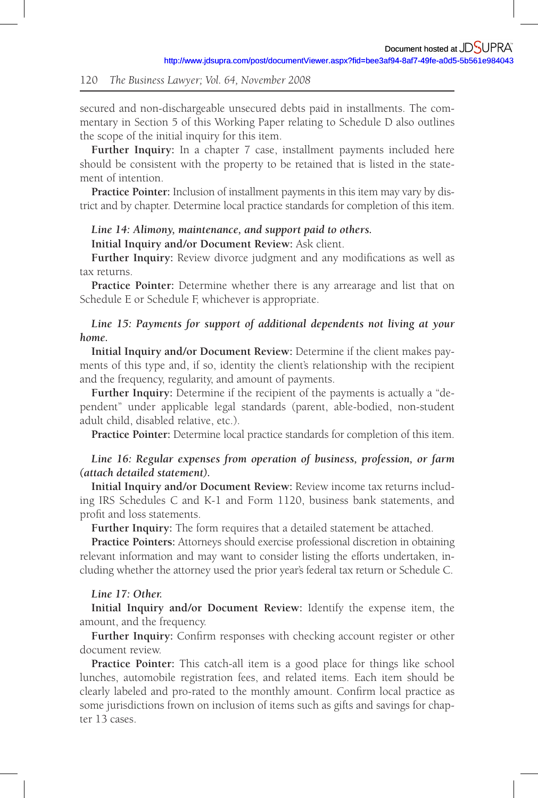secured and non-dischargeable unsecured debts paid in installments. The commentary in Section 5 of this Working Paper relating to Schedule D also outlines the scope of the initial inquiry for this item.

Further Inquiry: In a chapter 7 case, installment payments included here should be consistent with the property to be retained that is listed in the statement of intention.

**Practice Pointer:** Inclusion of installment payments in this item may vary by district and by chapter. Determine local practice standards for completion of this item.

# *Line 14: Alimony, maintenance, and support paid to others.*

**Initial Inquiry and /or Document Review:** Ask client.

**Further Inquiry:** Review divorce judgment and any modifications as well as tax returns.

**Practice Pointer:** Determine whether there is any arrearage and list that on Schedule E or Schedule F, whichever is appropriate.

# *Line 15: Payments for support of additional dependents not living at your home.*

**Initial Inquiry and /or Document Review:** Determine if the client makes payments of this type and, if so, identity the client's relationship with the recipient and the frequency, regularity, and amount of payments.

**Further Inquiry:** Determine if the recipient of the payments is actually a "dependent" under applicable legal standards (parent, able-bodied, non-student adult child, disabled relative, etc.).

**Practice Pointer:** Determine local practice standards for completion of this item.

# *Line 16: Regular expenses from operation of business, profession, or farm (attach detailed statement).*

**Initial Inquiry and /or Document Review:** Review income tax returns including IRS Schedules C and K-1 and Form 1120, business bank statements, and profit and loss statements.

**Further Inquiry:** The form requires that a detailed statement be attached.

**Practice Pointers:** Attorneys should exercise professional discretion in obtaining relevant information and may want to consider listing the efforts undertaken, including whether the attorney used the prior year's federal tax return or Schedule C.

### *Line 17: Other.*

**Initial Inquiry and /or Document Review:** Identify the expense item, the amount, and the frequency.

Further Inquiry: Confirm responses with checking account register or other document review.

**Practice Pointer:** This catch-all item is a good place for things like school lunches, automobile registration fees, and related items. Each item should be clearly labeled and pro-rated to the monthly amount. Confirm local practice as some jurisdictions frown on inclusion of items such as gifts and savings for chapter 13 cases.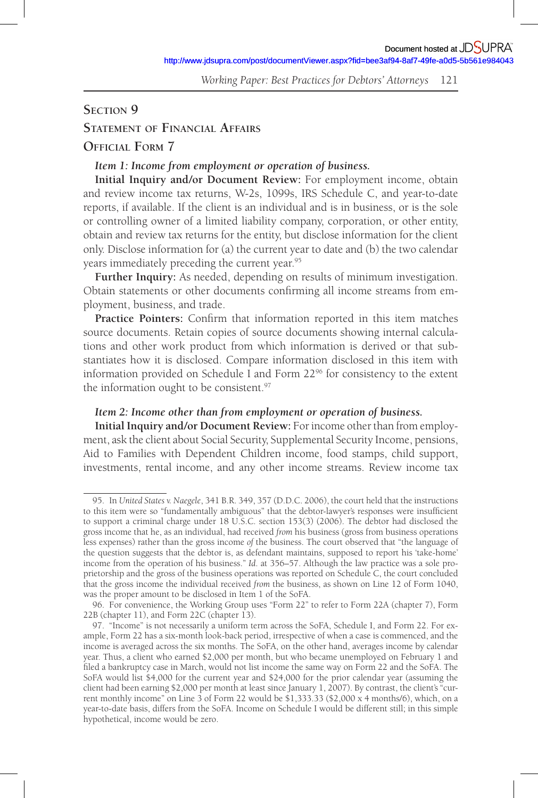# **SECTION 9**

# **STATEMENT OF FINANCIAL AFFAIRS**

# **OFFICIAL FORM 7**

# *Item 1: Income from employment or operation of business.*

**Initial Inquiry and /or Document Review:** For employment income, obtain and review income tax returns, W-2s, 1099s, IRS Schedule C, and year-to-date reports, if available. If the client is an individual and is in business, or is the sole or controlling owner of a limited liability company, corporation, or other entity, obtain and review tax returns for the entity, but disclose information for the client only. Disclose information for (a) the current year to date and (b) the two calendar years immediately preceding the current year.<sup>95</sup>

**Further Inquiry:** As needed, depending on results of minimum investigation. Obtain statements or other documents confirming all income streams from employment, business, and trade.

**Practice Pointers:** Confirm that information reported in this item matches source documents. Retain copies of source documents showing internal calculations and other work product from which information is derived or that substantiates how it is disclosed. Compare information disclosed in this item with information provided on Schedule I and Form  $22<sup>96</sup>$  for consistency to the extent the information ought to be consistent.<sup>97</sup>

# *Item 2: Income other than from employment or operation of business.*

**Initial Inquiry and /or Document Review:** For income other than from employment, ask the client about Social Security, Supplemental Security Income, pensions, Aid to Families with Dependent Children income, food stamps, child support, investments, rental income, and any other income streams. Review income tax

<sup>95 .</sup> In *United States v. Naegele*, 341 B.R. 349, 357 (D.D.C. 2006), the court held that the instructions to this item were so "fundamentally ambiguous" that the debtor-lawyer's responses were insufficient to support a criminal charge under 18 U.S.C. section 153(3) (2006). The debtor had disclosed the gross income that he, as an individual, had received *from* his business (gross from business operations less expenses) rather than the gross income *of* the business. The court observed that "the language of the question suggests that the debtor is, as defendant maintains, supposed to report his 'take-home' income from the operation of his business." *Id*. at 356–57. Although the law practice was a sole proprietorship and the gross of the business operations was reported on Schedule C, the court concluded that the gross income the individual received *from* the business, as shown on Line 12 of Form 1040, was the proper amount to be disclosed in Item 1 of the SoFA.

<sup>96 .</sup> For convenience, the Working Group uses "Form 22" to refer to Form 22A (chapter 7), Form 22B (chapter 11), and Form 22C (chapter 13).

<sup>97 . &</sup>quot;Income" is not necessarily a uniform term across the SoFA, Schedule I, and Form 22. For example, Form 22 has a six-month look-back period, irrespective of when a case is commenced, and the income is averaged across the six months. The SoFA, on the other hand, averages income by calendar year. Thus, a client who earned \$2,000 per month, but who became unemployed on February 1 and filed a bankruptcy case in March, would not list income the same way on Form 22 and the SoFA. The SoFA would list \$4,000 for the current year and \$24,000 for the prior calendar year (assuming the client had been earning \$2,000 per month at least since January 1, 2007). By contrast, the client's "current monthly income" on Line 3 of Form 22 would be \$1,333.33 (\$2,000 x 4 months/6), which, on a year-to-date basis, differs from the SoFA. Income on Schedule I would be different still; in this simple hypothetical, income would be zero.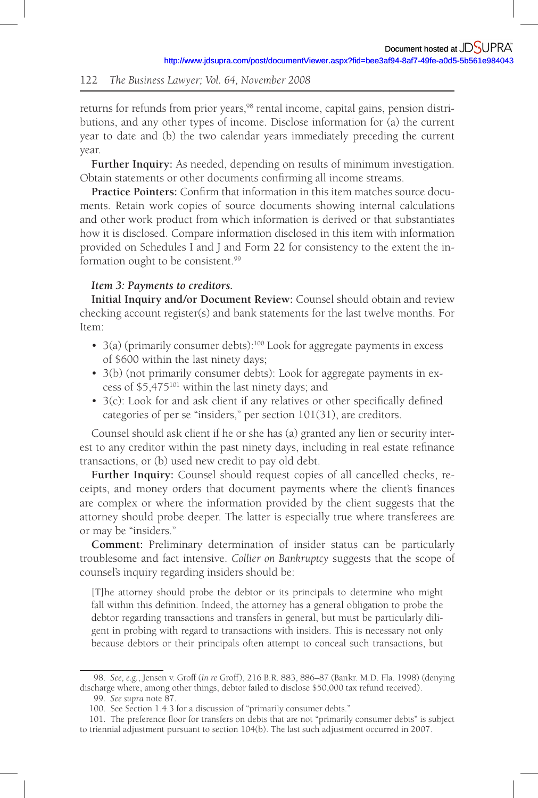returns for refunds from prior years, 98 rental income, capital gains, pension distributions, and any other types of income. Disclose information for (a) the current year to date and (b) the two calendar years immediately preceding the current year.

**Further Inquiry:** As needed, depending on results of minimum investigation. Obtain statements or other documents confirming all income streams.

**Practice Pointers:** Confirm that information in this item matches source documents. Retain work copies of source documents showing internal calculations and other work product from which information is derived or that substantiates how it is disclosed. Compare information disclosed in this item with information provided on Schedules I and J and Form 22 for consistency to the extent the information ought to be consistent.<sup>99</sup>

# *Item 3: Payments to creditors.*

**Initial Inquiry and /or Document Review:** Counsel should obtain and review checking account register(s) and bank statements for the last twelve months. For Item:

- 3(a) (primarily consumer debts):<sup>100</sup> Look for aggregate payments in excess of \$600 within the last ninety days;
- 3(b) (not primarily consumer debts): Look for aggregate payments in excess of \$5,475 101 within the last ninety days; and
- $\bullet$  3(c): Look for and ask client if any relatives or other specifically defined categories of per se "insiders," per section 101(31), are creditors.

Counsel should ask client if he or she has (a) granted any lien or security interest to any creditor within the past ninety days, including in real estate refinance transactions, or (b) used new credit to pay old debt.

**Further Inquiry:** Counsel should request copies of all cancelled checks, receipts, and money orders that document payments where the client's finances are complex or where the information provided by the client suggests that the attorney should probe deeper. The latter is especially true where transferees are or may be "insiders."

**Comment:** Preliminary determination of insider status can be particularly troublesome and fact intensive. *Collier on Bankruptcy* suggests that the scope of counsel's inquiry regarding insiders should be:

[T]he attorney should probe the debtor or its principals to determine who might fall within this definition. Indeed, the attorney has a general obligation to probe the debtor regarding transactions and transfers in general, but must be particularly diligent in probing with regard to transactions with insiders. This is necessary not only because debtors or their principals often attempt to conceal such transactions, but

 <sup>98 .</sup> *See, e.g.*, Jensen v. Groff ( *In re* Groff ), 216 B.R. 883, 886–87 (Bankr. M.D. Fla. 1998) (denying discharge where, among other things, debtor failed to disclose \$50,000 tax refund received).

 <sup>99 .</sup> *See supra* note 87.

<sup>100.</sup> See Section 1.4.3 for a discussion of "primarily consumer debts."

<sup>101.</sup> The preference floor for transfers on debts that are not "primarily consumer debts" is subject to triennial adjustment pursuant to section 104(b). The last such adjustment occurred in 2007.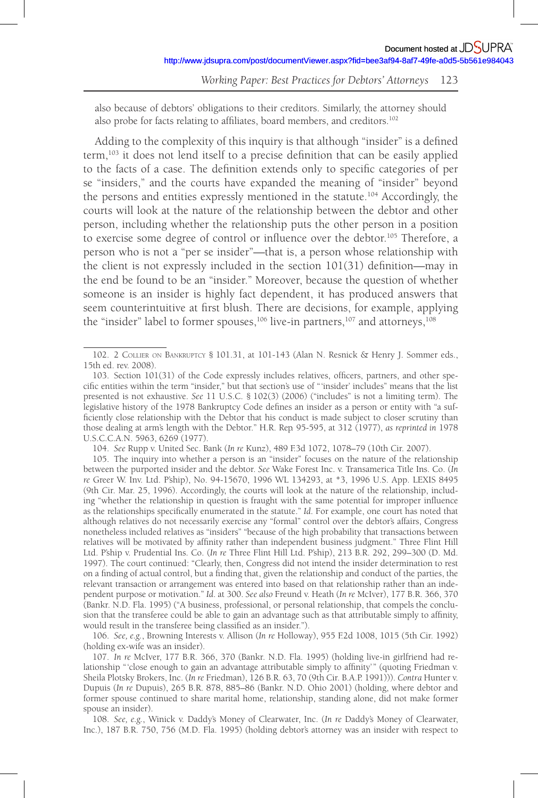also because of debtors' obligations to their creditors. Similarly, the attorney should also probe for facts relating to affiliates, board members, and creditors.<sup>102</sup>

Adding to the complexity of this inquiry is that although "insider" is a defined  $term$ ,  $103$  it does not lend itself to a precise definition that can be easily applied to the facts of a case. The definition extends only to specific categories of per se "insiders," and the courts have expanded the meaning of "insider" beyond the persons and entities expressly mentioned in the statute.<sup>104</sup> Accordingly, the courts will look at the nature of the relationship between the debtor and other person, including whether the relationship puts the other person in a position to exercise some degree of control or influence over the debtor.<sup>105</sup> Therefore, a person who is not a "per se insider"—that is, a person whose relationship with the client is not expressly included in the section  $101(31)$  definition—may in the end be found to be an "insider." Moreover, because the question of whether someone is an insider is highly fact dependent, it has produced answers that seem counterintuitive at first blush. There are decisions, for example, applying the "insider" label to former spouses,  $106$  live-in partners,  $107$  and attorneys,  $108$ 

104 . *See* Rupp v. United Sec. Bank ( *In re* Kunz), 489 F.3d 1072, 1078–79 (10th Cir. 2007).

106 . *See, e.g.*, Browning Interests v. Allison ( *In re* Holloway), 955 F.2d 1008, 1015 (5th Cir. 1992) (holding ex-wife was an insider).

107 . *In re* McIver, 177 B.R. 366, 370 (Bankr. N.D. Fla. 1995) (holding live-in girlfriend had relationship " 'close enough to gain an advantage attributable simply to affinity'" (quoting Friedman v. Sheila Plotsky Brokers, Inc. ( *In re* Friedman), 126 B.R. 63, 70 (9th Cir. B.A.P. 1991))). *Contra* Hunter v. Dupuis ( *In re* Dupuis), 265 B.R. 878, 885–86 (Bankr. N.D. Ohio 2001) (holding, where debtor and former spouse continued to share marital home, relationship, standing alone, did not make former spouse an insider).

108 . *See, e.g.*, Winick v. Daddy's Money of Clearwater, Inc. ( *In re* Daddy's Money of Clearwater, Inc.), 187 B.R. 750, 756 (M.D. Fla. 1995) (holding debtor's attorney was an insider with respect to

<sup>102 . 2</sup> COLLIER ON BANKRUPTCY § 101.31, at 101-143 (Alan N. Resnick & Henry J. Sommer eds., 15th ed. rev. 2008).

<sup>103.</sup> Section 101(31) of the Code expressly includes relatives, officers, partners, and other specific entities within the term "insider," but that section's use of "'insider' includes" means that the list presented is not exhaustive. *See* 11 U.S.C. § 102(3) (2006) ("includes" is not a limiting term). The legislative history of the 1978 Bankruptcy Code defines an insider as a person or entity with "a sufficiently close relationship with the Debtor that his conduct is made subject to closer scrutiny than those dealing at arm's length with the Debtor." H.R. Rep.95-595, at 312 (1977), *as reprinted in* 1978 U.S.C.C.A.N. 5963, 6269 (1977).

<sup>105 .</sup> The inquiry into whether a person is an "insider" focuses on the nature of the relationship between the purported insider and the debtor. *See* Wake Forest Inc. v. Transamerica Title Ins. Co. ( *In re* Greer W. Inv. Ltd. P'ship), No. 94-15670, 1996 WL 134293, at \*3, 1996 U.S. App. LEXIS 8495 (9th Cir. Mar. 25, 1996). Accordingly, the courts will look at the nature of the relationship, including "whether the relationship in question is fraught with the same potential for improper influence as the relationships specifically enumerated in the statute." *Id*. For example, one court has noted that although relatives do not necessarily exercise any "formal" control over the debtor's affairs, Congress nonetheless included relatives as "insiders" "because of the high probability that transactions between relatives will be motivated by affinity rather than independent business judgment." Three Flint Hill Ltd. P'ship v. Prudential Ins. Co. ( *In re* Three Flint Hill Ltd. P'ship), 213 B.R. 292, 299–300 (D. Md. 1997). The court continued: "Clearly, then, Congress did not intend the insider determination to rest on a finding of actual control, but a finding that, given the relationship and conduct of the parties, the relevant transaction or arrangement was entered into based on that relationship rather than an independent purpose or motivation." *Id*. at 300. *See also* Freund v. Heath ( *In re* McIver), 177 B.R. 366, 370 (Bankr. N.D. Fla. 1995) ("A business, professional, or personal relationship, that compels the conclusion that the transferee could be able to gain an advantage such as that attributable simply to affinity, would result in the transferee being classified as an insider.").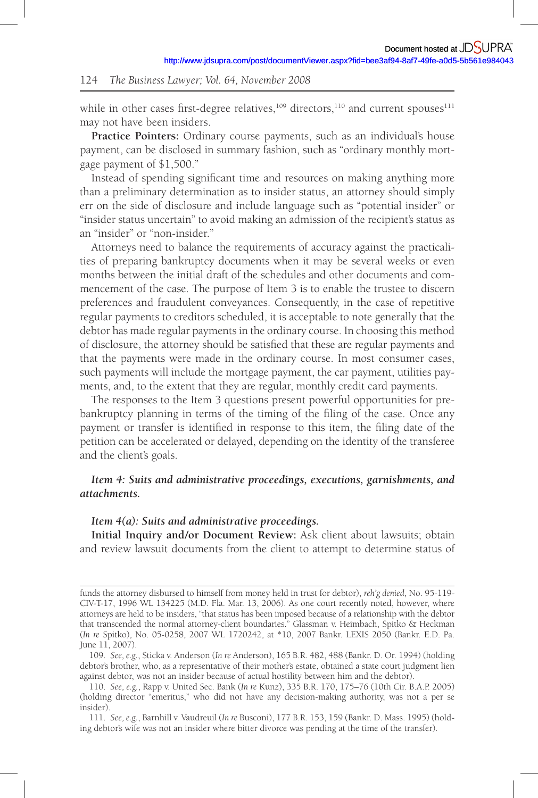while in other cases first-degree relatives,  $109$  directors,  $110$  and current spouses  $111$ may not have been insiders.

**Practice Pointers:** Ordinary course payments, such as an individual's house payment, can be disclosed in summary fashion, such as "ordinary monthly mortgage payment of \$1,500."

Instead of spending significant time and resources on making anything more than a preliminary determination as to insider status, an attorney should simply err on the side of disclosure and include language such as "potential insider" or "insider status uncertain" to avoid making an admission of the recipient's status as an "insider" or "non-insider."

Attorneys need to balance the requirements of accuracy against the practicalities of preparing bankruptcy documents when it may be several weeks or even months between the initial draft of the schedules and other documents and commencement of the case. The purpose of Item 3 is to enable the trustee to discern preferences and fraudulent conveyances. Consequently, in the case of repetitive regular payments to creditors scheduled, it is acceptable to note generally that the debtor has made regular payments in the ordinary course. In choosing this method of disclosure, the attorney should be satisfied that these are regular payments and that the payments were made in the ordinary course. In most consumer cases, such payments will include the mortgage payment, the car payment, utilities payments, and, to the extent that they are regular, monthly credit card payments.

The responses to the Item 3 questions present powerful opportunities for prebankruptcy planning in terms of the timing of the filing of the case. Once any payment or transfer is identified in response to this item, the filing date of the petition can be accelerated or delayed, depending on the identity of the transferee and the client's goals.

# *Item 4: Suits and administrative proceedings, executions, garnishments, and attachments.*

#### *Item 4(a): Suits and administrative proceedings.*

**Initial Inquiry and /or Document Review:** Ask client about lawsuits; obtain and review lawsuit documents from the client to attempt to determine status of

funds the attorney disbursed to himself from money held in trust for debtor), *reh'g denied*, No. 95-119- CIV-T-17, 1996 WL 134225 (M.D. Fla. Mar. 13, 2006). As one court recently noted, however, where attorneys are held to be insiders, "that status has been imposed because of a relationship with the debtor that transcended the normal attorney-client boundaries." Glassman v. Heimbach, Spitko & Heckman ( *In re* Spitko), No. 05-0258, 2007 WL 1720242, at \*10, 2007 Bankr. LEXIS 2050 (Bankr. E.D. Pa. June 11, 2007).

<sup>109 .</sup> *See, e.g.*, Sticka v. Anderson ( *In re* Anderson), 165 B.R. 482, 488 (Bankr. D. Or. 1994) (holding debtor's brother, who, as a representative of their mother's estate, obtained a state court judgment lien against debtor, was not an insider because of actual hostility between him and the debtor).

<sup>110 .</sup> *See, e.g.*, Rapp v. United Sec. Bank ( *In re* Kunz), 335 B.R. 170, 175–76 (10th Cir. B.A.P. 2005) (holding director "emeritus," who did not have any decision-making authority, was not a per se insider).

<sup>111 .</sup> *See, e.g.*, Barnhill v. Vaudreuil ( *In re* Busconi), 177 B.R. 153, 159 (Bankr. D. Mass. 1995) (holding debtor's wife was not an insider where bitter divorce was pending at the time of the transfer).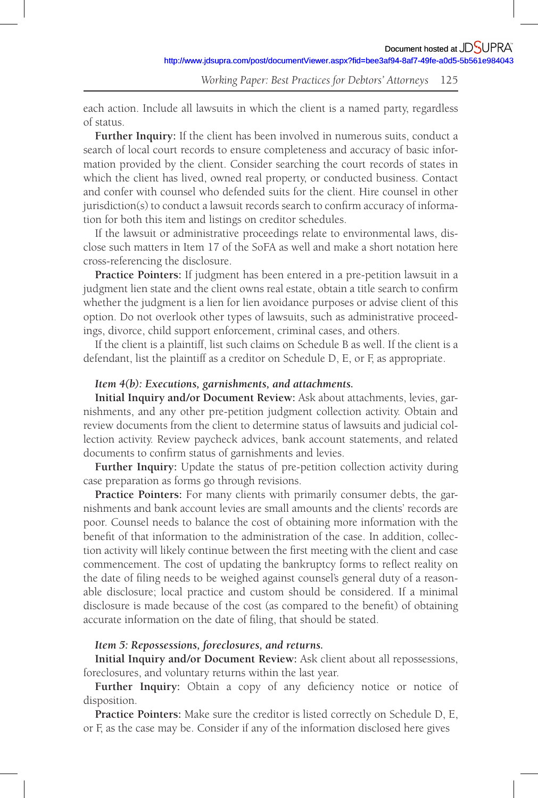each action. Include all lawsuits in which the client is a named party, regardless of status.

**Further Inquiry:** If the client has been involved in numerous suits, conduct a search of local court records to ensure completeness and accuracy of basic information provided by the client. Consider searching the court records of states in which the client has lived, owned real property, or conducted business. Contact and confer with counsel who defended suits for the client. Hire counsel in other  $j$ urisdiction(s) to conduct a lawsuit records search to confirm accuracy of information for both this item and listings on creditor schedules.

If the lawsuit or administrative proceedings relate to environmental laws, disclose such matters in Item 17 of the SoFA as well and make a short notation here cross-referencing the disclosure.

**Practice Pointers:** If judgment has been entered in a pre-petition lawsuit in a judgment lien state and the client owns real estate, obtain a title search to confirm whether the judgment is a lien for lien avoidance purposes or advise client of this option. Do not overlook other types of lawsuits, such as administrative proceedings, divorce, child support enforcement, criminal cases, and others.

If the client is a plaintiff, list such claims on Schedule B as well. If the client is a defendant, list the plaintiff as a creditor on Schedule D, E, or F, as appropriate.

### *Item 4(b): Executions, garnishments, and attachments.*

**Initial Inquiry and /or Document Review:** Ask about attachments, levies, garnishments, and any other pre-petition judgment collection activity. Obtain and review documents from the client to determine status of lawsuits and judicial collection activity. Review paycheck advices, bank account statements, and related documents to confirm status of garnishments and levies.

**Further Inquiry:** Update the status of pre-petition collection activity during case preparation as forms go through revisions.

**Practice Pointers:** For many clients with primarily consumer debts, the garnishments and bank account levies are small amounts and the clients' records are poor. Counsel needs to balance the cost of obtaining more information with the benefit of that information to the administration of the case. In addition, collection activity will likely continue between the first meeting with the client and case commencement. The cost of updating the bankruptcy forms to reflect reality on the date of filing needs to be weighed against counsel's general duty of a reasonable disclosure; local practice and custom should be considered. If a minimal disclosure is made because of the cost (as compared to the benefit) of obtaining accurate information on the date of filing, that should be stated.

### *Item 5: Repossessions, foreclosures, and returns.*

**Initial Inquiry and /or Document Review:** Ask client about all repossessions, foreclosures, and voluntary returns within the last year.

Further Inquiry: Obtain a copy of any deficiency notice or notice of disposition.

**Practice Pointers:** Make sure the creditor is listed correctly on Schedule D, E, or F, as the case may be. Consider if any of the information disclosed here gives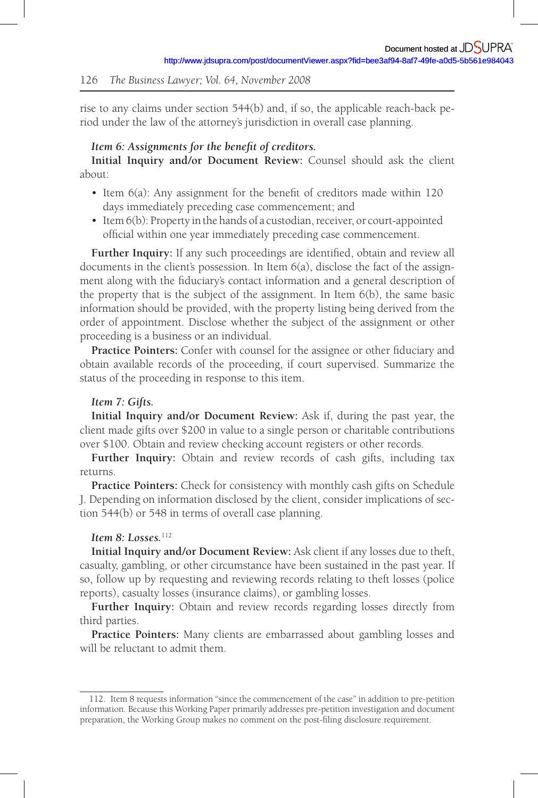rise to any claims under section 544(b) and, if so, the applicable reach-back period under the law of the attorney's jurisdiction in overall case planning.

### Item 6: Assignments for the benefit of creditors.

**Initial Inquiry and /or Document Review:** Counsel should ask the client about:

- Item 6(a): Any assignment for the benefit of creditors made within 120 days immediately preceding case commencement; and
- Item 6(b): Property in the hands of a custodian, receiver, or court-appointed official within one year immediately preceding case commencement.

Further Inquiry: If any such proceedings are identified, obtain and review all documents in the client's possession. In Item 6(a), disclose the fact of the assignment along with the fiduciary's contact information and a general description of the property that is the subject of the assignment. In Item  $6(b)$ , the same basic information should be provided, with the property listing being derived from the order of appointment. Disclose whether the subject of the assignment or other proceeding is a business or an individual.

Practice Pointers: Confer with counsel for the assignee or other fiduciary and obtain available records of the proceeding, if court supervised. Summarize the status of the proceeding in response to this item.

#### *Item 7: Gifts.*

**Initial Inquiry and /or Document Review:** Ask if, during the past year, the client made gifts over \$200 in value to a single person or charitable contributions over \$100. Obtain and review checking account registers or other records.

**Further Inquiry:** Obtain and review records of cash gifts, including tax returns.

**Practice Pointers:** Check for consistency with monthly cash gifts on Schedule J. Depending on information disclosed by the client, consider implications of section 544(b) or 548 in terms of overall case planning.

#### *Item 8: Losses.*<sup>112</sup>

**Initial Inquiry and /or Document Review:** Ask client if any losses due to theft, casualty, gambling, or other circumstance have been sustained in the past year. If so, follow up by requesting and reviewing records relating to theft losses (police reports), casualty losses (insurance claims), or gambling losses.

**Further Inquiry:** Obtain and review records regarding losses directly from third parties.

**Practice Pointers:** Many clients are embarrassed about gambling losses and will be reluctant to admit them.

<sup>112 .</sup> Item 8 requests information "since the commencement of the case" in addition to pre-petition information. Because this Working Paper primarily addresses pre-petition investigation and document preparation, the Working Group makes no comment on the post-filing disclosure requirement.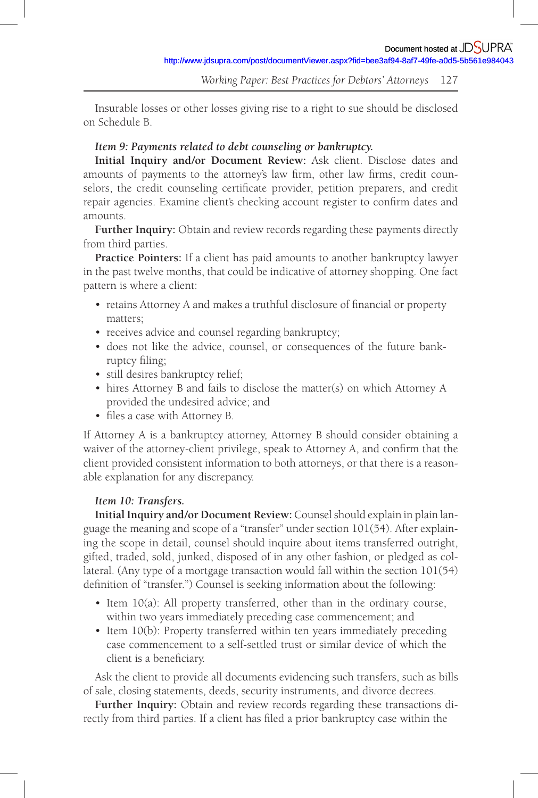Insurable losses or other losses giving rise to a right to sue should be disclosed on Schedule B.

# *Item 9: Payments related to debt counseling or bankruptcy.*

**Initial Inquiry and /or Document Review:** Ask client. Disclose dates and amounts of payments to the attorney's law firm, other law firms, credit counselors, the credit counseling certificate provider, petition preparers, and credit repair agencies. Examine client's checking account register to confirm dates and amounts.

**Further Inquiry:** Obtain and review records regarding these payments directly from third parties.

**Practice Pointers:** If a client has paid amounts to another bankruptcy lawyer in the past twelve months, that could be indicative of attorney shopping. One fact pattern is where a client:

- retains Attorney A and makes a truthful disclosure of financial or property matters;
- receives advice and counsel regarding bankruptcy;
- does not like the advice, counsel, or consequences of the future bankruptcy filing;
- still desires bankruptcy relief;
- hires Attorney B and fails to disclose the matter(s) on which Attorney A provided the undesired advice; and
- files a case with Attorney B.

If Attorney A is a bankruptcy attorney, Attorney B should consider obtaining a waiver of the attorney-client privilege, speak to Attorney A, and confirm that the client provided consistent information to both attorneys, or that there is a reasonable explanation for any discrepancy.

# *Item 10: Transfers.*

**Initial Inquiry and /or Document Review:** Counsel should explain in plain language the meaning and scope of a "transfer" under section 101(54). After explaining the scope in detail, counsel should inquire about items transferred outright, gifted, traded, sold, junked, disposed of in any other fashion, or pledged as collateral. (Any type of a mortgage transaction would fall within the section 101(54) definition of "transfer.") Counsel is seeking information about the following:

- Item 10(a): All property transferred, other than in the ordinary course, within two years immediately preceding case commencement; and
- Item 10(b): Property transferred within ten years immediately preceding case commencement to a self-settled trust or similar device of which the client is a beneficiary.

Ask the client to provide all documents evidencing such transfers, such as bills of sale, closing statements, deeds, security instruments, and divorce decrees.

**Further Inquiry:** Obtain and review records regarding these transactions directly from third parties. If a client has filed a prior bankruptcy case within the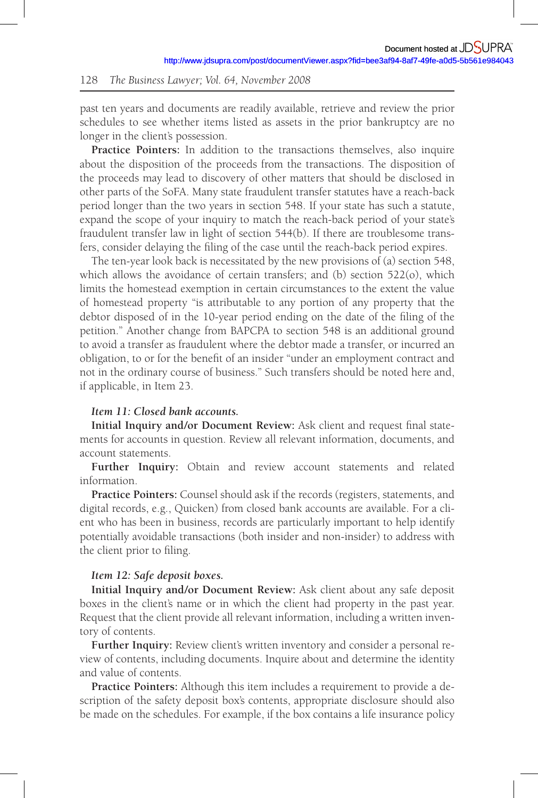past ten years and documents are readily available, retrieve and review the prior schedules to see whether items listed as assets in the prior bankruptcy are no longer in the client's possession.

**Practice Pointers:** In addition to the transactions themselves, also inquire about the disposition of the proceeds from the transactions. The disposition of the proceeds may lead to discovery of other matters that should be disclosed in other parts of the SoFA. Many state fraudulent transfer statutes have a reach-back period longer than the two years in section 548. If your state has such a statute, expand the scope of your inquiry to match the reach-back period of your state's fraudulent transfer law in light of section 544(b). If there are troublesome transfers, consider delaying the filing of the case until the reach-back period expires.

The ten-year look back is necessitated by the new provisions of (a) section 548, which allows the avoidance of certain transfers; and (b) section 522(o), which limits the homestead exemption in certain circumstances to the extent the value of homestead property "is attributable to any portion of any property that the debtor disposed of in the 10-year period ending on the date of the filing of the petition." Another change from BAPCPA to section 548 is an additional ground to avoid a transfer as fraudulent where the debtor made a transfer, or incurred an obligation, to or for the benefi t of an insider "under an employment contract and not in the ordinary course of business." Such transfers should be noted here and, if applicable, in Item 23.

# *Item 11: Closed bank accounts.*

**Initial Inquiry and/or Document Review:** Ask client and request final statements for accounts in question. Review all relevant information, documents, and account statements.

**Further Inquiry:** Obtain and review account statements and related information.

**Practice Pointers:** Counsel should ask if the records (registers, statements, and digital records, e.g., Quicken) from closed bank accounts are available. For a client who has been in business, records are particularly important to help identify potentially avoidable transactions (both insider and non-insider) to address with the client prior to filing.

#### *Item 12: Safe deposit boxes.*

**Initial Inquiry and /or Document Review:** Ask client about any safe deposit boxes in the client's name or in which the client had property in the past year. Request that the client provide all relevant information, including a written inventory of contents.

**Further Inquiry:** Review client's written inventory and consider a personal review of contents, including documents. Inquire about and determine the identity and value of contents.

**Practice Pointers:** Although this item includes a requirement to provide a description of the safety deposit box's contents, appropriate disclosure should also be made on the schedules. For example, if the box contains a life insurance policy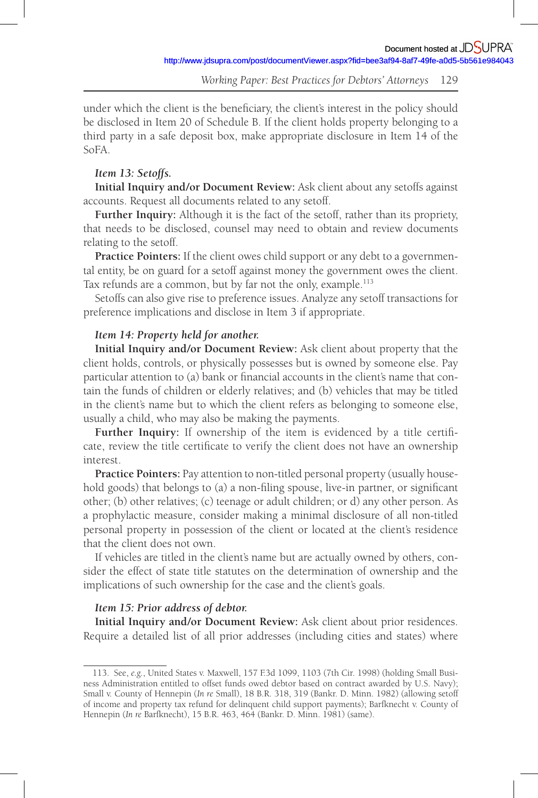under which the client is the beneficiary, the client's interest in the policy should be disclosed in Item 20 of Schedule B. If the client holds property belonging to a third party in a safe deposit box, make appropriate disclosure in Item 14 of the SoFA.

# *Item 13: Setoffs.*

**Initial Inquiry and /or Document Review:** Ask client about any setoffs against accounts. Request all documents related to any setoff.

**Further Inquiry:** Although it is the fact of the setoff, rather than its propriety, that needs to be disclosed, counsel may need to obtain and review documents relating to the setoff.

**Practice Pointers:** If the client owes child support or any debt to a governmental entity, be on guard for a setoff against money the government owes the client. Tax refunds are a common, but by far not the only, example. 113

Setoffs can also give rise to preference issues. Analyze any setoff transactions for preference implications and disclose in Item 3 if appropriate.

# *Item 14: Property held for another.*

**Initial Inquiry and /or Document Review:** Ask client about property that the client holds, controls, or physically possesses but is owned by someone else. Pay particular attention to (a) bank or financial accounts in the client's name that contain the funds of children or elderly relatives; and (b) vehicles that may be titled in the client's name but to which the client refers as belonging to someone else, usually a child, who may also be making the payments.

Further Inquiry: If ownership of the item is evidenced by a title certificate, review the title certificate to verify the client does not have an ownership interest.

**Practice Pointers:** Pay attention to non-titled personal property (usually household goods) that belongs to (a) a non-filing spouse, live-in partner, or significant other; (b) other relatives; (c) teenage or adult children; or d) any other person. As a prophylactic measure, consider making a minimal disclosure of all non-titled personal property in possession of the client or located at the client's residence that the client does not own.

If vehicles are titled in the client's name but are actually owned by others, consider the effect of state title statutes on the determination of ownership and the implications of such ownership for the case and the client's goals.

### *Item 15: Prior address of debtor.*

**Initial Inquiry and /or Document Review:** Ask client about prior residences. Require a detailed list of all prior addresses (including cities and states) where

<sup>113 .</sup> See, *e.g.*, United States v. Maxwell, 157 F.3d 1099, 1103 (7th Cir. 1998) (holding Small Business Administration entitled to offset funds owed debtor based on contract awarded by U.S. Navy); Small v. County of Hennepin ( *In re* Small), 18 B.R. 318, 319 (Bankr. D. Minn. 1982) (allowing setoff of income and property tax refund for delinquent child support payments); Barfknecht v. County of Hennepin ( *In re* Barfknecht), 15 B.R. 463, 464 (Bankr. D. Minn. 1981) (same).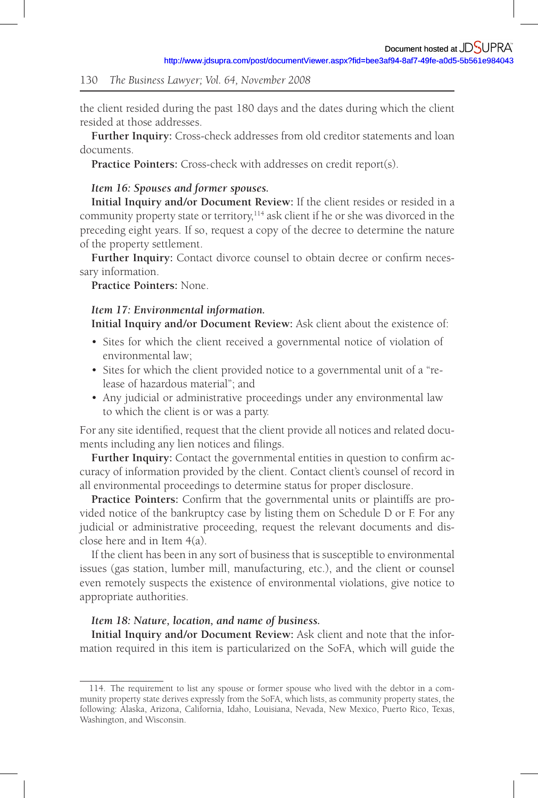the client resided during the past 180 days and the dates during which the client resided at those addresses.

**Further Inquiry:** Cross-check addresses from old creditor statements and loan documents.

Practice Pointers: Cross-check with addresses on credit report(s).

### *Item 16: Spouses and former spouses.*

**Initial Inquiry and /or Document Review:** If the client resides or resided in a community property state or territory, $114$  ask client if he or she was divorced in the preceding eight years. If so, request a copy of the decree to determine the nature of the property settlement.

Further Inquiry: Contact divorce counsel to obtain decree or confirm necessary information.

**Practice Pointers:** None.

# *Item 17: Environmental information.*

**Initial Inquiry and /or Document Review:** Ask client about the existence of:

- Sites for which the client received a governmental notice of violation of environmental law;
- Sites for which the client provided notice to a governmental unit of a "release of hazardous material"; and
- Any judicial or administrative proceedings under any environmental law to which the client is or was a party.

For any site identified, request that the client provide all notices and related documents including any lien notices and filings.

Further Inquiry: Contact the governmental entities in question to confirm accuracy of information provided by the client. Contact client's counsel of record in all environmental proceedings to determine status for proper disclosure.

**Practice Pointers:** Confirm that the governmental units or plaintiffs are provided notice of the bankruptcy case by listing them on Schedule D or F. For any judicial or administrative proceeding, request the relevant documents and disclose here and in Item 4(a).

If the client has been in any sort of business that is susceptible to environmental issues (gas station, lumber mill, manufacturing, etc.), and the client or counsel even remotely suspects the existence of environmental violations, give notice to appropriate authorities.

# *Item 18: Nature, location, and name of business.*

**Initial Inquiry and /or Document Review:** Ask client and note that the information required in this item is particularized on the SoFA, which will guide the

<sup>114 .</sup> The requirement to list any spouse or former spouse who lived with the debtor in a community property state derives expressly from the SoFA, which lists, as community property states, the following: Alaska, Arizona, California, Idaho, Louisiana, Nevada, New Mexico, Puerto Rico, Texas, Washington, and Wisconsin.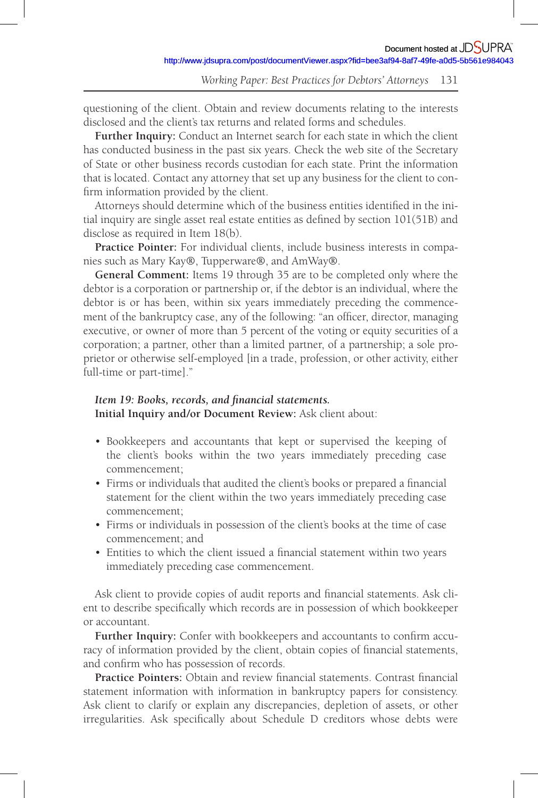questioning of the client. Obtain and review documents relating to the interests disclosed and the client's tax returns and related forms and schedules.

**Further Inquiry:** Conduct an Internet search for each state in which the client has conducted business in the past six years. Check the web site of the Secretary of State or other business records custodian for each state. Print the information that is located. Contact any attorney that set up any business for the client to confirm information provided by the client.

Attorneys should determine which of the business entities identified in the initial inquiry are single asset real estate entities as defined by section  $101(51B)$  and disclose as required in Item 18(b).

**Practice Pointer:** For individual clients, include business interests in companies such as Mary Kay®, Tupperware®, and AmWay®.

**General Comment:** Items 19 through 35 are to be completed only where the debtor is a corporation or partnership or, if the debtor is an individual, where the debtor is or has been, within six years immediately preceding the commencement of the bankruptcy case, any of the following: "an officer, director, managing executive, or owner of more than 5 percent of the voting or equity securities of a corporation; a partner, other than a limited partner, of a partnership; a sole proprietor or otherwise self-employed [in a trade, profession, or other activity, either full-time or part-time]."

# Item 19: Books, records, and financial statements.

**Initial Inquiry and /or Document Review:** Ask client about:

- Bookkeepers and accountants that kept or supervised the keeping of the client's books within the two years immediately preceding case commencement;
- Firms or individuals that audited the client's books or prepared a financial statement for the client within the two years immediately preceding case commencement;
- Firms or individuals in possession of the client's books at the time of case commencement; and
- Entities to which the client issued a financial statement within two years immediately preceding case commencement.

Ask client to provide copies of audit reports and financial statements. Ask client to describe specifically which records are in possession of which bookkeeper or accountant.

**Further Inquiry:** Confer with bookkeepers and accountants to confirm accuracy of information provided by the client, obtain copies of financial statements, and confirm who has possession of records.

**Practice Pointers:** Obtain and review financial statements. Contrast financial statement information with information in bankruptcy papers for consistency. Ask client to clarify or explain any discrepancies, depletion of assets, or other irregularities. Ask specifically about Schedule D creditors whose debts were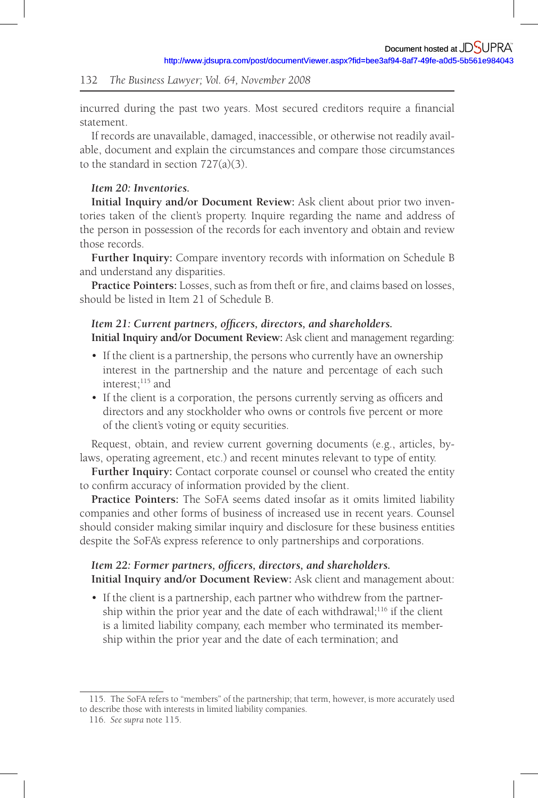incurred during the past two years. Most secured creditors require a financial statement.

If records are unavailable, damaged, inaccessible, or otherwise not readily available, document and explain the circumstances and compare those circumstances to the standard in section 727(a)(3).

## *Item 20: Inventories.*

**Initial Inquiry and /or Document Review:** Ask client about prior two inventories taken of the client's property. Inquire regarding the name and address of the person in possession of the records for each inventory and obtain and review those records.

**Further Inquiry:** Compare inventory records with information on Schedule B and understand any disparities.

Practice Pointers: Losses, such as from theft or fire, and claims based on losses, should be listed in Item 21 of Schedule B.

### *Item 21: Current partners, officers, directors, and shareholders.* **Initial Inquiry and /or Document Review:** Ask client and management regarding:

- If the client is a partnership, the persons who currently have an ownership interest in the partnership and the nature and percentage of each such interest;<sup>115</sup> and
- If the client is a corporation, the persons currently serving as officers and directors and any stockholder who owns or controls five percent or more of the client's voting or equity securities.

Request, obtain, and review current governing documents (e.g., articles, bylaws, operating agreement, etc.) and recent minutes relevant to type of entity.

**Further Inquiry:** Contact corporate counsel or counsel who created the entity to confirm accuracy of information provided by the client.

**Practice Pointers:** The SoFA seems dated insofar as it omits limited liability companies and other forms of business of increased use in recent years. Counsel should consider making similar inquiry and disclosure for these business entities despite the SoFA's express reference to only partnerships and corporations.

# *Item 22: Former partners, officers, directors, and shareholders.*

**Initial Inquiry and /or Document Review:** Ask client and management about:

• If the client is a partnership, each partner who withdrew from the partnership within the prior year and the date of each withdrawal;<sup>116</sup> if the client is a limited liability company, each member who terminated its membership within the prior year and the date of each termination; and

<sup>115 .</sup> The SoFA refers to "members" of the partnership; that term, however, is more accurately used to describe those with interests in limited liability companies.

<sup>116 .</sup> *See supra* note 115.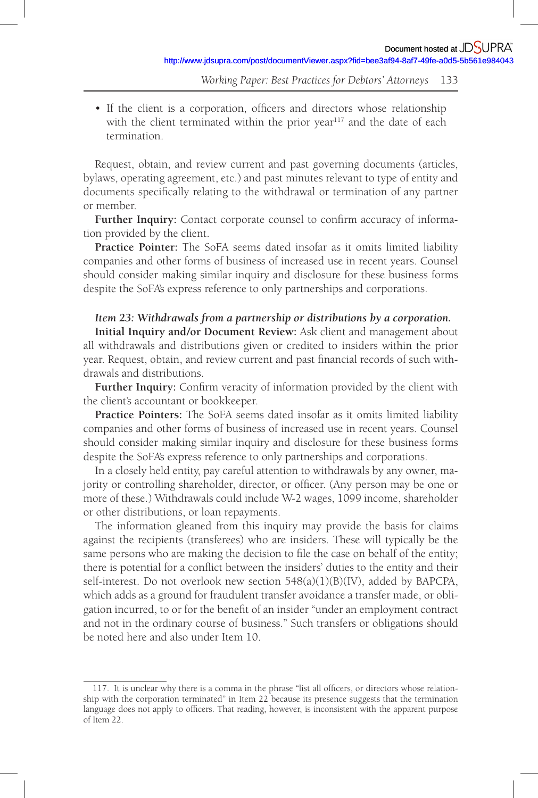• If the client is a corporation, officers and directors whose relationship with the client terminated within the prior year<sup>117</sup> and the date of each termination.

Request, obtain, and review current and past governing documents (articles, bylaws, operating agreement, etc.) and past minutes relevant to type of entity and documents specifically relating to the withdrawal or termination of any partner or member.

Further Inquiry: Contact corporate counsel to confirm accuracy of information provided by the client.

**Practice Pointer:** The SoFA seems dated insofar as it omits limited liability companies and other forms of business of increased use in recent years. Counsel should consider making similar inquiry and disclosure for these business forms despite the SoFA's express reference to only partnerships and corporations.

# *Item 23: Withdrawals from a partnership or distributions by a corporation.*

**Initial Inquiry and /or Document Review:** Ask client and management about all withdrawals and distributions given or credited to insiders within the prior year. Request, obtain, and review current and past financial records of such withdrawals and distributions.

Further Inquiry: Confirm veracity of information provided by the client with the client's accountant or bookkeeper.

**Practice Pointers:** The SoFA seems dated insofar as it omits limited liability companies and other forms of business of increased use in recent years. Counsel should consider making similar inquiry and disclosure for these business forms despite the SoFA's express reference to only partnerships and corporations.

In a closely held entity, pay careful attention to withdrawals by any owner, majority or controlling shareholder, director, or officer. (Any person may be one or more of these.) Withdrawals could include W-2 wages, 1099 income, shareholder or other distributions, or loan repayments.

The information gleaned from this inquiry may provide the basis for claims against the recipients (transferees) who are insiders. These will typically be the same persons who are making the decision to file the case on behalf of the entity; there is potential for a conflict between the insiders' duties to the entity and their self-interest. Do not overlook new section 548(a)(1)(B)(IV), added by BAPCPA, which adds as a ground for fraudulent transfer avoidance a transfer made, or obligation incurred, to or for the benefit of an insider "under an employment contract and not in the ordinary course of business." Such transfers or obligations should be noted here and also under Item 10.

<sup>117.</sup> It is unclear why there is a comma in the phrase "list all officers, or directors whose relationship with the corporation terminated" in Item 22 because its presence suggests that the termination language does not apply to officers. That reading, however, is inconsistent with the apparent purpose of Item 22.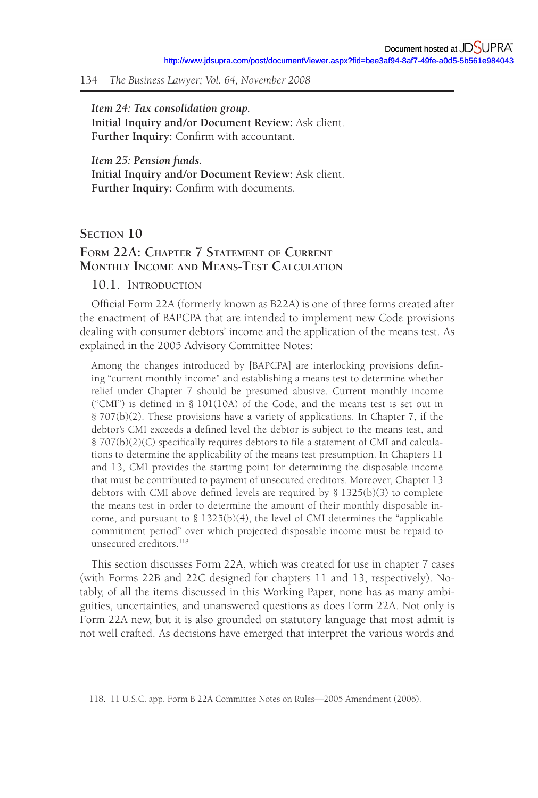*Item 24: Tax consolidation group.*  **Initial Inquiry and /or Document Review:** Ask client. Further Inquiry: Confirm with accountant.

*Item 25: Pension funds.*  **Initial Inquiry and /or Document Review:** Ask client. Further Inquiry: Confirm with documents.

# **SECTION 10**

# **FORM 22A: CHAPTER 7 STATEMENT OF CURRENT MONTHLY INCOME AND MEANS-TEST CALCULATION**

# 10.1 INTRODUCTION

Official Form 22A (formerly known as B22A) is one of three forms created after the enactment of BAPCPA that are intended to implement new Code provisions dealing with consumer debtors' income and the application of the means test. As explained in the 2005 Advisory Committee Notes:

Among the changes introduced by [BAPCPA] are interlocking provisions defining "current monthly income" and establishing a means test to determine whether relief under Chapter 7 should be presumed abusive. Current monthly income ("CMI") is defined in  $\S$  101(10A) of the Code, and the means test is set out in § 707(b)(2). These provisions have a variety of applications. In Chapter 7, if the debtor's CMI exceeds a defined level the debtor is subject to the means test, and § 707(b)(2)(C) specifically requires debtors to file a statement of CMI and calculations to determine the applicability of the means test presumption. In Chapters 11 and 13, CMI provides the starting point for determining the disposable income that must be contributed to payment of unsecured creditors. Moreover, Chapter 13 debtors with CMI above defined levels are required by  $\S$  1325(b)(3) to complete the means test in order to determine the amount of their monthly disposable income, and pursuant to § 1325(b)(4), the level of CMI determines the "applicable commitment period" over which projected disposable income must be repaid to unsecured creditors. 118

This section discusses Form 22A, which was created for use in chapter 7 cases (with Forms 22B and 22C designed for chapters 11 and 13, respectively). Notably, of all the items discussed in this Working Paper, none has as many ambiguities, uncertainties, and unanswered questions as does Form 22A. Not only is Form 22A new, but it is also grounded on statutory language that most admit is not well crafted. As decisions have emerged that interpret the various words and

<sup>118 . 11</sup> U.S.C. app. Form B 22A Committee Notes on Rules—2005 Amendment (2006).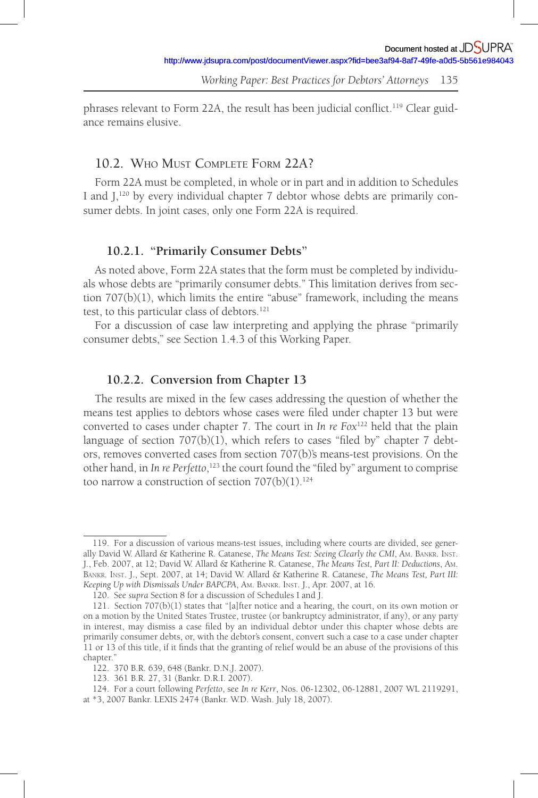phrases relevant to Form 22A, the result has been judicial conflict.<sup>119</sup> Clear guidance remains elusive.

# 10.2. WHO MUST COMPLETE FORM 22A?

Form 22A must be completed, in whole or in part and in addition to Schedules I and J,<sup>120</sup> by every individual chapter 7 debtor whose debts are primarily consumer debts. In joint cases, only one Form 22A is required.

# **10.2.1. "Primarily Consumer Debts"**

As noted above, Form 22A states that the form must be completed by individuals whose debts are "primarily consumer debts." This limitation derives from section 707(b)(1), which limits the entire "abuse" framework, including the means test, to this particular class of debtors. 121

For a discussion of case law interpreting and applying the phrase "primarily consumer debts," see Section 1.4.3 of this Working Paper.

## **10.2.2. Conversion from Chapter 13**

The results are mixed in the few cases addressing the question of whether the means test applies to debtors whose cases were filed under chapter 13 but were converted to cases under chapter 7. The court in *In re Fox*122 held that the plain language of section  $707(b)(1)$ , which refers to cases "filed by" chapter  $7$  debtors, removes converted cases from section 707(b)'s means-test provisions. On the other hand, in *In re Perfetto*,<sup>123</sup> the court found the "filed by" argument to comprise too narrow a construction of section  $707(b)(1)$ .<sup>124</sup>

<sup>119 .</sup> For a discussion of various means-test issues, including where courts are divided, see generally David W. Allard & Katherine R. Catanese, *The Means Test: Seeing Clearly the CMI*, AM. BANKR. INST. J.,Feb. 2007, at 12; David W. Allard & Katherine R. Catanese, *The Means Test, Part II: Deductions*, AM. BANKR. INST. J. , Sept. 2007, at 14; David W. Allard & Katherine R. Catanese, *The Means Test, Part III: Keeping Up with Dismissals Under BAPCPA*, AM. BANKR. INST. J.,Apr. 2007, at 16.

<sup>120 .</sup> See *supra* Section 8 for a discussion of Schedules I and J.

<sup>121 .</sup> Section 707(b)(1) states that "[a]fter notice and a hearing, the court, on its own motion or on a motion by the United States Trustee, trustee (or bankruptcy administrator, if any), or any party in interest, may dismiss a case filed by an individual debtor under this chapter whose debts are primarily consumer debts, or, with the debtor's consent, convert such a case to a case under chapter 11 or 13 of this title, if it finds that the granting of relief would be an abuse of the provisions of this chapter."

<sup>122 . 370</sup> B.R. 639, 648 (Bankr. D.N.J. 2007).

<sup>123 . 361</sup> B.R. 27, 31 (Bankr. D.R.I. 2007).

<sup>124 .</sup> For a court following *Perfetto*, see *In re Kerr*, Nos. 06-12302, 06-12881, 2007 WL 2119291, at \*3, 2007 Bankr. LEXIS 2474 (Bankr. W.D. Wash. July 18, 2007).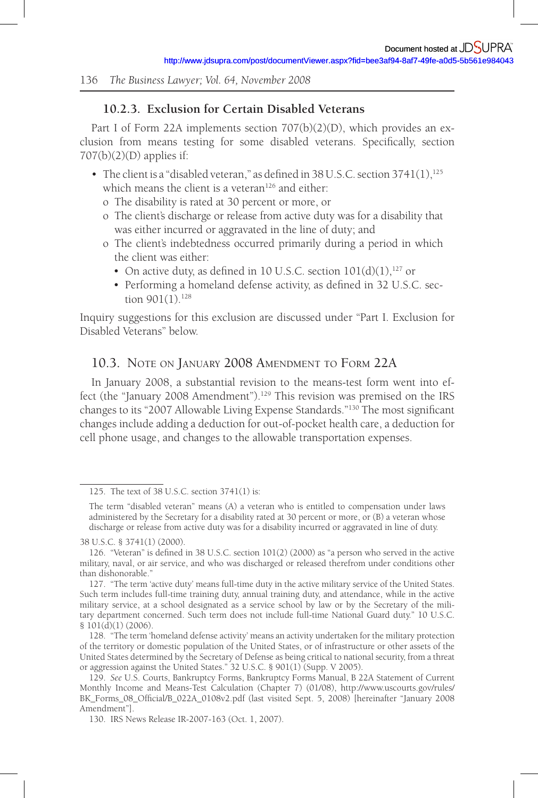# **10.2.3. Exclusion for Certain Disabled Veterans**

Part I of Form 22A implements section 707(b)(2)(D), which provides an exclusion from means testing for some disabled veterans. Specifically, section 707(b)(2)(D) applies if:

- The client is a "disabled veteran," as defined in 38 U.S.C. section  $3741(1)$ ,  $^{125}$ which means the client is a veteran<sup>126</sup> and either:
	- o The disability is rated at 30 percent or more, or
	- o The client's discharge or release from active duty was for a disability that was either incurred or aggravated in the line of duty; and
	- o The client's indebtedness occurred primarily during a period in which the client was either:
		- On active duty, as defined in 10 U.S.C. section  $101(d)(1)$ ,  $^{127}$  or
		- Performing a homeland defense activity, as defined in 32 U.S.C. section  $901(1).$ <sup>128</sup>

Inquiry suggestions for this exclusion are discussed under "Part I. Exclusion for Disabled Veterans" below.

# 10.3. NOTE ON JANUARY 2008 AMENDMENT TO FORM 22A

In January 2008, a substantial revision to the means-test form went into effect (the "January 2008 Amendment"). 129 This revision was premised on the IRS changes to its "2007 Allowable Living Expense Standards."<sup>130</sup> The most significant changes include adding a deduction for out-of-pocket health care, a deduction for cell phone usage, and changes to the allowable transportation expenses.

<sup>125 .</sup> The text of 38 U.S.C. section 3741(1) is:

The term "disabled veteran" means (A) a veteran who is entitled to compensation under laws administered by the Secretary for a disability rated at 30 percent or more, or (B) a veteran whose discharge or release from active duty was for a disability incurred or aggravated in line of duty.

<sup>38</sup> U.S.C. § 3741(1) (2000).

<sup>126. &</sup>quot;Veteran" is defined in 38 U.S.C. section  $101(2)$  (2000) as "a person who served in the active military, naval, or air service, and who was discharged or released therefrom under conditions other than dishonorable."

<sup>127 . &</sup>quot;The term 'active duty' means full-time duty in the active military service of the United States. Such term includes full-time training duty, annual training duty, and attendance, while in the active military service, at a school designated as a service school by law or by the Secretary of the military department concerned. Such term does not include full-time National Guard duty." 10 U.S.C. § 101(d)(1) (2006).

<sup>128 . &</sup>quot;The term 'homeland defense activity' means an activity undertaken for the military protection of the territory or domestic population of the United States, or of infrastructure or other assets of the United States determined by the Secretary of Defense as being critical to national security, from a threat or aggression against the United States." 32 U.S.C. § 901(1) (Supp. V 2005).

<sup>129 .</sup> *See* U.S. Courts, Bankruptcy Forms, Bankruptcy Forms Manual, B 22A Statement of Current Monthly Income and Means-Test Calculation (Chapter 7) (01/08), http://www.uscourts.gov/rules/ BK\_Forms\_08\_Official/B\_022A\_0108v2.pdf (last visited Sept. 5, 2008) [hereinafter "January 2008 Amendment"].

<sup>130 .</sup> IRS News Release IR-2007-163 (Oct. 1, 2007).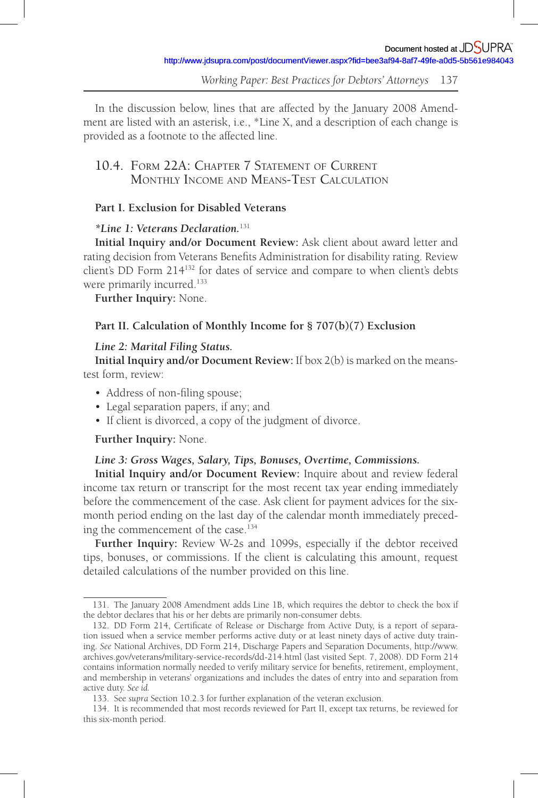In the discussion below, lines that are affected by the January 2008 Amendment are listed with an asterisk, i.e., \*Line X, and a description of each change is provided as a footnote to the affected line.

# 10.4. FORM 22A: CHAPTER 7 STATEMENT OF CURRENT MONTHLY INCOME AND MEANS-TEST CALCULATION

# **Part I. Exclusion for Disabled Veterans**

# *\*Line 1: Veterans Declaration.*<sup>131</sup>

**Initial Inquiry and /or Document Review:** Ask client about award letter and rating decision from Veterans Benefits Administration for disability rating. Review client's DD Form 214<sup>132</sup> for dates of service and compare to when client's debts were primarily incurred.<sup>133</sup>

**Further Inquiry:** None.

# **Part II. Calculation of Monthly Income for § 707(b)(7) Exclusion**

# *Line 2: Marital Filing Status.*

**Initial Inquiry and /or Document Review:** If box 2(b) is marked on the meanstest form, review:

- Address of non-filing spouse;
- Legal separation papers, if any; and
- If client is divorced, a copy of the judgment of divorce.

### **Further Inquiry:** None.

# *Line 3: Gross Wages, Salary, Tips, Bonuses, Overtime, Commissions.*

**Initial Inquiry and /or Document Review:** Inquire about and review federal income tax return or transcript for the most recent tax year ending immediately before the commencement of the case. Ask client for payment advices for the sixmonth period ending on the last day of the calendar month immediately preceding the commencement of the case. 134

**Further Inquiry:** Review W-2s and 1099s, especially if the debtor received tips, bonuses, or commissions. If the client is calculating this amount, request detailed calculations of the number provided on this line.

<sup>131 .</sup> The January 2008 Amendment adds Line 1B, which requires the debtor to check the box if the debtor declares that his or her debts are primarily non-consumer debts.

<sup>132.</sup> DD Form 214, Certificate of Release or Discharge from Active Duty, is a report of separation issued when a service member performs active duty or at least ninety days of active duty training. *See* National Archives, DD Form 214, Discharge Papers and Separation Documents, http://www. archives.gov/veterans/military-service-records/dd-214.html (last visited Sept. 7, 2008). DD Form 214 contains information normally needed to verify military service for benefits, retirement, employment, and membership in veterans' organizations and includes the dates of entry into and separation from active duty. *See id.*

<sup>133 .</sup> See *supra* Section 10.2.3 for further explanation of the veteran exclusion.

<sup>134 .</sup> It is recommended that most records reviewed for Part II, except tax returns, be reviewed for this six-month period.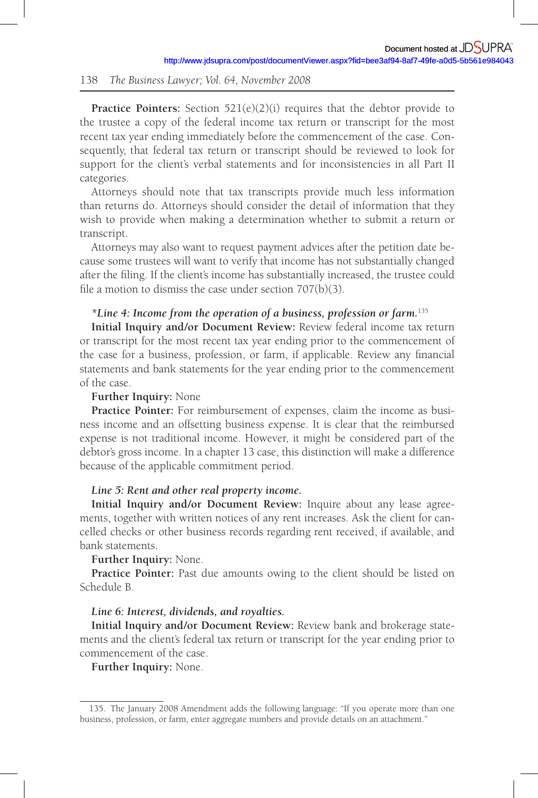**Practice Pointers:** Section 521(e)(2)(i) requires that the debtor provide to the trustee a copy of the federal income tax return or transcript for the most recent tax year ending immediately before the commencement of the case. Consequently, that federal tax return or transcript should be reviewed to look for support for the client's verbal statements and for inconsistencies in all Part II categories.

Attorneys should note that tax transcripts provide much less information than returns do. Attorneys should consider the detail of information that they wish to provide when making a determination whether to submit a return or transcript.

Attorneys may also want to request payment advices after the petition date because some trustees will want to verify that income has not substantially changed after the filing. If the client's income has substantially increased, the trustee could file a motion to dismiss the case under section  $707(b)(3)$ .

# *\*Line 4: Income from the operation of a business, profession or farm.*<sup>135</sup>

**Initial Inquiry and /or Document Review:** Review federal income tax return or transcript for the most recent tax year ending prior to the commencement of the case for a business, profession, or farm, if applicable. Review any financial statements and bank statements for the year ending prior to the commencement of the case.

# **Further Inquiry:** None

**Practice Pointer:** For reimbursement of expenses, claim the income as business income and an offsetting business expense. It is clear that the reimbursed expense is not traditional income. However, it might be considered part of the debtor's gross income. In a chapter 13 case, this distinction will make a difference because of the applicable commitment period.

### *Line 5: Rent and other real property income.*

**Initial Inquiry and /or Document Review:** Inquire about any lease agreements, together with written notices of any rent increases. Ask the client for cancelled checks or other business records regarding rent received, if available, and bank statements.

#### **Further Inquiry:** None.

**Practice Pointer:** Past due amounts owing to the client should be listed on Schedule B.

#### *Line 6: Interest, dividends, and royalties.*

**Initial Inquiry and /or Document Review:** Review bank and brokerage statements and the client's federal tax return or transcript for the year ending prior to commencement of the case.

**Further Inquiry:** None.

<sup>135.</sup> The January 2008 Amendment adds the following language: "If you operate more than one business, profession, or farm, enter aggregate numbers and provide details on an attachment."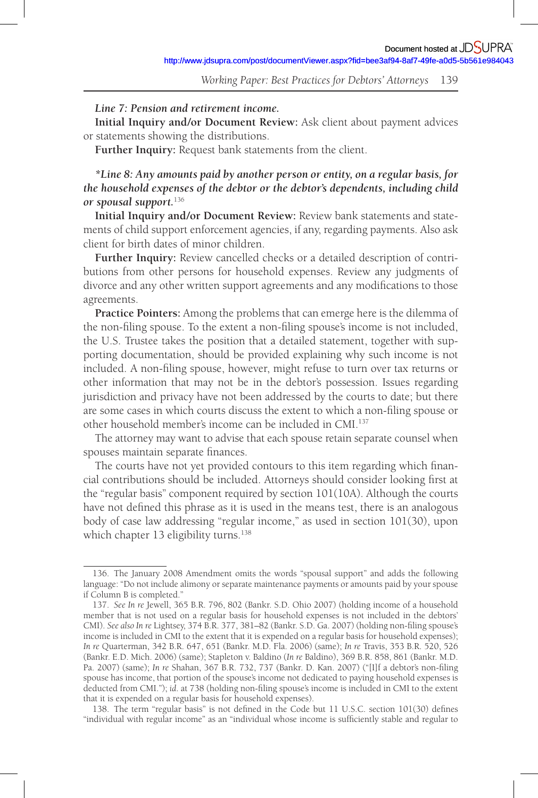### *Line 7: Pension and retirement income.*

**Initial Inquiry and /or Document Review:** Ask client about payment advices or statements showing the distributions.

**Further Inquiry:** Request bank statements from the client.

*\*Line 8: Any amounts paid by another person or entity, on a regular basis, for the household expenses of the debtor or the debtor's dependents, including child or spousal support.*<sup>136</sup>

**Initial Inquiry and /or Document Review:** Review bank statements and statements of child support enforcement agencies, if any, regarding payments. Also ask client for birth dates of minor children.

**Further Inquiry:** Review cancelled checks or a detailed description of contributions from other persons for household expenses. Review any judgments of divorce and any other written support agreements and any modifications to those agreements.

**Practice Pointers:** Among the problems that can emerge here is the dilemma of the non-filing spouse. To the extent a non-filing spouse's income is not included, the U.S. Trustee takes the position that a detailed statement, together with supporting documentation, should be provided explaining why such income is not included. A non-filing spouse, however, might refuse to turn over tax returns or other information that may not be in the debtor's possession. Issues regarding jurisdiction and privacy have not been addressed by the courts to date; but there are some cases in which courts discuss the extent to which a non-filing spouse or other household member's income can be included in CMI. 137

The attorney may want to advise that each spouse retain separate counsel when spouses maintain separate finances.

The courts have not yet provided contours to this item regarding which financial contributions should be included. Attorneys should consider looking first at the "regular basis" component required by section 101(10A). Although the courts have not defined this phrase as it is used in the means test, there is an analogous body of case law addressing "regular income," as used in section 101(30), upon which chapter 13 eligibility turns.<sup>138</sup>

<sup>136 .</sup> The January 2008 Amendment omits the words "spousal support" and adds the following language: "Do not include alimony or separate maintenance payments or amounts paid by your spouse if Column B is completed."

<sup>137 .</sup> *See In re* Jewell, 365 B.R. 796, 802 (Bankr. S.D. Ohio 2007) (holding income of a household member that is not used on a regular basis for household expenses is not included in the debtors' CMI). See also In re Lightsey, 374 B.R. 377, 381–82 (Bankr. S.D. Ga. 2007) (holding non-filing spouse's income is included in CMI to the extent that it is expended on a regular basis for household expenses); *In re* Quarterman, 342 B.R. 647, 651 (Bankr. M.D. Fla. 2006) (same); *In re* Travis, 353 B.R. 520, 526 (Bankr. E.D. Mich. 2006) (same); Stapleton v. Baldino ( *In re* Baldino), 369 B.R. 858, 861 (Bankr. M.D. Pa. 2007) (same); *In re* Shahan, 367 B.R. 732, 737 (Bankr. D. Kan. 2007) ("[1]f a debtor's non-filing spouse has income, that portion of the spouse's income not dedicated to paying household expenses is deducted from CMI."); *id.* at 738 (holding non-filing spouse's income is included in CMI to the extent that it is expended on a regular basis for household expenses).

<sup>138.</sup> The term "regular basis" is not defined in the Code but 11 U.S.C. section 101(30) defines "individual with regular income" as an "individual whose income is sufficiently stable and regular to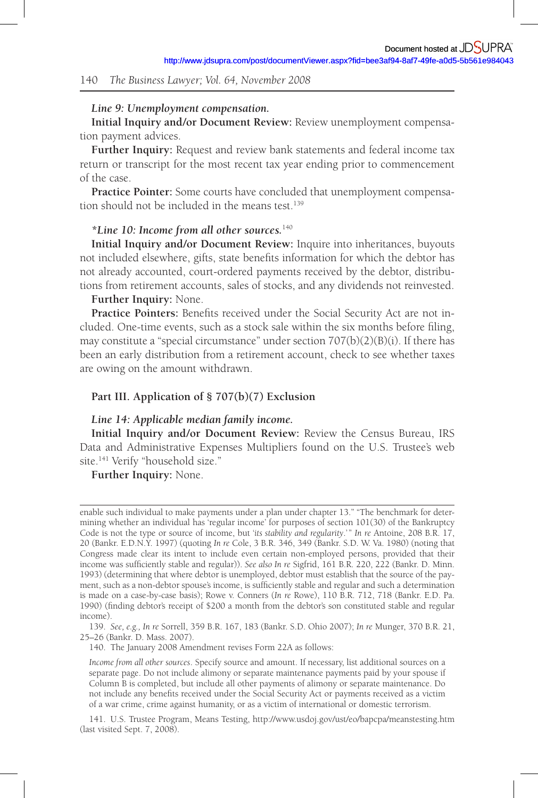#### *Line 9: Unemployment compensation.*

**Initial Inquiry and /or Document Review:** Review unemployment compensation payment advices.

**Further Inquiry:** Request and review bank statements and federal income tax return or transcript for the most recent tax year ending prior to commencement of the case.

**Practice Pointer:** Some courts have concluded that unemployment compensation should not be included in the means test. 139

#### *\*Line 10: Income from all other sources.*<sup>140</sup>

**Initial Inquiry and /or Document Review:** Inquire into inheritances, buyouts not included elsewhere, gifts, state benefits information for which the debtor has not already accounted, court-ordered payments received by the debtor, distributions from retirement accounts, sales of stocks, and any dividends not reinvested.

# **Further Inquiry:** None.

Practice Pointers: Benefits received under the Social Security Act are not included. One-time events, such as a stock sale within the six months before filing, may constitute a "special circumstance" under section 707(b)(2)(B)(i). If there has been an early distribution from a retirement account, check to see whether taxes are owing on the amount withdrawn.

## **Part III. Application of § 707(b)(7) Exclusion**

#### *Line 14: Applicable median family income.*

**Initial Inquiry and /or Document Review:** Review the Census Bureau, IRS Data and Administrative Expenses Multipliers found on the U.S. Trustee's web site.<sup>141</sup> Verify "household size."

**Further Inquiry:** None.

140 . The January 2008 Amendment revises Form 22A as follows:

enable such individual to make payments under a plan under chapter 13." "The benchmark for determining whether an individual has 'regular income' for purposes of section 101(30) of the Bankruptcy Code is not the type or source of income, but '*its stability and regularity*.'" In re Antoine, 208 B.R. 17, 20 (Bankr. E.D.N.Y. 1997) (quoting *In re* Cole, 3 B.R. 346, 349 (Bankr. S.D. W. Va. 1980) (noting that Congress made clear its intent to include even certain non-employed persons, provided that their income was sufficiently stable and regular)). *See also In re* Sigfrid, 161 B.R. 220, 222 (Bankr. D. Minn. 1993) (determining that where debtor is unemployed, debtor must establish that the source of the payment, such as a non-debtor spouse's income, is sufficiently stable and regular and such a determination is made on a case-by-case basis); Rowe v. Conners (In re Rowe), 110 B.R. 712, 718 (Bankr. E.D. Pa. 1990) (finding debtor's receipt of \$200 a month from the debtor's son constituted stable and regular income).

<sup>139 .</sup> *See, e.g., In re* Sorrell, 359 B.R. 167, 183 (Bankr. S.D. Ohio 2007); *In re* Munger, 370 B.R. 21, 25–26 (Bankr. D. Mass. 2007).

*Income from all other sources*. Specify source and amount. If necessary, list additional sources on a separate page. Do not include alimony or separate maintenance payments paid by your spouse if Column B is completed, but include all other payments of alimony or separate maintenance. Do not include any benefits received under the Social Security Act or payments received as a victim of a war crime, crime against humanity, or as a victim of international or domestic terrorism.

<sup>141 .</sup> U.S. Trustee Program, Means Testing, http://www.usdoj.gov/ust/eo/bapcpa/meanstesting.htm (last visited Sept. 7, 2008).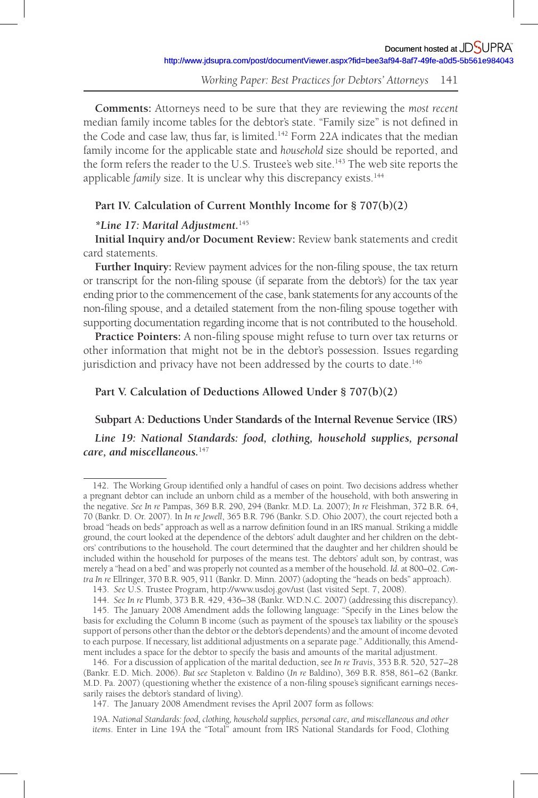**Comments:** Attorneys need to be sure that they are reviewing the *most recent* median family income tables for the debtor's state. "Family size" is not defined in the Code and case law, thus far, is limited. 142 Form 22A indicates that the median family income for the applicable state and *household* size should be reported, and the form refers the reader to the U.S. Trustee's web site. 143 The web site reports the applicable *family* size. It is unclear why this discrepancy exists.<sup>144</sup>

### **Part IV. Calculation of Current Monthly Income for § 707(b)(2)**

#### *\*Line 17: Marital Adjustment.*<sup>145</sup>

**Initial Inquiry and /or Document Review:** Review bank statements and credit card statements.

Further Inquiry: Review payment advices for the non-filing spouse, the tax return or transcript for the non-filing spouse (if separate from the debtor's) for the tax year ending prior to the commencement of the case, bank statements for any accounts of the non-filing spouse, and a detailed statement from the non-filing spouse together with supporting documentation regarding income that is not contributed to the household.

**Practice Pointers:** A non-filing spouse might refuse to turn over tax returns or other information that might not be in the debtor's possession. Issues regarding jurisdiction and privacy have not been addressed by the courts to date.<sup>146</sup>

# **Part V. Calculation of Deductions Allowed Under § 707(b)(2)**

# **Subpart A: Deductions Under Standards of the Internal Revenue Service (IRS)**

Line 19: National Standards: food, clothing, household supplies, personal *care, and miscellaneous.*<sup>147</sup>

<sup>142.</sup> The Working Group identified only a handful of cases on point. Two decisions address whether a pregnant debtor can include an unborn child as a member of the household, with both answering in the negative. *See In re* Pampas, 369 B.R. 290, 294 (Bankr. M.D. La. 2007); *In re* Fleishman, 372 B.R. 64, 70 (Bankr. D. Or. 2007). In *In re Jewell*, 365 B.R. 796 (Bankr. S.D. Ohio 2007), the court rejected both a broad "heads on beds" approach as well as a narrow definition found in an IRS manual. Striking a middle ground, the court looked at the dependence of the debtors' adult daughter and her children on the debtors' contributions to the household. The court determined that the daughter and her children should be included within the household for purposes of the means test. The debtors' adult son, by contrast, was merely a "head on a bed" and was properly not counted as a member of the household. *Id*. at 800–02. *Contra In re* Ellringer, 370 B.R. 905, 911 (Bankr. D. Minn. 2007) (adopting the "heads on beds" approach).

<sup>143 .</sup> *See* U.S. Trustee Program, http://www.usdoj.gov/ust (last visited Sept. 7, 2008).

<sup>144 .</sup> *See In re* Plumb, 373 B.R. 429, 436–38 (Bankr. W.D.N.C. 2007) (addressing this discrepancy). 145 . The January 2008 Amendment adds the following language: "Specify in the Lines below the basis for excluding the Column B income (such as payment of the spouse's tax liability or the spouse's support of persons other than the debtor or the debtor's dependents) and the amount of income devoted to each purpose. If necessary, list additional adjustments on a separate page." Additionally, this Amendment includes a space for the debtor to specify the basis and amounts of the marital adjustment.

<sup>146 .</sup> For a discussion of application of the marital deduction, see *In re Travis*, 353 B.R. 520, 527–28 (Bankr. E.D. Mich. 2006). *But see* Stapleton v. Baldino ( *In re* Baldino), 369 B.R. 858, 861–62 (Bankr. M.D. Pa. 2007) (questioning whether the existence of a non-filing spouse's significant earnings necessarily raises the debtor's standard of living).

<sup>147 .</sup> The January 2008 Amendment revises the April 2007 form as follows:

<sup>19</sup>A. *National Standards: food, clothing, household supplies, personal care, and miscellaneous and other items*. Enter in Line 19A the "Total" amount from IRS National Standards for Food, Clothing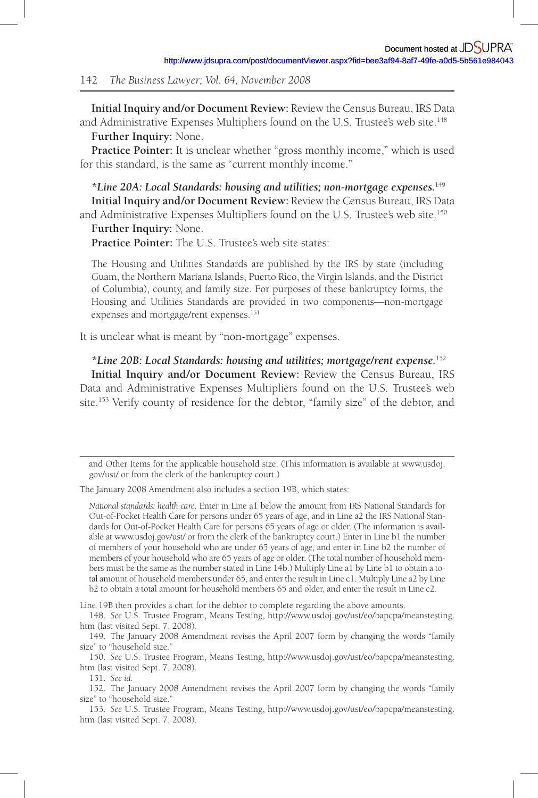**Initial Inquiry and /or Document Review:** Review the Census Bureau, IRS Data and Administrative Expenses Multipliers found on the U.S. Trustee's web site.<sup>148</sup> **Further Inquiry:** None.

Practice Pointer: It is unclear whether "gross monthly income," which is used for this standard, is the same as "current monthly income."

*\*Line 20A: Local Standards: housing and utilities; non-mortgage expenses.*<sup>149</sup> **Initial Inquiry and /or Document Review:** Review the Census Bureau, IRS Data and Administrative Expenses Multipliers found on the U.S. Trustee's web site. 150

**Further Inquiry:** None.

**Practice Pointer:** The U.S. Trustee's web site states:

The Housing and Utilities Standards are published by the IRS by state (including Guam, the Northern Mariana Islands, Puerto Rico, the Virgin Islands, and the District of Columbia), county, and family size. For purposes of these bankruptcy forms, the Housing and Utilities Standards are provided in two components—non-mortgage expenses and mortgage/rent expenses.<sup>151</sup>

It is unclear what is meant by "non-mortgage" expenses.

*\*Line 20B: Local Standards: housing and utilities; mortgage/rent expense .* 152 **Initial Inquiry and /or Document Review:** Review the Census Bureau, IRS Data and Administrative Expenses Multipliers found on the U.S. Trustee's web site. 153 Verify county of residence for the debtor, "family size" of the debtor, and

The January 2008 Amendment also includes a section 19B, which states:

*National standards: health care*. Enter in Line a1 below the amount from IRS National Standards for Out-of-Pocket Health Care for persons under 65 years of age, and in Line a2 the IRS National Standards for Out-of-Pocket Health Care for persons 65 years of age or older. (The information is available at www.usdoj.gov/ust/ or from the clerk of the bankruptcy court.) Enter in Line b1 the number of members of your household who are under 65 years of age, and enter in Line b2 the number of members of your household who are 65 years of age or older. (The total number of household members must be the same as the number stated in Line 14b.) Multiply Line a1 by Line b1 to obtain a total amount of household members under 65, and enter the result in Line c1. Multiply Line a2 by Line b2 to obtain a total amount for household members 65 and older, and enter the result in Line c2.

Line 19B then provides a chart for the debtor to complete regarding the above amounts.

and Other Items for the applicable household size. (This information is available at www.usdoj. gov/ust/ or from the clerk of the bankruptcy court.)

<sup>148 .</sup> *See* U.S. Trustee Program, Means Testing, http://www.usdoj.gov/ust/eo/bapcpa/meanstesting. htm (last visited Sept. 7, 2008).

<sup>149 .</sup> The January 2008 Amendment revises the April 2007 form by changing the words "family size" to "household size."

<sup>150 .</sup> *See* U.S. Trustee Program, Means Testing, http://www.usdoj.gov/ust/eo/bapcpa/meanstesting. htm (last visited Sept. 7, 2008).

<sup>151 .</sup> *See id.*

<sup>152 .</sup> The January 2008 Amendment revises the April 2007 form by changing the words "family size" to "household size."

<sup>153 .</sup> *See* U.S. Trustee Program, Means Testing, http://www.usdoj.gov/ust/eo/bapcpa/meanstesting. htm (last visited Sept. 7, 2008).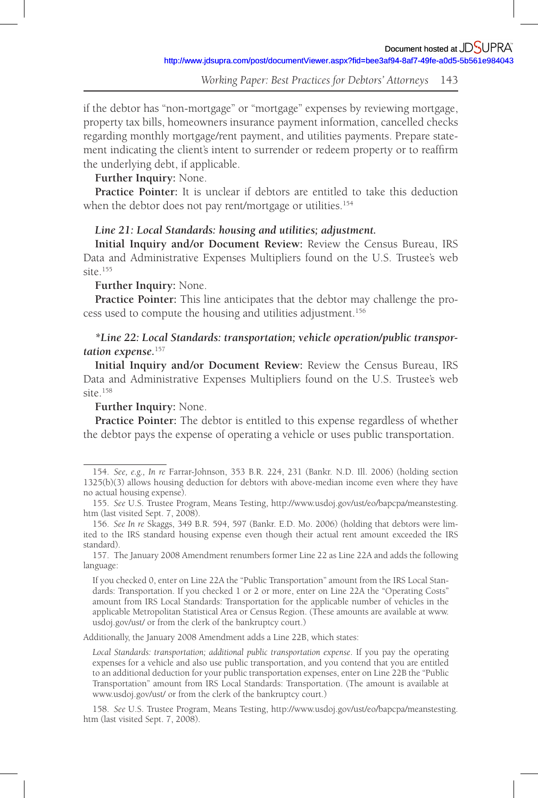if the debtor has "non-mortgage" or "mortgage" expenses by reviewing mortgage, property tax bills, homeowners insurance payment information, cancelled checks regarding monthly mortgage/rent payment, and utilities payments. Prepare statement indicating the client's intent to surrender or redeem property or to reaffirm the underlying debt, if applicable.

# **Further Inquiry:** None.

**Practice Pointer:** It is unclear if debtors are entitled to take this deduction when the debtor does not pay rent/mortgage or utilities.<sup>154</sup>

# *Line 21: Local Standards: housing and utilities; adjustment.*

**Initial Inquiry and /or Document Review:** Review the Census Bureau, IRS Data and Administrative Expenses Multipliers found on the U.S. Trustee's web site. 155

### **Further Inquiry:** None.

**Practice Pointer:** This line anticipates that the debtor may challenge the process used to compute the housing and utilities adjustment. 156

# *\*Line 22: Local Standards: transportation; vehicle operation/public transportation expense.*<sup>157</sup>

**Initial Inquiry and /or Document Review:** Review the Census Bureau, IRS Data and Administrative Expenses Multipliers found on the U.S. Trustee's web  $\sin \theta$  158

# **Further Inquiry:** None.

**Practice Pointer:** The debtor is entitled to this expense regardless of whether the debtor pays the expense of operating a vehicle or uses public transportation.

Additionally, the January 2008 Amendment adds a Line 22B, which states:

<sup>154 .</sup> *See, e.g., In re* Farrar-Johnson, 353 B.R. 224, 231 (Bankr. N.D. Ill. 2006) (holding section 1325(b)(3) allows housing deduction for debtors with above-median income even where they have no actual housing expense).

<sup>155 .</sup> *See* U.S. Trustee Program, Means Testing, http://www.usdoj.gov/ust/eo/bapcpa/meanstesting. htm (last visited Sept. 7, 2008).

<sup>156 .</sup> *See In re* Skaggs, 349 B.R. 594, 597 (Bankr. E.D. Mo. 2006) (holding that debtors were limited to the IRS standard housing expense even though their actual rent amount exceeded the IRS standard).

<sup>157 .</sup> The January 2008 Amendment renumbers former Line 22 as Line 22A and adds the following language:

If you checked 0, enter on Line 22A the "Public Transportation" amount from the IRS Local Standards: Transportation. If you checked 1 or 2 or more, enter on Line 22A the "Operating Costs" amount from IRS Local Standards: Transportation for the applicable number of vehicles in the applicable Metropolitan Statistical Area or Census Region. (These amounts are available at www. usdoj.gov/ust/ or from the clerk of the bankruptcy court.)

*Local Standards: transportation; additional public transportation expense*. If you pay the operating expenses for a vehicle and also use public transportation, and you contend that you are entitled to an additional deduction for your public transportation expenses, enter on Line 22B the "Public Transportation" amount from IRS Local Standards: Transportation. (The amount is available at www.usdoj.gov/ust/ or from the clerk of the bankruptcy court.)

<sup>158 .</sup> *See* U.S. Trustee Program, Means Testing, http://www.usdoj.gov/ust/eo/bapcpa/meanstesting. htm (last visited Sept. 7, 2008).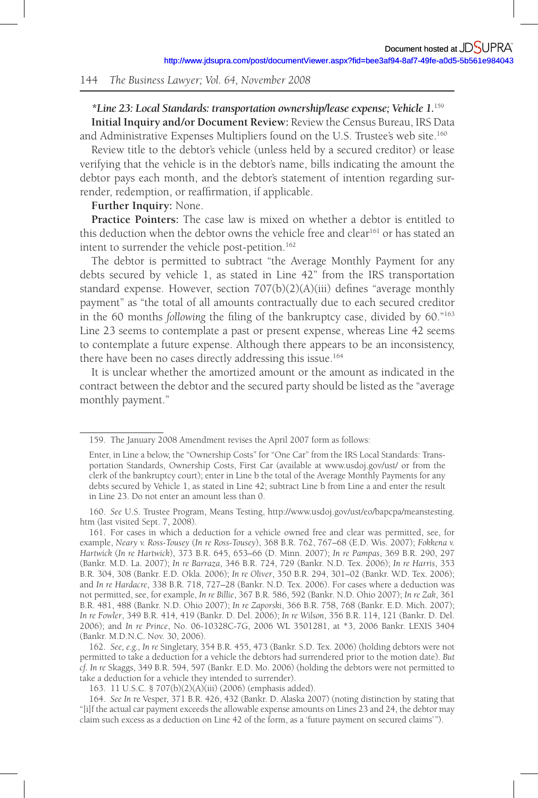# *\*Line 23: Local Standards: transportation ownership/lease expense; Vehicle 1.* <sup>159</sup> **Initial Inquiry and /or Document Review:** Review the Census Bureau, IRS Data and Administrative Expenses Multipliers found on the U.S. Trustee's web site. 160

Review title to the debtor's vehicle (unless held by a secured creditor) or lease verifying that the vehicle is in the debtor's name, bills indicating the amount the debtor pays each month, and the debtor's statement of intention regarding surrender, redemption, or reaffirmation, if applicable.

### **Further Inquiry:** None.

**Practice Pointers:** The case law is mixed on whether a debtor is entitled to this deduction when the debtor owns the vehicle free and clear<sup>161</sup> or has stated an intent to surrender the vehicle post-petition. 162

The debtor is permitted to subtract "the Average Monthly Payment for any debts secured by vehicle 1, as stated in Line 42" from the IRS transportation standard expense. However, section  $707(b)(2)(A)(iii)$  defines "average monthly payment" as "the total of all amounts contractually due to each secured creditor in the 60 months *following* the filing of the bankruptcy case, divided by 60."<sup>163</sup> Line 23 seems to contemplate a past or present expense, whereas Line 42 seems to contemplate a future expense. Although there appears to be an inconsistency, there have been no cases directly addressing this issue. 164

It is unclear whether the amortized amount or the amount as indicated in the contract between the debtor and the secured party should be listed as the "average monthly payment."

162 . *See, e.g., In re* Singletary, 354 B.R. 455, 473 (Bankr. S.D. Tex. 2006) (holding debtors were not permitted to take a deduction for a vehicle the debtors had surrendered prior to the motion date). *But cf. In re* Skaggs, 349 B.R. 594, 597 (Bankr. E.D. Mo. 2006) (holding the debtors were not permitted to take a deduction for a vehicle they intended to surrender).

163 . 11 U.S.C. § 707(b)(2)(A)(iii) (2006) (emphasis added).

164 . *See In* re Vesper, 371 B.R. 426, 432 (Bankr. D. Alaska 2007) (noting distinction by stating that "[i]f the actual car payment exceeds the allowable expense amounts on Lines 23 and 24, the debtor may claim such excess as a deduction on Line 42 of the form, as a 'future payment on secured claims' ").

<sup>159 .</sup> The January 2008 Amendment revises the April 2007 form as follows:

Enter, in Line a below, the "Ownership Costs" for "One Car" from the IRS Local Standards: Transportation Standards, Ownership Costs, First Car (available at www.usdoj.gov/ust/ or from the clerk of the bankruptcy court); enter in Line b the total of the Average Monthly Payments for any debts secured by Vehicle 1, as stated in Line 42; subtract Line b from Line a and enter the result in Line 23. Do not enter an amount less than 0.

<sup>160 .</sup> *See* U.S. Trustee Program, Means Testing, http://www.usdoj.gov/ust/eo/bapcpa/meanstesting. htm (last visited Sept. 7, 2008).

<sup>161 .</sup> For cases in which a deduction for a vehicle owned free and clear was permitted, see, for example, *Neary v. Ross-Tousey* ( *In re Ross-Tousey*), 368 B.R. 762, 767–68 (E.D. Wis. 2007); *Fokkena v. Hartwick* ( *In re Hartwick*), 373 B.R. 645, 653–66 (D. Minn. 2007); *In re Pampas*, 369 B.R. 290, 297 (Bankr. M.D. La. 2007); *In re Barraza*, 346 B.R. 724, 729 (Bankr. N.D. Tex. 2006); *In re Harris*, 353 B.R. 304, 308 (Bankr. E.D. Okla. 2006); *In re Oliver*, 350 B.R. 294, 301–02 (Bankr. W.D. Tex. 2006); and *In re Hardacre*, 338 B.R. 718, 727–28 (Bankr. N.D. Tex. 2006). For cases where a deduction was not permitted, see, for example, *In re Billie*, 367 B.R. 586, 592 (Bankr. N.D. Ohio 2007); *In re Zak*, 361 B.R. 481, 488 (Bankr. N.D. Ohio 2007); *In re Zaporski*, 366 B.R. 758, 768 (Bankr. E.D. Mich. 2007); *In re Fowler*, 349 B.R. 414, 419 (Bankr. D. Del. 2006); *In re Wilson*, 356 B.R. 114, 121 (Bankr. D. Del. 2006); and *In re Prince*, No. 06-10328C-7G, 2006 WL 3501281, at \*3, 2006 Bankr. LEXIS 3404 (Bankr. M.D.N.C. Nov. 30, 2006).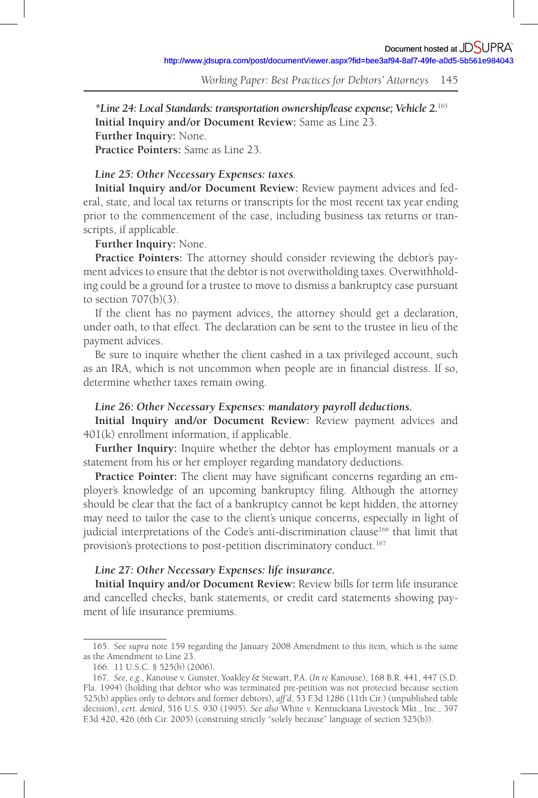*\*Line 24: Local Standards: transportation ownership/lease expense; Vehicle 2.* <sup>165</sup> **Initial Inquiry and /or Document Review:** Same as Line 23. **Further Inquiry:** None. **Practice Pointers:** Same as Line 23.

# *Line 25: Other Necessary Expenses: taxes.*

**Initial Inquiry and /or Document Review:** Review payment advices and federal, state, and local tax returns or transcripts for the most recent tax year ending prior to the commencement of the case, including business tax returns or transcripts, if applicable.

# **Further Inquiry:** None.

**Practice Pointers:** The attorney should consider reviewing the debtor's payment advices to ensure that the debtor is not overwitholding taxes. Overwithholding could be a ground for a trustee to move to dismiss a bankruptcy case pursuant to section 707(b)(3).

If the client has no payment advices, the attorney should get a declaration, under oath, to that effect. The declaration can be sent to the trustee in lieu of the payment advices.

Be sure to inquire whether the client cashed in a tax privileged account, such as an IRA, which is not uncommon when people are in financial distress. If so, determine whether taxes remain owing.

### *Line 26: Other Necessary Expenses: mandatory payroll deductions.*

**Initial Inquiry and /or Document Review:** Review payment advices and 401(k) enrollment information, if applicable.

**Further Inquiry:** Inquire whether the debtor has employment manuals or a statement from his or her employer regarding mandatory deductions.

Practice Pointer: The client may have significant concerns regarding an employer's knowledge of an upcoming bankruptcy filing. Although the attorney should be clear that the fact of a bankruptcy cannot be kept hidden, the attorney may need to tailor the case to the client's unique concerns, especially in light of judicial interpretations of the Code's anti-discrimination clause 166 that limit that provision's protections to post-petition discriminatory conduct. 167

# *Line 27: Other Necessary Expenses: life insurance.*

**Initial Inquiry and /or Document Review:** Review bills for term life insurance and cancelled checks, bank statements, or credit card statements showing payment of life insurance premiums.

<sup>165 .</sup> See *supra* note 159 regarding the January 2008 Amendment to this item, which is the same as the Amendment to Line 23.

<sup>166. 11</sup> U.S.C. § 525(b) (2006).

<sup>167 .</sup> *See, e.g.*, Kanouse v. Gunster, Yoakley & Stewart, P.A. ( *In re* Kanouse), 168 B.R. 441, 447 (S.D. Fla. 1994) (holding that debtor who was terminated pre-petition was not protected because section 525(b) applies only to debtors and former debtors), *aff'd*, 53 F.3d 1286 (11th Cir.) (unpublished table decision), *cert. denied*, 516 U.S. 930 (1995). *See also* White v. Kentuckiana Livestock Mkt., Inc., 397 F.3d 420, 426 (6th Cir. 2005) (construing strictly "solely because" language of section 525(b)).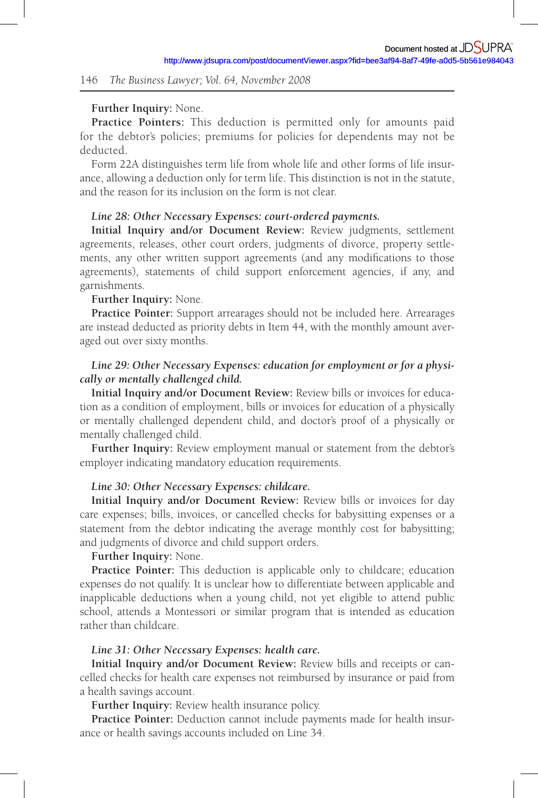#### **Further Inquiry:** None.

**Practice Pointers:** This deduction is permitted only for amounts paid for the debtor's policies; premiums for policies for dependents may not be deducted.

Form 22A distinguishes term life from whole life and other forms of life insurance, allowing a deduction only for term life. This distinction is not in the statute, and the reason for its inclusion on the form is not clear.

# *Line 28: Other Necessary Expenses: court-ordered payments.*

**Initial Inquiry and /or Document Review:** Review judgments, settlement agreements, releases, other court orders, judgments of divorce, property settlements, any other written support agreements (and any modifications to those agreements), statements of child support enforcement agencies, if any, and garnishments.

# **Further Inquiry:** None.

**Practice Pointer:** Support arrearages should not be included here. Arrearages are instead deducted as priority debts in Item 44, with the monthly amount averaged out over sixty months.

# *Line 29: Other Necessary Expenses: education for employment or for a physically or mentally challenged child.*

**Initial Inquiry and /or Document Review:** Review bills or invoices for education as a condition of employment, bills or invoices for education of a physically or mentally challenged dependent child, and doctor's proof of a physically or mentally challenged child.

**Further Inquiry:** Review employment manual or statement from the debtor's employer indicating mandatory education requirements.

#### *Line 30: Other Necessary Expenses: childcare.*

**Initial Inquiry and /or Document Review:** Review bills or invoices for day care expenses; bills, invoices, or cancelled checks for babysitting expenses or a statement from the debtor indicating the average monthly cost for babysitting; and judgments of divorce and child support orders.

#### **Further Inquiry:** None.

**Practice Pointer:** This deduction is applicable only to childcare; education expenses do not qualify. It is unclear how to differentiate between applicable and inapplicable deductions when a young child, not yet eligible to attend public school, attends a Montessori or similar program that is intended as education rather than childcare.

## *Line 31: Other Necessary Expenses: health care.*

**Initial Inquiry and /or Document Review:** Review bills and receipts or cancelled checks for health care expenses not reimbursed by insurance or paid from a health savings account.

**Further Inquiry:** Review health insurance policy.

**Practice Pointer:** Deduction cannot include payments made for health insurance or health savings accounts included on Line 34.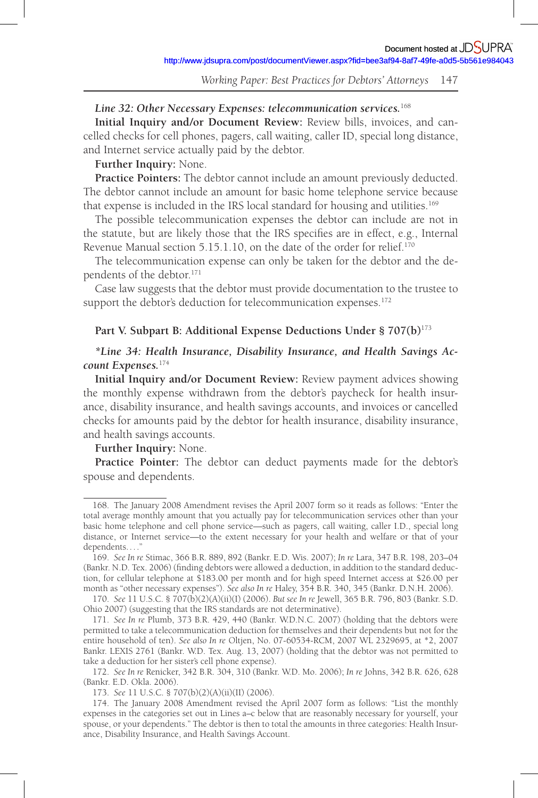# *Line 32: Other Necessary Expenses: telecommunication services.*<sup>168</sup>

**Initial Inquiry and /or Document Review:** Review bills, invoices, and cancelled checks for cell phones, pagers, call waiting, caller ID, special long distance, and Internet service actually paid by the debtor.

# **Further Inquiry:** None.

**Practice Pointers:** The debtor cannot include an amount previously deducted. The debtor cannot include an amount for basic home telephone service because that expense is included in the IRS local standard for housing and utilities.<sup>169</sup>

The possible telecommunication expenses the debtor can include are not in the statute, but are likely those that the IRS specifies are in effect, e.g., Internal Revenue Manual section 5.15.1.10, on the date of the order for relief.<sup>170</sup>

The telecommunication expense can only be taken for the debtor and the dependents of the debtor. 171

Case law suggests that the debtor must provide documentation to the trustee to support the debtor's deduction for telecommunication expenses.<sup>172</sup>

### Part V. Subpart B: Additional Expense Deductions Under § 707(b)<sup>173</sup>

# *\*Line 34: Health Insurance, Disability Insurance, and Health Savings Account Expenses.* <sup>174</sup>

**Initial Inquiry and /or Document Review:** Review payment advices showing the monthly expense withdrawn from the debtor's paycheck for health insurance, disability insurance, and health savings accounts, and invoices or cancelled checks for amounts paid by the debtor for health insurance, disability insurance, and health savings accounts.

# **Further Inquiry:** None.

**Practice Pointer:** The debtor can deduct payments made for the debtor's spouse and dependents.

<sup>168 .</sup> The January 2008 Amendment revises the April 2007 form so it reads as follows: "Enter the total average monthly amount that you actually pay for telecommunication services other than your basic home telephone and cell phone service—such as pagers, call waiting, caller I.D., special long distance, or Internet service—to the extent necessary for your health and welfare or that of your dependents....

<sup>169 .</sup> *See In re* Stimac, 366 B.R. 889, 892 (Bankr. E.D. Wis. 2007); *In re* Lara, 347 B.R. 198, 203–04 (Bankr. N.D. Tex. 2006) (finding debtors were allowed a deduction, in addition to the standard deduction, for cellular telephone at \$183.00 per month and for high speed Internet access at \$26.00 per month as "other necessary expenses"). *See also In re* Haley, 354 B.R. 340, 345 (Bankr. D.N.H. 2006).

<sup>170 .</sup> *See* 11 U.S.C. § 707(b)(2)(A)(ii)(I) (2006). *But see In re* Jewell, 365 B.R. 796, 803 (Bankr. S.D. Ohio 2007) (suggesting that the IRS standards are not determinative).

<sup>171 .</sup> *See In re* Plumb, 373 B.R. 429, 440 (Bankr. W.D.N.C. 2007) (holding that the debtors were permitted to take a telecommunication deduction for themselves and their dependents but not for the entire household of ten). *See also In re* Oltjen, No. 07-60534-RCM, 2007 WL 2329695, at \*2, 2007 Bankr. LEXIS 2761 (Bankr. W.D. Tex. Aug. 13, 2007) (holding that the debtor was not permitted to take a deduction for her sister's cell phone expense).

<sup>172 .</sup> *See In re* Renicker, 342 B.R. 304, 310 (Bankr. W.D. Mo. 2006); *In re* Johns, 342 B.R. 626, 628 (Bankr. E.D. Okla. 2006).

<sup>173 .</sup> *See* 11 U.S.C. § 707(b)(2)(A)(ii)(II) (2006).

<sup>174.</sup> The January 2008 Amendment revised the April 2007 form as follows: "List the monthly expenses in the categories set out in Lines a–c below that are reasonably necessary for yourself, your spouse, or your dependents." The debtor is then to total the amounts in three categories: Health Insurance, Disability Insurance, and Health Savings Account.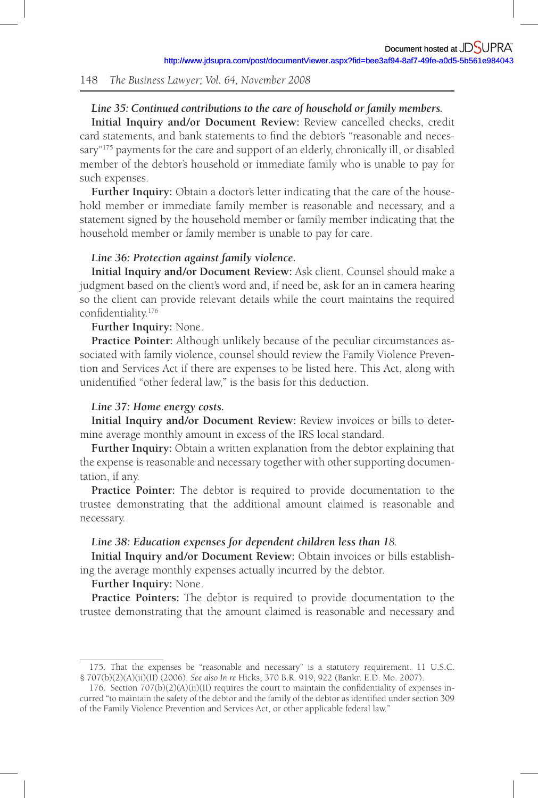# *Line 35: Continued contributions to the care of household or family members.*

Initial Inquiry and/or Document Review: Review cancelled checks, credit card statements, and bank statements to find the debtor's "reasonable and necessary"<sup>175</sup> payments for the care and support of an elderly, chronically ill, or disabled member of the debtor's household or immediate family who is unable to pay for such expenses.

**Further Inquiry:** Obtain a doctor's letter indicating that the care of the household member or immediate family member is reasonable and necessary, and a statement signed by the household member or family member indicating that the household member or family member is unable to pay for care.

#### *Line 36: Protection against family violence.*

**Initial Inquiry and /or Document Review:** Ask client. Counsel should make a judgment based on the client's word and, if need be, ask for an in camera hearing so the client can provide relevant details while the court maintains the required confidentiality.<sup>176</sup>

## **Further Inquiry:** None.

**Practice Pointer:** Although unlikely because of the peculiar circumstances associated with family violence, counsel should review the Family Violence Prevention and Services Act if there are expenses to be listed here. This Act, along with unidentified "other federal law," is the basis for this deduction.

#### *Line 37: Home energy costs.*

**Initial Inquiry and /or Document Review:** Review invoices or bills to determine average monthly amount in excess of the IRS local standard.

**Further Inquiry:** Obtain a written explanation from the debtor explaining that the expense is reasonable and necessary together with other supporting documentation, if any.

**Practice Pointer:** The debtor is required to provide documentation to the trustee demonstrating that the additional amount claimed is reasonable and necessary.

#### *Line 38: Education expenses for dependent children less than 18.*

**Initial Inquiry and /or Document Review:** Obtain invoices or bills establishing the average monthly expenses actually incurred by the debtor.

#### **Further Inquiry:** None.

**Practice Pointers:** The debtor is required to provide documentation to the trustee demonstrating that the amount claimed is reasonable and necessary and

<sup>175 .</sup> That the expenses be "reasonable and necessary" is a statutory requirement. 11 U.S.C. § 707(b)(2)(A)(ii)(II) (2006). *See also In re* Hicks, 370 B.R. 919, 922 (Bankr. E.D. Mo. 2007).

<sup>176.</sup> Section  $707(b)(2)(A)(ii)(II)$  requires the court to maintain the confidentiality of expenses incurred "to maintain the safety of the debtor and the family of the debtor as identified under section 309 of the Family Violence Prevention and Services Act, or other applicable federal law."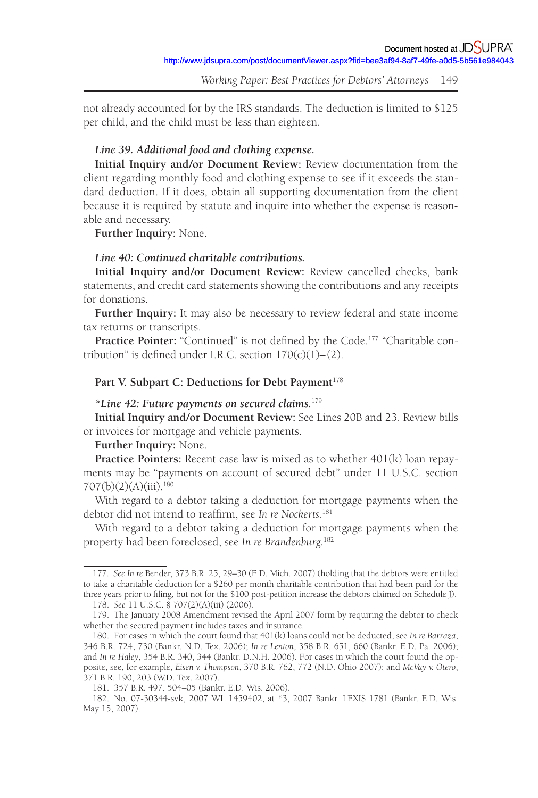not already accounted for by the IRS standards. The deduction is limited to \$125 per child, and the child must be less than eighteen.

# *Line 39. Additional food and clothing expense.*

**Initial Inquiry and /or Document Review:** Review documentation from the client regarding monthly food and clothing expense to see if it exceeds the standard deduction. If it does, obtain all supporting documentation from the client because it is required by statute and inquire into whether the expense is reasonable and necessary.

**Further Inquiry:** None.

# *Line 40: Continued charitable contributions.*

**Initial Inquiry and /or Document Review:** Review cancelled checks, bank statements, and credit card statements showing the contributions and any receipts for donations.

**Further Inquiry:** It may also be necessary to review federal and state income tax returns or transcripts.

Practice Pointer: "Continued" is not defined by the Code.<sup>177</sup> "Charitable contribution" is defined under I.R.C. section  $170(c)(1)–(2)$ .

### Part V. Subpart C: Deductions for Debt Payment<sup>178</sup>

#### *\*Line 42: Future payments on secured claims.* <sup>179</sup>

**Initial Inquiry and /or Document Review:** See Lines 20B and 23. Review bills or invoices for mortgage and vehicle payments.

### **Further Inquiry:** None.

**Practice Pointers:** Recent case law is mixed as to whether 401(k) loan repayments may be "payments on account of secured debt" under 11 U.S.C. section  $707(b)(2)(A)(iii).$ <sup>180</sup>

With regard to a debtor taking a deduction for mortgage payments when the debtor did not intend to reaffirm, see *In re Nockerts*.<sup>181</sup>

With regard to a debtor taking a deduction for mortgage payments when the property had been foreclosed, see *In re Brandenburg.*<sup>182</sup>

<sup>177 .</sup> *See In re* Bender, 373 B.R. 25, 29–30 (E.D. Mich. 2007) (holding that the debtors were entitled to take a charitable deduction for a \$260 per month charitable contribution that had been paid for the three years prior to filing, but not for the \$100 post-petition increase the debtors claimed on Schedule J). 178 . *See* 11 U.S.C. § 707(2)(A)(iii) (2006).

<sup>179.</sup> The January 2008 Amendment revised the April 2007 form by requiring the debtor to check whether the secured payment includes taxes and insurance.

<sup>180 .</sup> For cases in which the court found that 401(k) loans could not be deducted, see *In re Barraza*, 346 B.R. 724, 730 (Bankr. N.D. Tex. 2006); *In re Lenton*, 358 B.R. 651, 660 (Bankr. E.D. Pa. 2006); and *In re Haley*, 354 B.R. 340, 344 (Bankr. D.N.H. 2006). For cases in which the court found the opposite, see, for example, *Eisen v. Thompson*, 370 B.R. 762, 772 (N.D. Ohio 2007); and *McVay v. Otero*, 371 B.R. 190, 203 (W.D. Tex. 2007).

<sup>181. 357</sup> B.R. 497, 504-05 (Bankr. E.D. Wis. 2006).

<sup>182 .</sup> No. 07-30344-svk, 2007 WL 1459402, at \*3, 2007 Bankr. LEXIS 1781 (Bankr. E.D. Wis. May 15, 2007).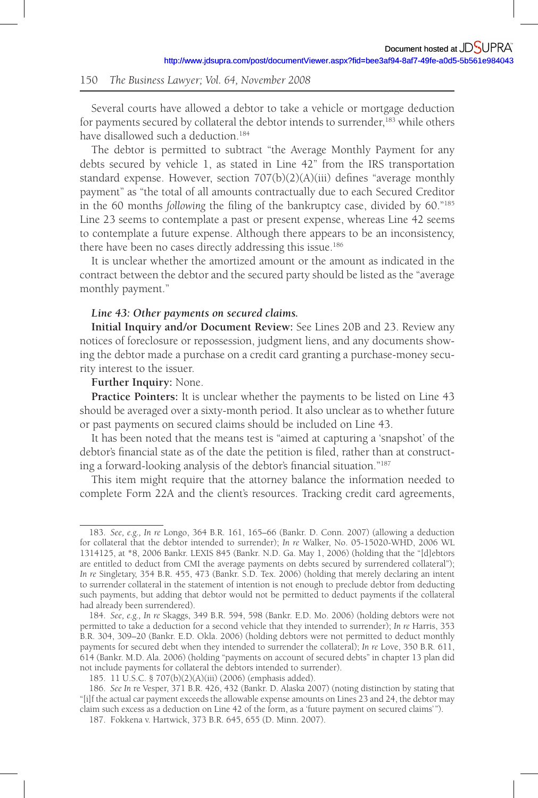Several courts have allowed a debtor to take a vehicle or mortgage deduction for payments secured by collateral the debtor intends to surrender, 183 while others have disallowed such a deduction.<sup>184</sup>

The debtor is permitted to subtract "the Average Monthly Payment for any debts secured by vehicle 1, as stated in Line 42" from the IRS transportation standard expense. However, section  $707(b)(2)(A)(iii)$  defines "average monthly payment" as "the total of all amounts contractually due to each Secured Creditor in the 60 months *following* the filing of the bankruptcy case, divided by 60."<sup>185</sup> Line 23 seems to contemplate a past or present expense, whereas Line 42 seems to contemplate a future expense. Although there appears to be an inconsistency, there have been no cases directly addressing this issue. 186

It is unclear whether the amortized amount or the amount as indicated in the contract between the debtor and the secured party should be listed as the "average monthly payment."

### *Line 43: Other payments on secured claims.*

**Initial Inquiry and /or Document Review:** See Lines 20B and 23. Review any notices of foreclosure or repossession, judgment liens, and any documents showing the debtor made a purchase on a credit card granting a purchase-money security interest to the issuer.

#### **Further Inquiry:** None.

**Practice Pointers:** It is unclear whether the payments to be listed on Line 43 should be averaged over a sixty-month period. It also unclear as to whether future or past payments on secured claims should be included on Line 43.

It has been noted that the means test is "aimed at capturing a 'snapshot' of the debtor's financial state as of the date the petition is filed, rather than at constructing a forward-looking analysis of the debtor's financial situation."<sup>187</sup>

This item might require that the attorney balance the information needed to complete Form 22A and the client's resources. Tracking credit card agreements,

<sup>183 .</sup> *See, e.g., In re* Longo, 364 B.R. 161, 165–66 (Bankr. D. Conn. 2007) (allowing a deduction for collateral that the debtor intended to surrender); *In re* Walker, No. 05-15020-WHD, 2006 WL 1314125, at \*8, 2006 Bankr. LEXIS 845 (Bankr. N.D. Ga. May 1, 2006) (holding that the "[d]ebtors are entitled to deduct from CMI the average payments on debts secured by surrendered collateral"); *In re* Singletary, 354 B.R. 455, 473 (Bankr. S.D. Tex. 2006) (holding that merely declaring an intent to surrender collateral in the statement of intention is not enough to preclude debtor from deducting such payments, but adding that debtor would not be permitted to deduct payments if the collateral had already been surrendered).

<sup>184 .</sup> *See, e.g., In re* Skaggs, 349 B.R. 594, 598 (Bankr. E.D. Mo. 2006) (holding debtors were not permitted to take a deduction for a second vehicle that they intended to surrender); *In re* Harris, 353 B.R. 304, 309–20 (Bankr. E.D. Okla. 2006) (holding debtors were not permitted to deduct monthly payments for secured debt when they intended to surrender the collateral); *In re* Love, 350 B.R. 611, 614 (Bankr. M.D. Ala. 2006) (holding "payments on account of secured debts" in chapter 13 plan did not include payments for collateral the debtors intended to surrender).

<sup>185 . 11</sup> U.S.C. § 707(b)(2)(A)(iii) (2006) (emphasis added).

<sup>186 .</sup> *See In* re Vesper, 371 B.R. 426, 432 (Bankr. D. Alaska 2007) (noting distinction by stating that "[i]f the actual car payment exceeds the allowable expense amounts on Lines 23 and 24, the debtor may claim such excess as a deduction on Line 42 of the form, as a 'future payment on secured claims' ").

<sup>187 .</sup> Fokkena v. Hartwick, 373 B.R. 645, 655 (D. Minn. 2007).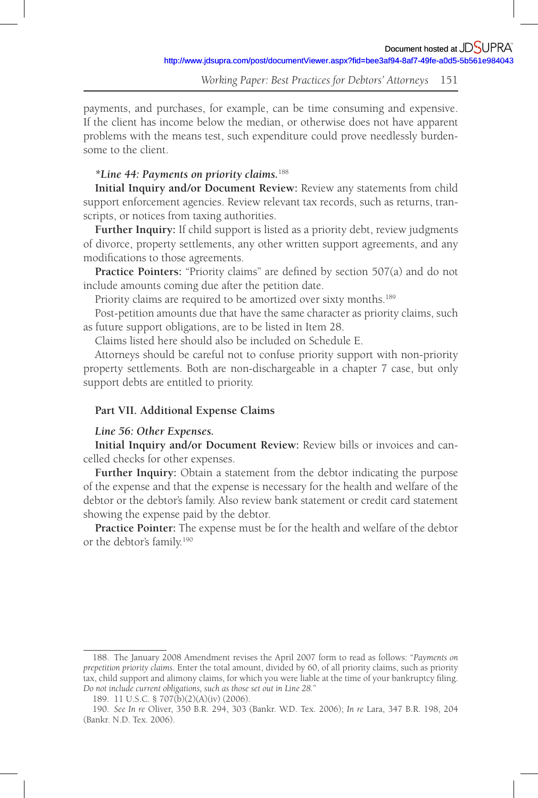*Working Paper: Best Practices for Debtors' Attorneys* 151

payments, and purchases, for example, can be time consuming and expensive. If the client has income below the median, or otherwise does not have apparent problems with the means test, such expenditure could prove needlessly burdensome to the client.

## *\*Line 44: Payments on priority claims.*<sup>188</sup>

**Initial Inquiry and /or Document Review:** Review any statements from child support enforcement agencies. Review relevant tax records, such as returns, transcripts, or notices from taxing authorities.

**Further Inquiry:** If child support is listed as a priority debt, review judgments of divorce, property settlements, any other written support agreements, and any modifications to those agreements.

**Practice Pointers:** "Priority claims" are defined by section 507(a) and do not include amounts coming due after the petition date.

Priority claims are required to be amortized over sixty months.<sup>189</sup>

Post-petition amounts due that have the same character as priority claims, such as future support obligations, are to be listed in Item 28.

Claims listed here should also be included on Schedule E.

Attorneys should be careful not to confuse priority support with non-priority property settlements. Both are non-dischargeable in a chapter 7 case, but only support debts are entitled to priority.

## **Part VII. Additional Expense Claims**

## *Line 56: Other Expenses.*

**Initial Inquiry and /or Document Review:** Review bills or invoices and cancelled checks for other expenses.

**Further Inquiry:** Obtain a statement from the debtor indicating the purpose of the expense and that the expense is necessary for the health and welfare of the debtor or the debtor's family. Also review bank statement or credit card statement showing the expense paid by the debtor.

**Practice Pointer:** The expense must be for the health and welfare of the debtor or the debtor's family. 190

<sup>188 .</sup> The January 2008 Amendment revises the April 2007 form to read as follows: " *Payments on prepetition priority claims*. Enter the total amount, divided by 60, of all priority claims, such as priority tax, child support and alimony claims, for which you were liable at the time of your bankruptcy filing. *Do not include current obligations, such as those set out in Line 28.*"

<sup>189. 11</sup> U.S.C. § 707(b)(2)(A)(iv) (2006).

<sup>190 .</sup> *See In re* Oliver, 350 B.R. 294, 303 (Bankr. W.D. Tex. 2006); *In re* Lara, 347 B.R. 198, 204 (Bankr. N.D. Tex. 2006).